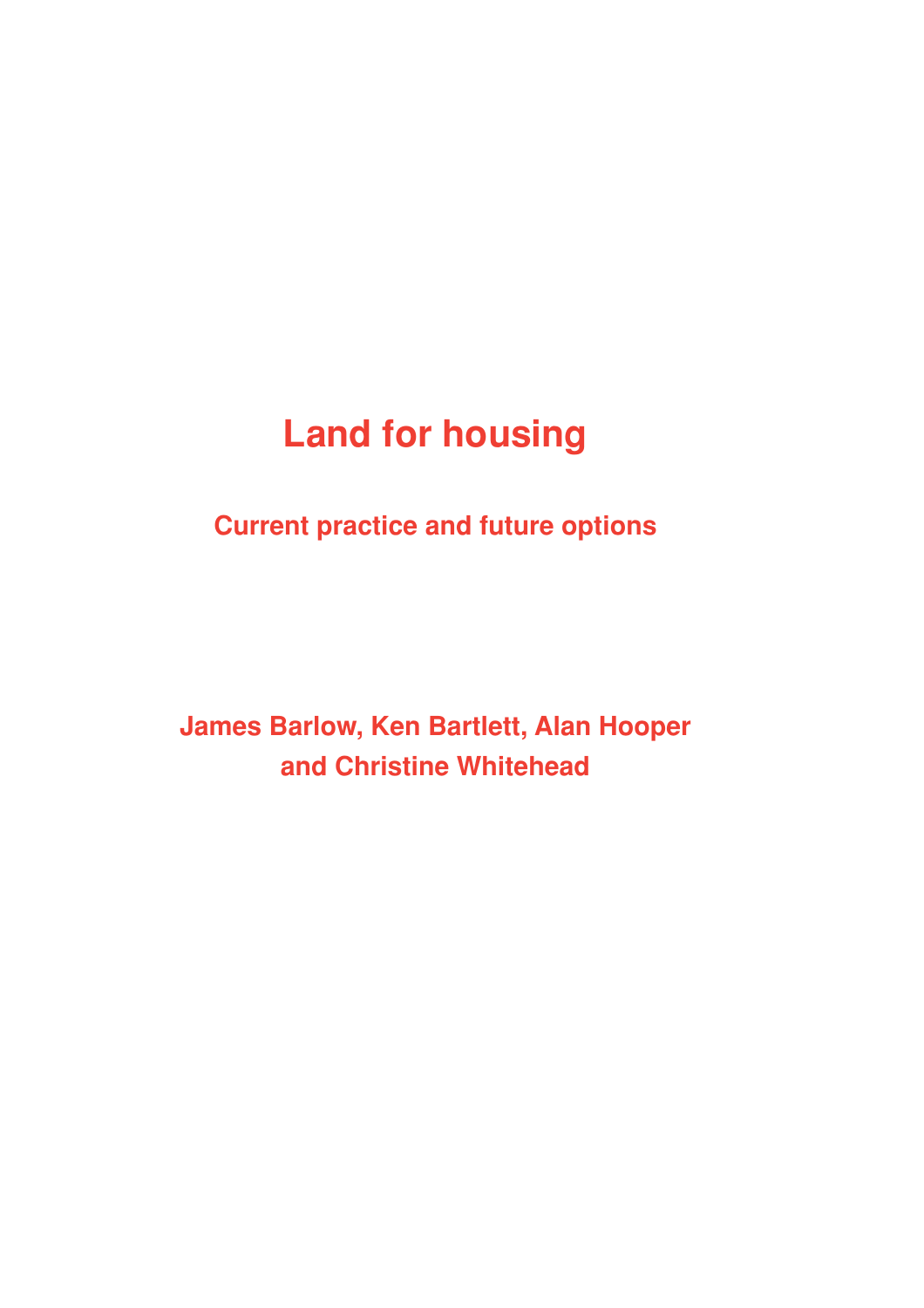# **Land for housing**

**Current practice and future options**

**James Barlow, Ken Bartlett, Alan Hooper and Christine Whitehead**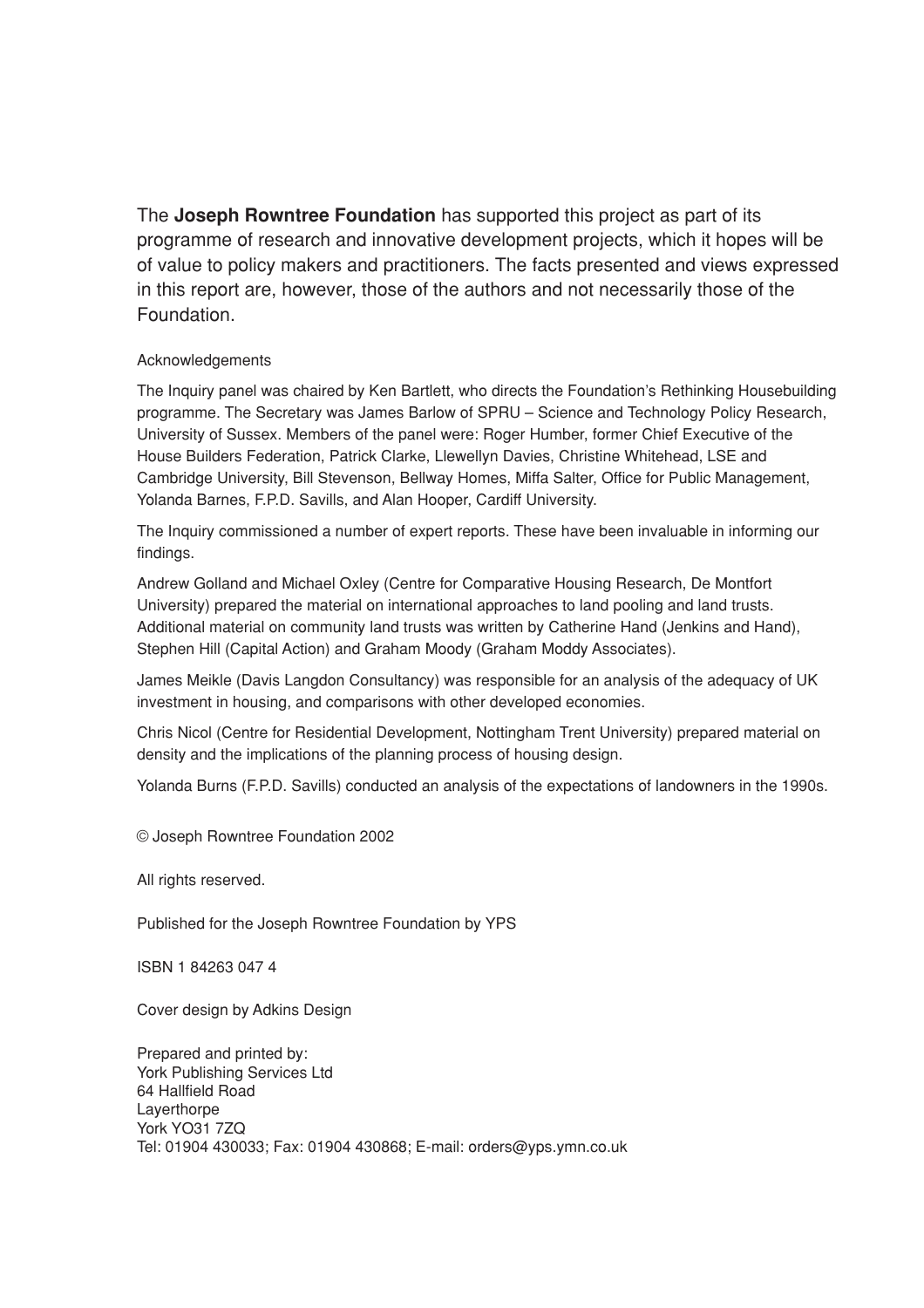The **Joseph Rowntree Foundation** has supported this project as part of its programme of research and innovative development projects, which it hopes will be of value to policy makers and practitioners. The facts presented and views expressed in this report are, however, those of the authors and not necessarily those of the Foundation.

#### Acknowledgements

The Inquiry panel was chaired by Ken Bartlett, who directs the Foundation's Rethinking Housebuilding programme. The Secretary was James Barlow of SPRU – Science and Technology Policy Research, University of Sussex. Members of the panel were: Roger Humber, former Chief Executive of the House Builders Federation, Patrick Clarke, Llewellyn Davies, Christine Whitehead, LSE and Cambridge University, Bill Stevenson, Bellway Homes, Miffa Salter, Office for Public Management, Yolanda Barnes, F.P.D. Savills, and Alan Hooper, Cardiff University.

The Inquiry commissioned a number of expert reports. These have been invaluable in informing our findings.

Andrew Golland and Michael Oxley (Centre for Comparative Housing Research, De Montfort University) prepared the material on international approaches to land pooling and land trusts. Additional material on community land trusts was written by Catherine Hand (Jenkins and Hand), Stephen Hill (Capital Action) and Graham Moody (Graham Moddy Associates).

James Meikle (Davis Langdon Consultancy) was responsible for an analysis of the adequacy of UK investment in housing, and comparisons with other developed economies.

Chris Nicol (Centre for Residential Development, Nottingham Trent University) prepared material on density and the implications of the planning process of housing design.

Yolanda Burns (F.P.D. Savills) conducted an analysis of the expectations of landowners in the 1990s.

© Joseph Rowntree Foundation 2002

All rights reserved.

Published for the Joseph Rowntree Foundation by YPS

ISBN 1 84263 047 4

Cover design by Adkins Design

Prepared and printed by: York Publishing Services Ltd 64 Hallfield Road Layerthorpe York YO31 7ZQ Tel: 01904 430033; Fax: 01904 430868; E-mail: orders@yps.ymn.co.uk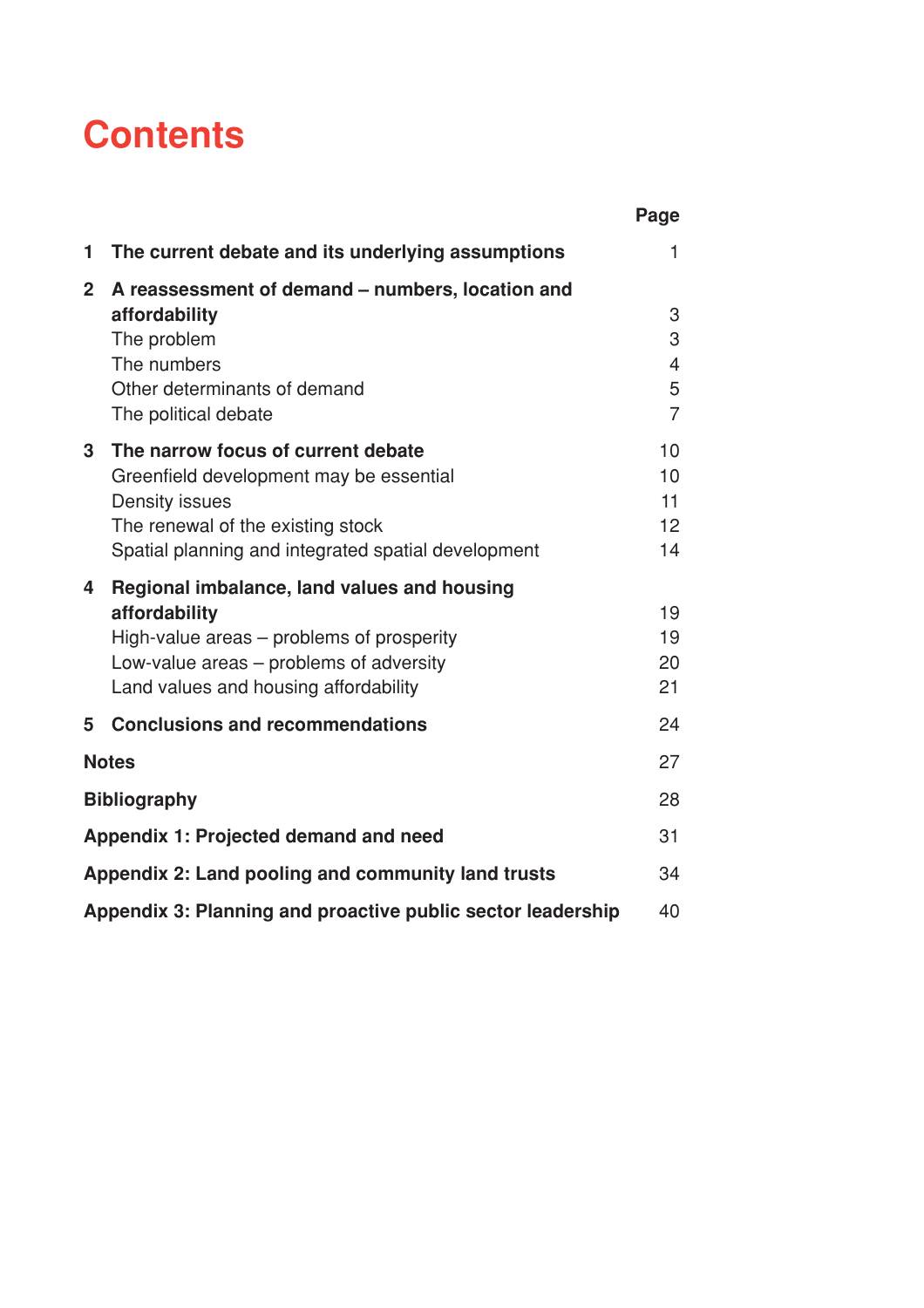# **Contents**

|                |                                                             | Page           |
|----------------|-------------------------------------------------------------|----------------|
| 1              | The current debate and its underlying assumptions           | $\mathbf{1}$   |
| $\overline{2}$ | A reassessment of demand – numbers, location and            |                |
|                | affordability                                               | 3              |
|                | The problem                                                 | 3              |
|                | The numbers                                                 | 4              |
|                | Other determinants of demand                                | 5              |
|                | The political debate                                        | $\overline{7}$ |
| 3 <sup>1</sup> | The narrow focus of current debate                          | 10             |
|                | Greenfield development may be essential                     | 10             |
|                | Density issues                                              | 11             |
|                | The renewal of the existing stock                           | 12             |
|                | Spatial planning and integrated spatial development         | 14             |
| 4              | Regional imbalance, land values and housing                 |                |
|                | affordability                                               | 19             |
|                | High-value areas – problems of prosperity                   | 19             |
|                | Low-value areas – problems of adversity                     | 20             |
|                | Land values and housing affordability                       | 21             |
| 5              | <b>Conclusions and recommendations</b>                      | 24             |
|                | <b>Notes</b>                                                | 27             |
|                | <b>Bibliography</b>                                         | 28             |
|                | Appendix 1: Projected demand and need                       | 31             |
|                | Appendix 2: Land pooling and community land trusts          | 34             |
|                | Appendix 3: Planning and proactive public sector leadership | 40             |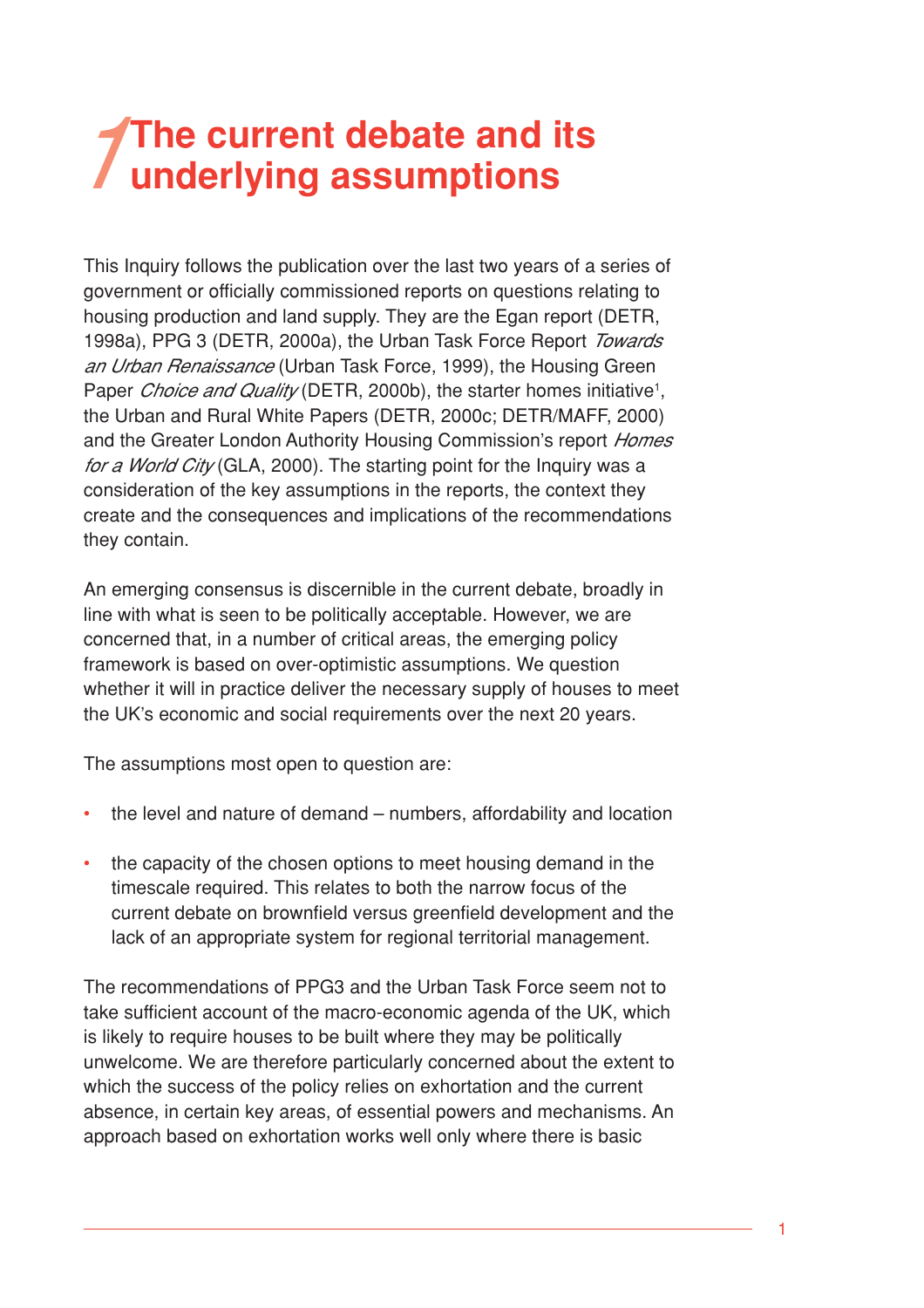# **The current debate and its underlying assumptions**

This Inquiry follows the publication over the last two years of a series of government or officially commissioned reports on questions relating to housing production and land supply. They are the Egan report (DETR, 1998a), PPG 3 (DETR, 2000a), the Urban Task Force Report Towards an Urban Renaissance (Urban Task Force, 1999), the Housing Green Paper *Choice and Quality* (DETR, 2000b), the starter homes initiative<sup>1</sup>, the Urban and Rural White Papers (DETR, 2000c; DETR/MAFF, 2000) and the Greater London Authority Housing Commission's report Homes for a World City (GLA, 2000). The starting point for the Inquiry was a consideration of the key assumptions in the reports, the context they create and the consequences and implications of the recommendations they contain.

An emerging consensus is discernible in the current debate, broadly in line with what is seen to be politically acceptable. However, we are concerned that, in a number of critical areas, the emerging policy framework is based on over-optimistic assumptions. We question whether it will in practice deliver the necessary supply of houses to meet the UK's economic and social requirements over the next 20 years.

The assumptions most open to question are:

- the level and nature of demand numbers, affordability and location
- the capacity of the chosen options to meet housing demand in the timescale required. This relates to both the narrow focus of the current debate on brownfield versus greenfield development and the lack of an appropriate system for regional territorial management.

The recommendations of PPG3 and the Urban Task Force seem not to take sufficient account of the macro-economic agenda of the UK, which is likely to require houses to be built where they may be politically unwelcome. We are therefore particularly concerned about the extent to which the success of the policy relies on exhortation and the current absence, in certain key areas, of essential powers and mechanisms. An approach based on exhortation works well only where there is basic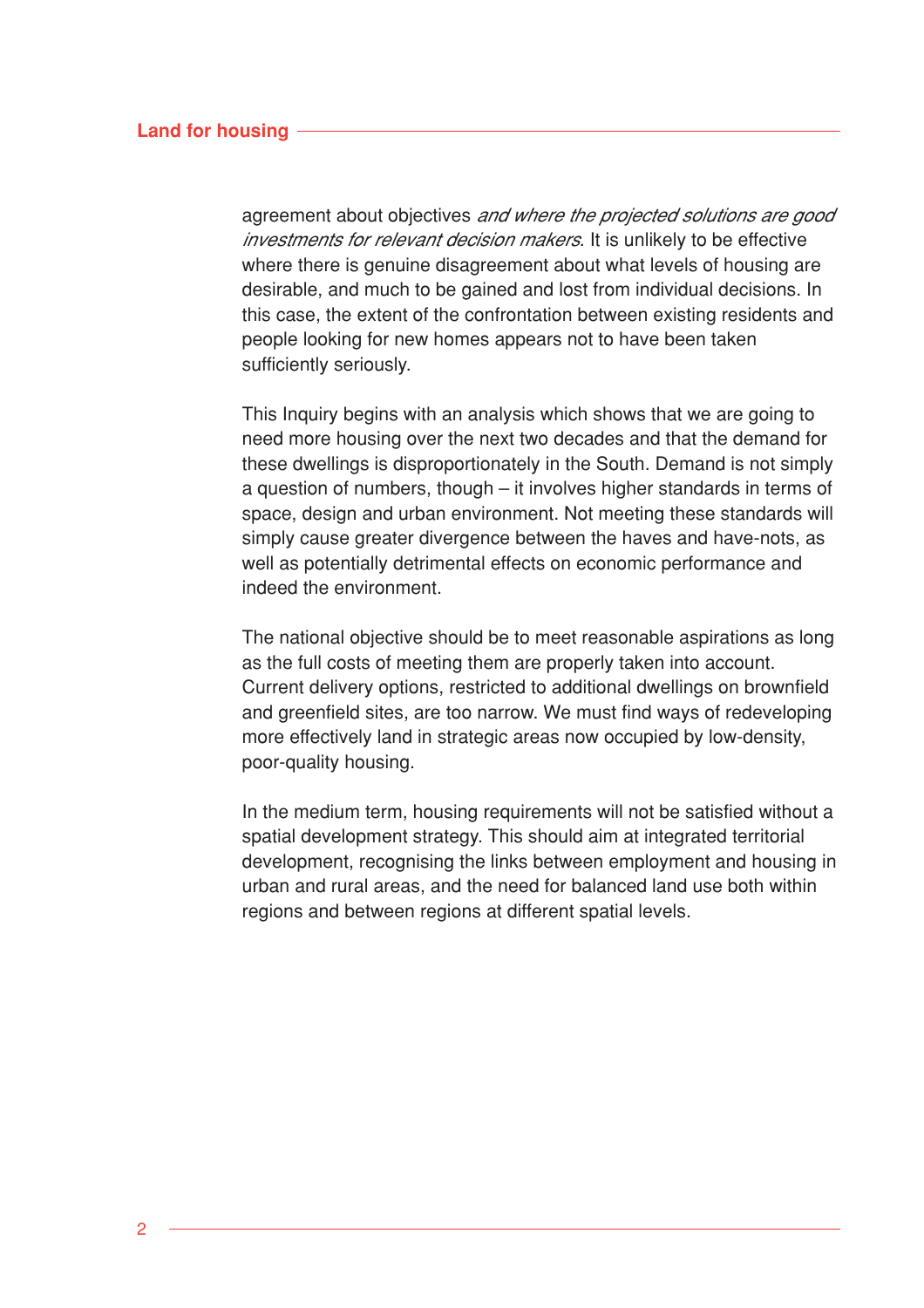#### **Land for housing**

agreement about objectives *and where the projected solutions are good* investments for relevant decision makers. It is unlikely to be effective where there is genuine disagreement about what levels of housing are desirable, and much to be gained and lost from individual decisions. In this case, the extent of the confrontation between existing residents and people looking for new homes appears not to have been taken sufficiently seriously.

This Inquiry begins with an analysis which shows that we are going to need more housing over the next two decades and that the demand for these dwellings is disproportionately in the South. Demand is not simply a question of numbers, though – it involves higher standards in terms of space, design and urban environment. Not meeting these standards will simply cause greater divergence between the haves and have-nots, as well as potentially detrimental effects on economic performance and indeed the environment.

The national objective should be to meet reasonable aspirations as long as the full costs of meeting them are properly taken into account. Current delivery options, restricted to additional dwellings on brownfield and greenfield sites, are too narrow. We must find ways of redeveloping more effectively land in strategic areas now occupied by low-density, poor-quality housing.

In the medium term, housing requirements will not be satisfied without a spatial development strategy. This should aim at integrated territorial development, recognising the links between employment and housing in urban and rural areas, and the need for balanced land use both within regions and between regions at different spatial levels.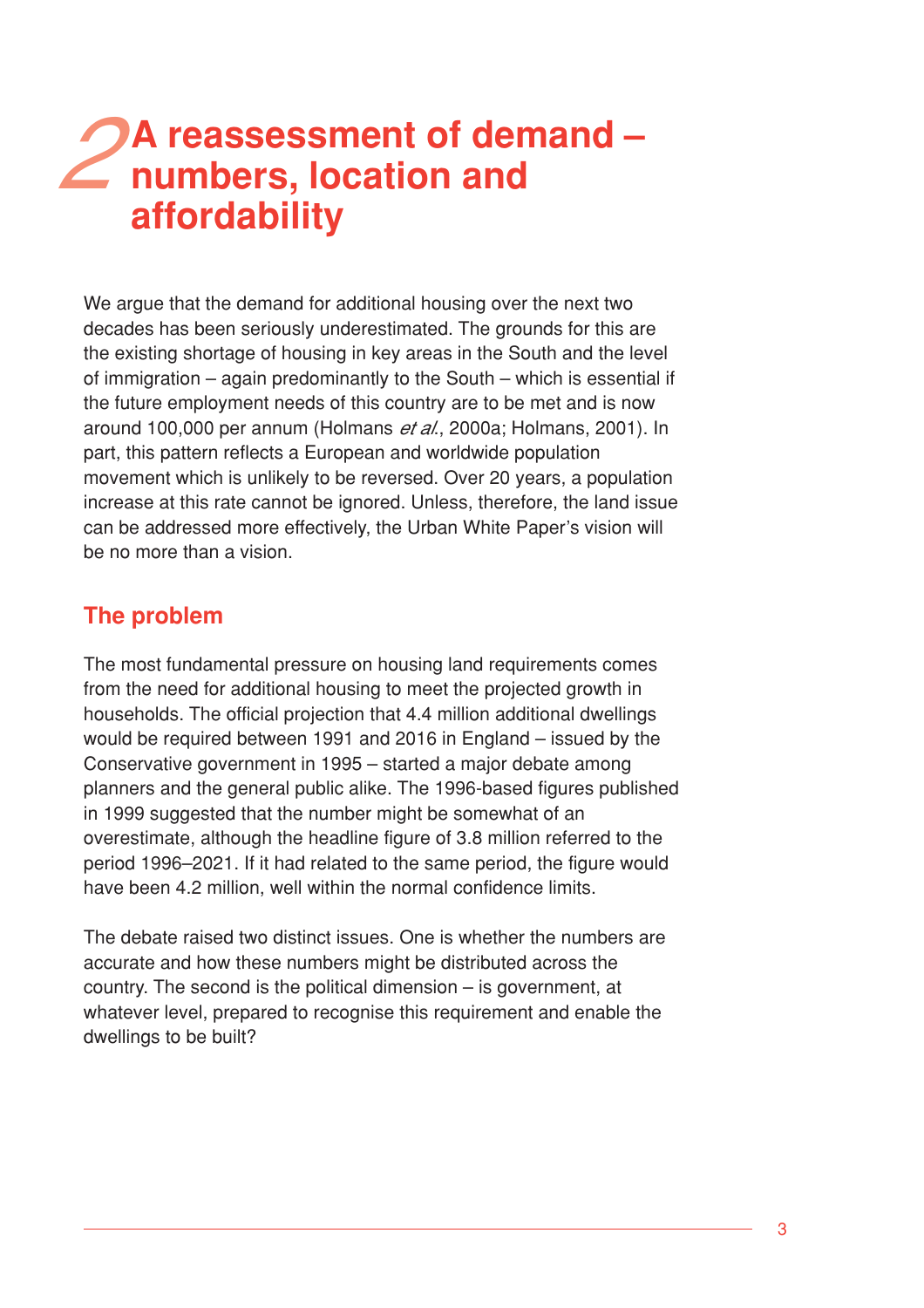# **A reassessment of demand –** 2 A reassessment of der<br>
2 numbers, location and **affordability**

We argue that the demand for additional housing over the next two decades has been seriously underestimated. The grounds for this are the existing shortage of housing in key areas in the South and the level of immigration – again predominantly to the South – which is essential if the future employment needs of this country are to be met and is now around 100,000 per annum (Holmans et al., 2000a; Holmans, 2001). In part, this pattern reflects a European and worldwide population movement which is unlikely to be reversed. Over 20 years, a population increase at this rate cannot be ignored. Unless, therefore, the land issue can be addressed more effectively, the Urban White Paper's vision will be no more than a vision.

# **The problem**

The most fundamental pressure on housing land requirements comes from the need for additional housing to meet the projected growth in households. The official projection that 4.4 million additional dwellings would be required between 1991 and 2016 in England – issued by the Conservative government in 1995 – started a major debate among planners and the general public alike. The 1996-based figures published in 1999 suggested that the number might be somewhat of an overestimate, although the headline figure of 3.8 million referred to the period 1996–2021. If it had related to the same period, the figure would have been 4.2 million, well within the normal confidence limits.

The debate raised two distinct issues. One is whether the numbers are accurate and how these numbers might be distributed across the country. The second is the political dimension – is government, at whatever level, prepared to recognise this requirement and enable the dwellings to be built?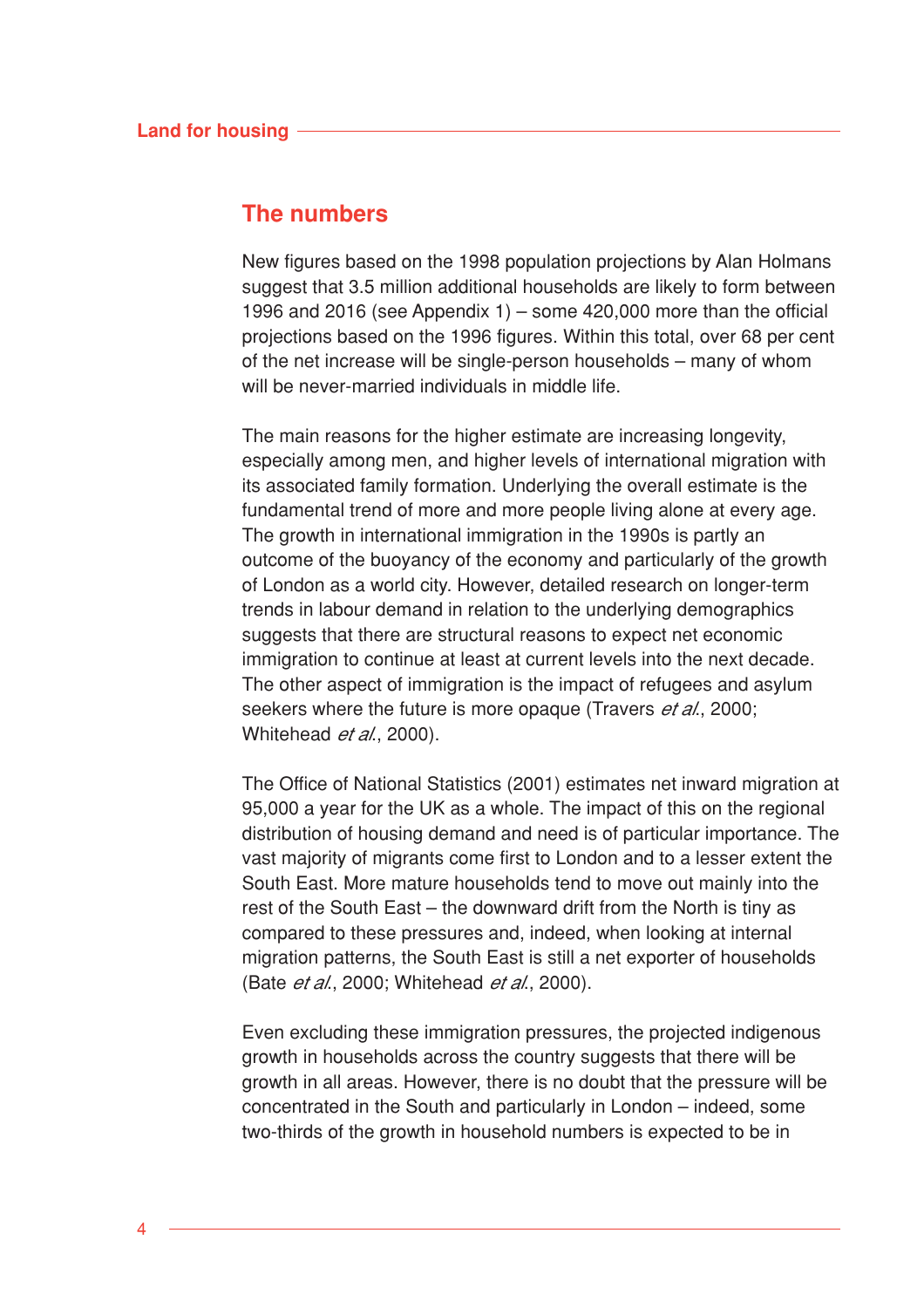## **The numbers**

New figures based on the 1998 population projections by Alan Holmans suggest that 3.5 million additional households are likely to form between 1996 and 2016 (see Appendix 1) – some 420,000 more than the official projections based on the 1996 figures. Within this total, over 68 per cent of the net increase will be single-person households – many of whom will be never-married individuals in middle life.

The main reasons for the higher estimate are increasing longevity, especially among men, and higher levels of international migration with its associated family formation. Underlying the overall estimate is the fundamental trend of more and more people living alone at every age. The growth in international immigration in the 1990s is partly an outcome of the buoyancy of the economy and particularly of the growth of London as a world city. However, detailed research on longer-term trends in labour demand in relation to the underlying demographics suggests that there are structural reasons to expect net economic immigration to continue at least at current levels into the next decade. The other aspect of immigration is the impact of refugees and asylum seekers where the future is more opaque (Travers *et al.*, 2000; Whitehead *et al.*, 2000).

The Office of National Statistics (2001) estimates net inward migration at 95,000 a year for the UK as a whole. The impact of this on the regional distribution of housing demand and need is of particular importance. The vast majority of migrants come first to London and to a lesser extent the South East. More mature households tend to move out mainly into the rest of the South East – the downward drift from the North is tiny as compared to these pressures and, indeed, when looking at internal migration patterns, the South East is still a net exporter of households (Bate et al., 2000; Whitehead et al., 2000).

Even excluding these immigration pressures, the projected indigenous growth in households across the country suggests that there will be growth in all areas. However, there is no doubt that the pressure will be concentrated in the South and particularly in London – indeed, some two-thirds of the growth in household numbers is expected to be in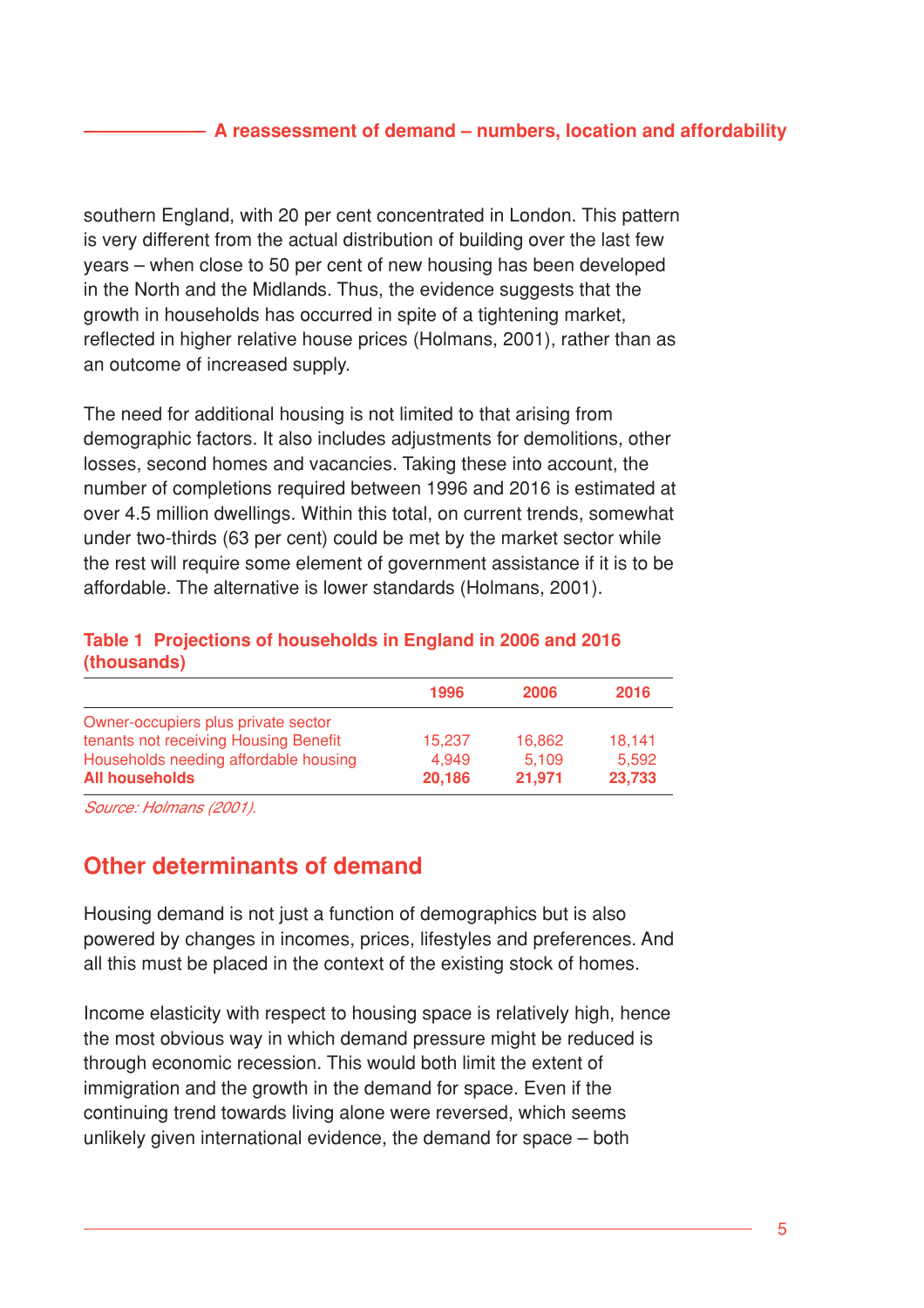### **A reassessment of demand – numbers, location and affordability**

southern England, with 20 per cent concentrated in London. This pattern is very different from the actual distribution of building over the last few years – when close to 50 per cent of new housing has been developed in the North and the Midlands. Thus, the evidence suggests that the growth in households has occurred in spite of a tightening market, reflected in higher relative house prices (Holmans, 2001), rather than as an outcome of increased supply.

The need for additional housing is not limited to that arising from demographic factors. It also includes adjustments for demolitions, other losses, second homes and vacancies. Taking these into account, the number of completions required between 1996 and 2016 is estimated at over 4.5 million dwellings. Within this total, on current trends, somewhat under two-thirds (63 per cent) could be met by the market sector while the rest will require some element of government assistance if it is to be affordable. The alternative is lower standards (Holmans, 2001).

## **Table 1 Projections of households in England in 2006 and 2016 (thousands)**

| 1996   | 2006   | 2016   |
|--------|--------|--------|
|        |        |        |
| 15.237 | 16,862 | 18.141 |
| 4.949  | 5.109  | 5.592  |
| 20,186 | 21,971 | 23,733 |
|        |        |        |

Source: Holmans (2001).

# **Other determinants of demand**

Housing demand is not just a function of demographics but is also powered by changes in incomes, prices, lifestyles and preferences. And all this must be placed in the context of the existing stock of homes.

Income elasticity with respect to housing space is relatively high, hence the most obvious way in which demand pressure might be reduced is through economic recession. This would both limit the extent of immigration and the growth in the demand for space. Even if the continuing trend towards living alone were reversed, which seems unlikely given international evidence, the demand for space – both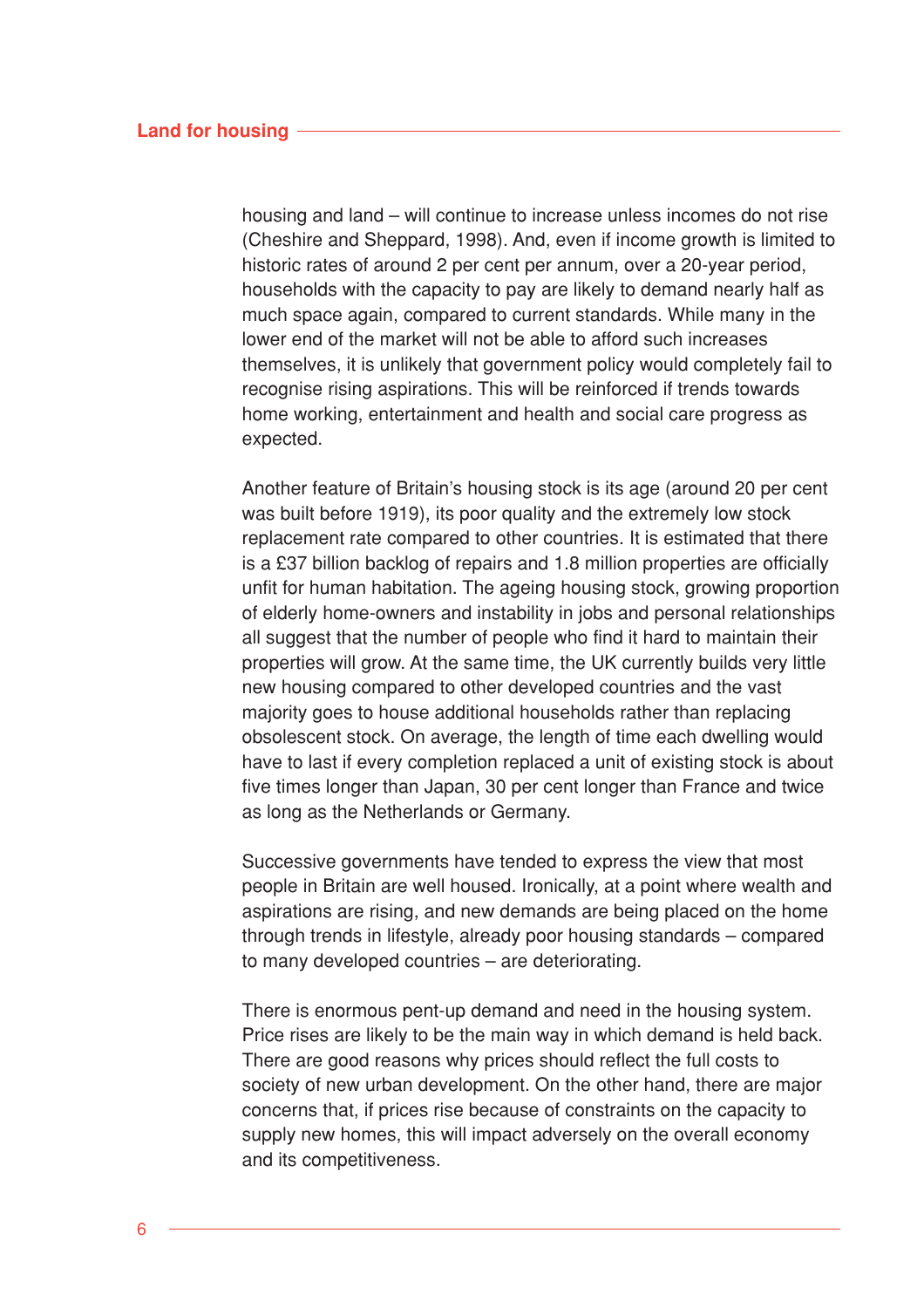housing and land – will continue to increase unless incomes do not rise (Cheshire and Sheppard, 1998). And, even if income growth is limited to historic rates of around 2 per cent per annum, over a 20-year period, households with the capacity to pay are likely to demand nearly half as much space again, compared to current standards. While many in the lower end of the market will not be able to afford such increases themselves, it is unlikely that government policy would completely fail to recognise rising aspirations. This will be reinforced if trends towards home working, entertainment and health and social care progress as expected.

Another feature of Britain's housing stock is its age (around 20 per cent was built before 1919), its poor quality and the extremely low stock replacement rate compared to other countries. It is estimated that there is a £37 billion backlog of repairs and 1.8 million properties are officially unfit for human habitation. The ageing housing stock, growing proportion of elderly home-owners and instability in jobs and personal relationships all suggest that the number of people who find it hard to maintain their properties will grow. At the same time, the UK currently builds very little new housing compared to other developed countries and the vast majority goes to house additional households rather than replacing obsolescent stock. On average, the length of time each dwelling would have to last if every completion replaced a unit of existing stock is about five times longer than Japan, 30 per cent longer than France and twice as long as the Netherlands or Germany.

Successive governments have tended to express the view that most people in Britain are well housed. Ironically, at a point where wealth and aspirations are rising, and new demands are being placed on the home through trends in lifestyle, already poor housing standards – compared to many developed countries – are deteriorating.

There is enormous pent-up demand and need in the housing system. Price rises are likely to be the main way in which demand is held back. There are good reasons why prices should reflect the full costs to society of new urban development. On the other hand, there are major concerns that, if prices rise because of constraints on the capacity to supply new homes, this will impact adversely on the overall economy and its competitiveness.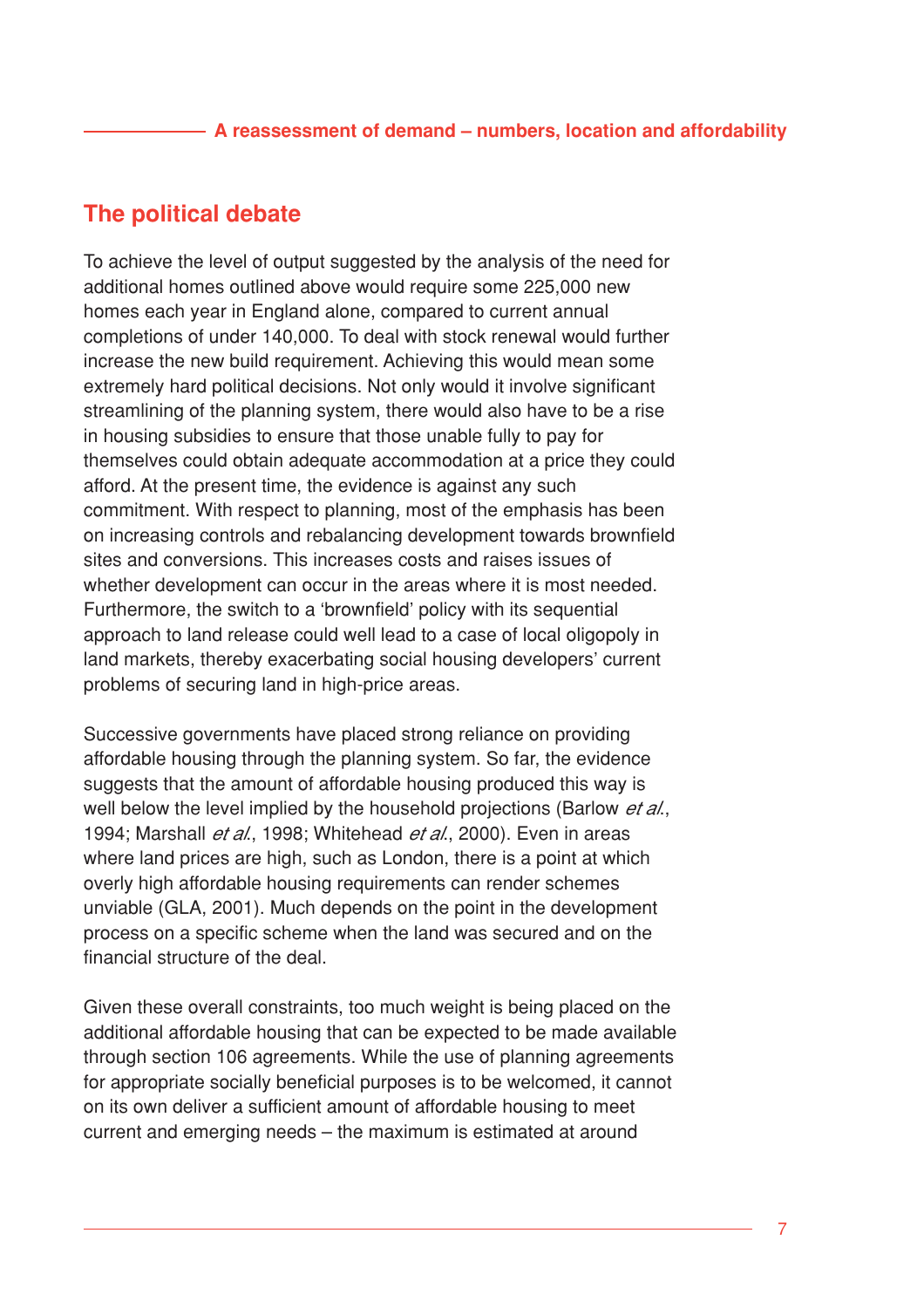### **A reassessment of demand – numbers, location and affordability**

# **The political debate**

To achieve the level of output suggested by the analysis of the need for additional homes outlined above would require some 225,000 new homes each year in England alone, compared to current annual completions of under 140,000. To deal with stock renewal would further increase the new build requirement. Achieving this would mean some extremely hard political decisions. Not only would it involve significant streamlining of the planning system, there would also have to be a rise in housing subsidies to ensure that those unable fully to pay for themselves could obtain adequate accommodation at a price they could afford. At the present time, the evidence is against any such commitment. With respect to planning, most of the emphasis has been on increasing controls and rebalancing development towards brownfield sites and conversions. This increases costs and raises issues of whether development can occur in the areas where it is most needed. Furthermore, the switch to a 'brownfield' policy with its sequential approach to land release could well lead to a case of local oligopoly in land markets, thereby exacerbating social housing developers' current problems of securing land in high-price areas.

Successive governments have placed strong reliance on providing affordable housing through the planning system. So far, the evidence suggests that the amount of affordable housing produced this way is well below the level implied by the household projections (Barlow et al., 1994; Marshall *et al.*, 1998; Whitehead *et al.*, 2000). Even in areas where land prices are high, such as London, there is a point at which overly high affordable housing requirements can render schemes unviable (GLA, 2001). Much depends on the point in the development process on a specific scheme when the land was secured and on the financial structure of the deal.

Given these overall constraints, too much weight is being placed on the additional affordable housing that can be expected to be made available through section 106 agreements. While the use of planning agreements for appropriate socially beneficial purposes is to be welcomed, it cannot on its own deliver a sufficient amount of affordable housing to meet current and emerging needs – the maximum is estimated at around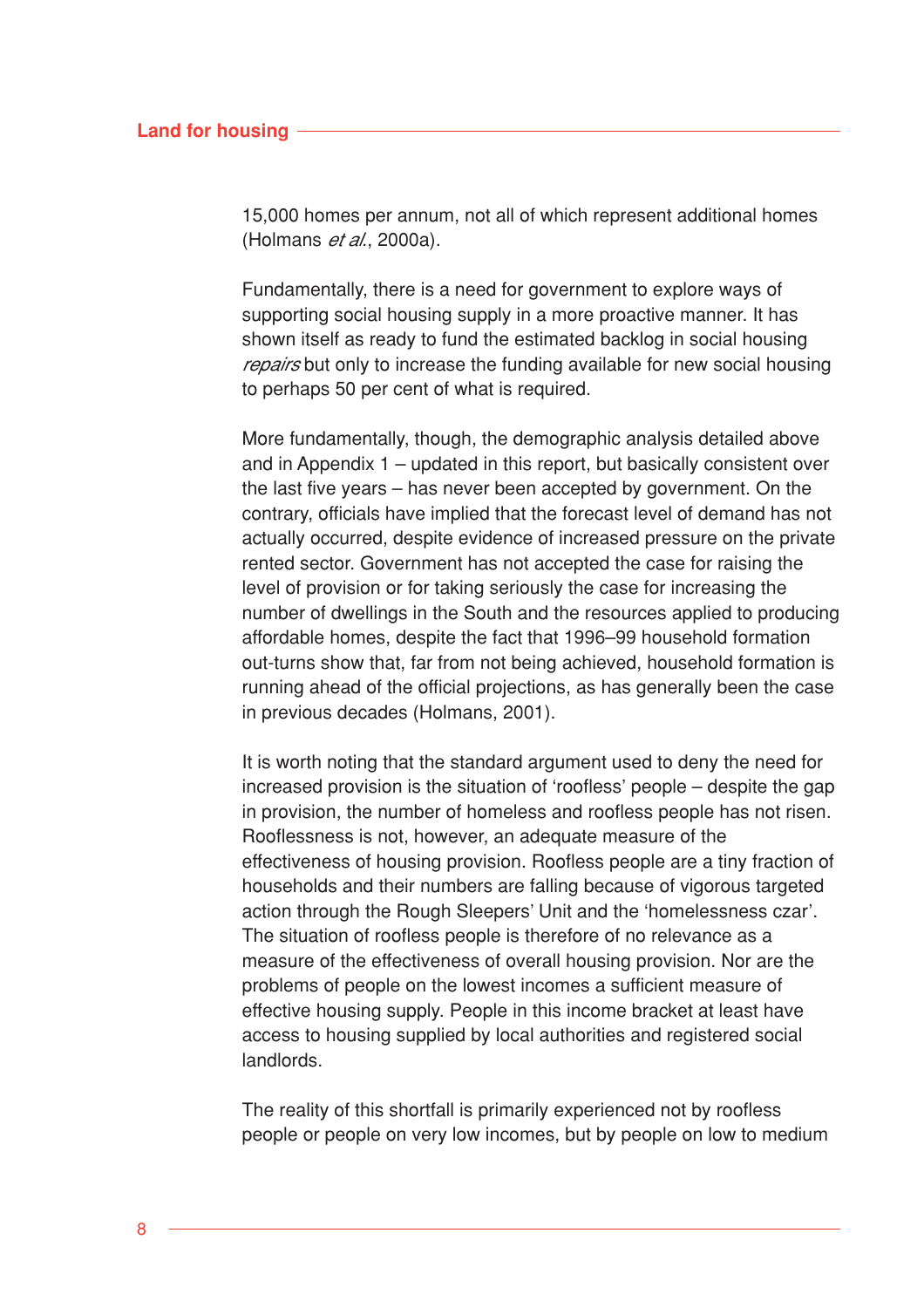#### **Land for housing**

15,000 homes per annum, not all of which represent additional homes (Holmans *et al.*, 2000a).

Fundamentally, there is a need for government to explore ways of supporting social housing supply in a more proactive manner. It has shown itself as ready to fund the estimated backlog in social housing repairs but only to increase the funding available for new social housing to perhaps 50 per cent of what is required.

More fundamentally, though, the demographic analysis detailed above and in Appendix 1 – updated in this report, but basically consistent over the last five years – has never been accepted by government. On the contrary, officials have implied that the forecast level of demand has not actually occurred, despite evidence of increased pressure on the private rented sector. Government has not accepted the case for raising the level of provision or for taking seriously the case for increasing the number of dwellings in the South and the resources applied to producing affordable homes, despite the fact that 1996–99 household formation out-turns show that, far from not being achieved, household formation is running ahead of the official projections, as has generally been the case in previous decades (Holmans, 2001).

It is worth noting that the standard argument used to deny the need for increased provision is the situation of 'roofless' people – despite the gap in provision, the number of homeless and roofless people has not risen. Rooflessness is not, however, an adequate measure of the effectiveness of housing provision. Roofless people are a tiny fraction of households and their numbers are falling because of vigorous targeted action through the Rough Sleepers' Unit and the 'homelessness czar'. The situation of roofless people is therefore of no relevance as a measure of the effectiveness of overall housing provision. Nor are the problems of people on the lowest incomes a sufficient measure of effective housing supply. People in this income bracket at least have access to housing supplied by local authorities and registered social landlords.

The reality of this shortfall is primarily experienced not by roofless people or people on very low incomes, but by people on low to medium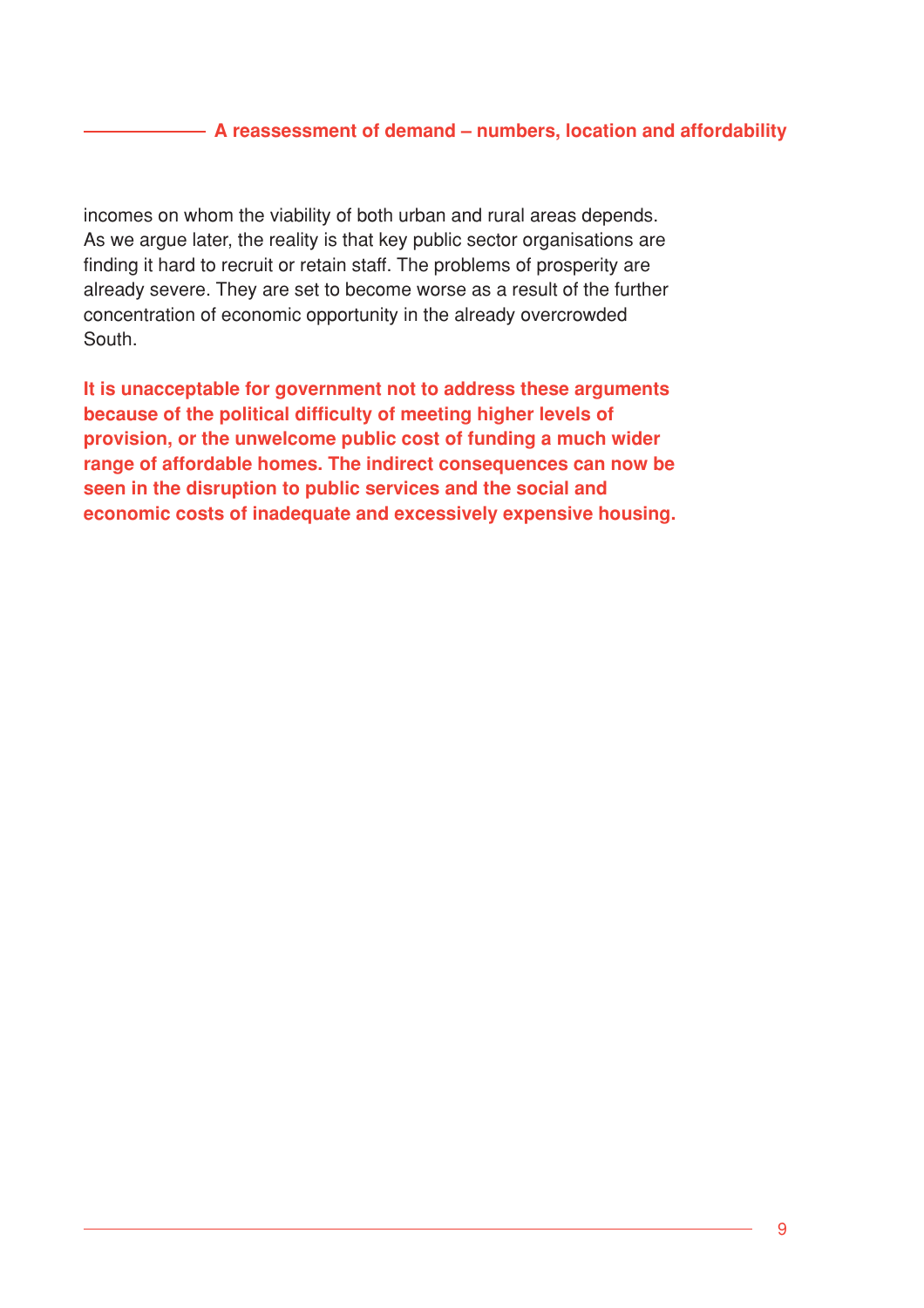## **A reassessment of demand – numbers, location and affordability**

incomes on whom the viability of both urban and rural areas depends. As we argue later, the reality is that key public sector organisations are finding it hard to recruit or retain staff. The problems of prosperity are already severe. They are set to become worse as a result of the further concentration of economic opportunity in the already overcrowded South.

**It is unacceptable for government not to address these arguments because of the political difficulty of meeting higher levels of provision, or the unwelcome public cost of funding a much wider range of affordable homes. The indirect consequences can now be seen in the disruption to public services and the social and economic costs of inadequate and excessively expensive housing.**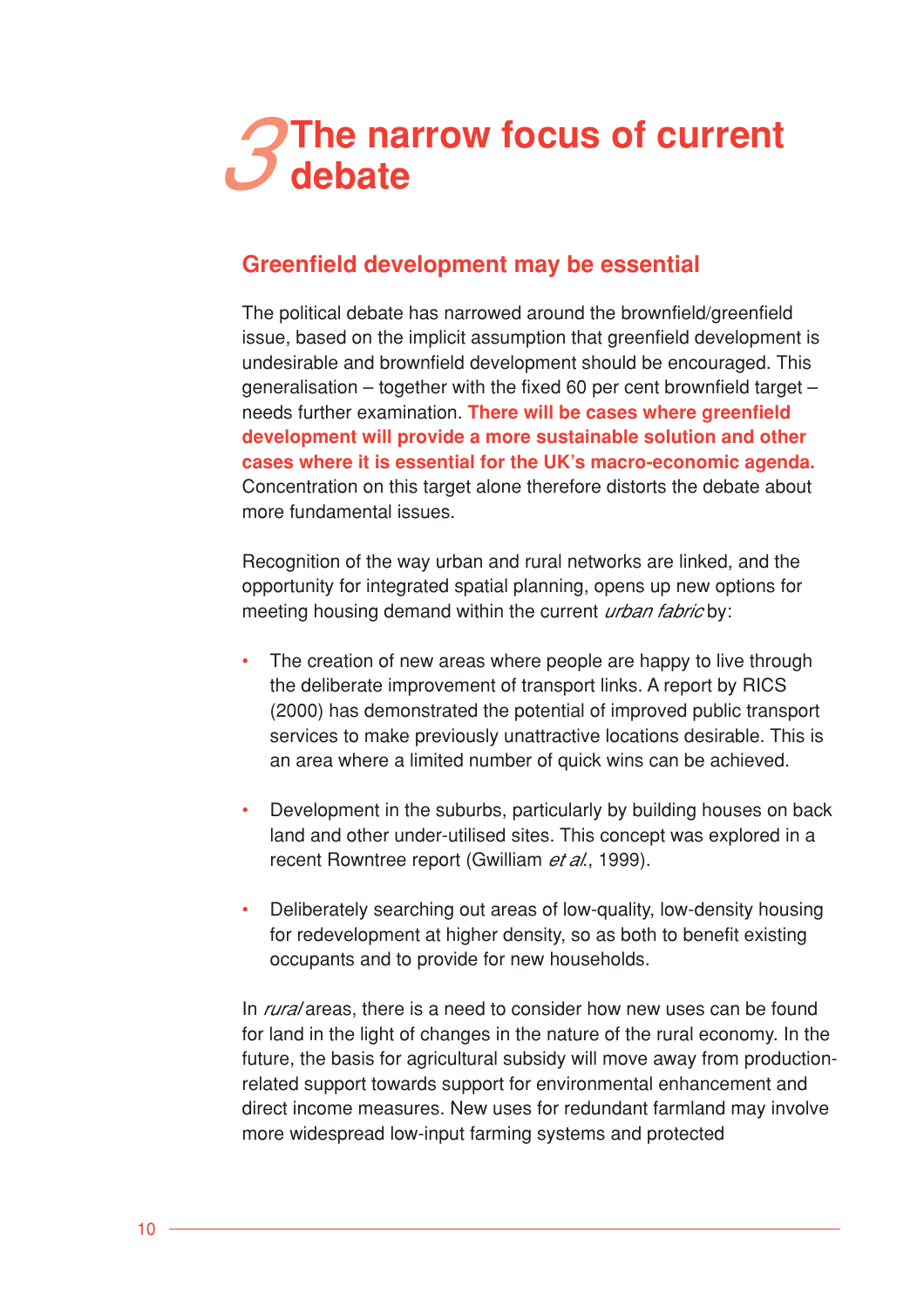# **The narrow focus of current**

# **Greenfield development may be essential**

The political debate has narrowed around the brownfield/greenfield issue, based on the implicit assumption that greenfield development is undesirable and brownfield development should be encouraged. This generalisation – together with the fixed 60 per cent brownfield target – needs further examination. **There will be cases where greenfield development will provide a more sustainable solution and other cases where it is essential for the UK's macro-economic agenda.** Concentration on this target alone therefore distorts the debate about more fundamental issues.

Recognition of the way urban and rural networks are linked, and the opportunity for integrated spatial planning, opens up new options for meeting housing demand within the current *urban fabric* by:

- The creation of new areas where people are happy to live through the deliberate improvement of transport links. A report by RICS (2000) has demonstrated the potential of improved public transport services to make previously unattractive locations desirable. This is an area where a limited number of quick wins can be achieved.
- Development in the suburbs, particularly by building houses on back land and other under-utilised sites. This concept was explored in a recent Rowntree report (Gwilliam et al., 1999).
- Deliberately searching out areas of low-quality, low-density housing for redevelopment at higher density, so as both to benefit existing occupants and to provide for new households.

In *rural* areas, there is a need to consider how new uses can be found for land in the light of changes in the nature of the rural economy. In the future, the basis for agricultural subsidy will move away from productionrelated support towards support for environmental enhancement and direct income measures. New uses for redundant farmland may involve more widespread low-input farming systems and protected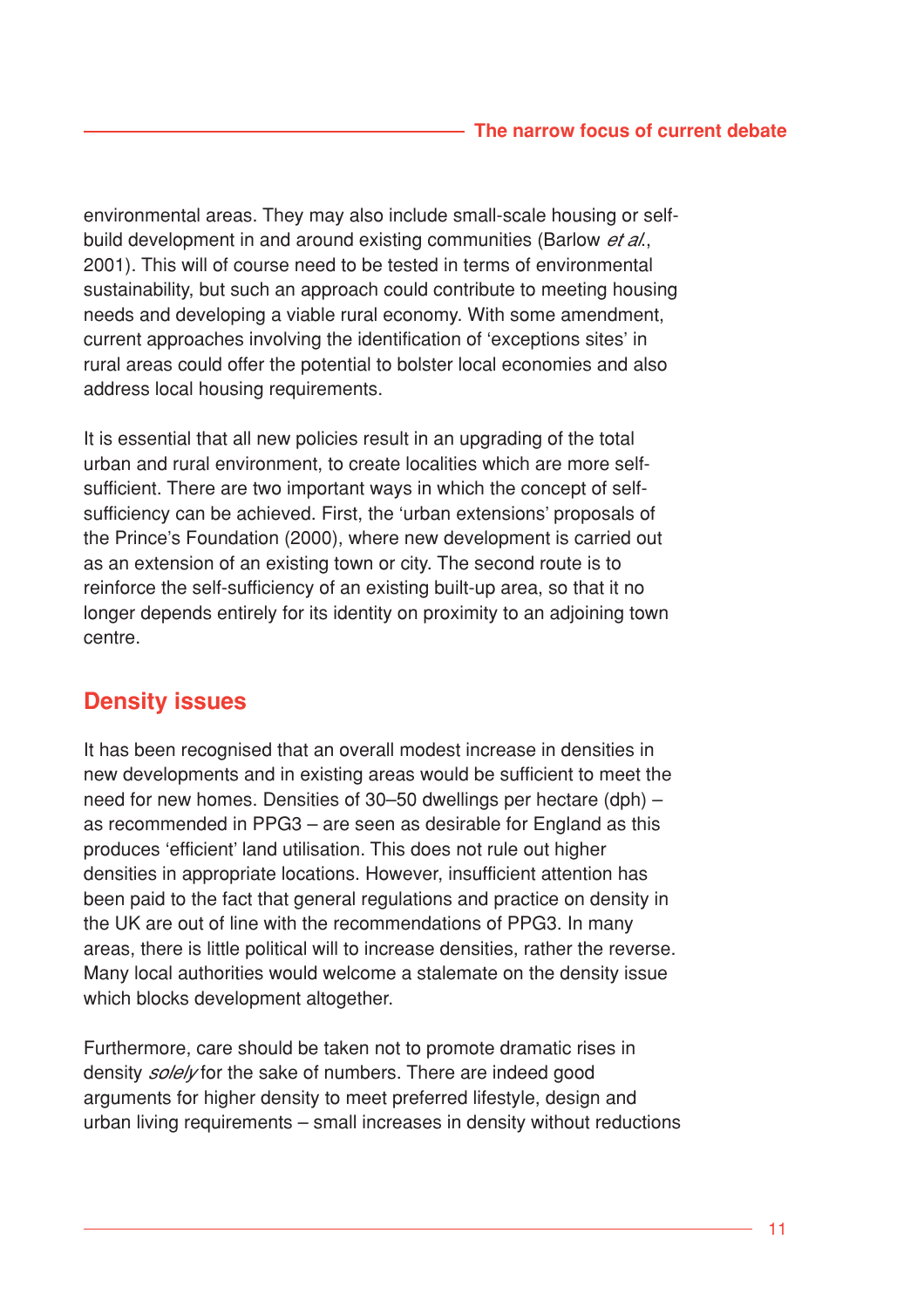environmental areas. They may also include small-scale housing or selfbuild development in and around existing communities (Barlow et al., 2001). This will of course need to be tested in terms of environmental sustainability, but such an approach could contribute to meeting housing needs and developing a viable rural economy. With some amendment, current approaches involving the identification of 'exceptions sites' in rural areas could offer the potential to bolster local economies and also address local housing requirements.

It is essential that all new policies result in an upgrading of the total urban and rural environment, to create localities which are more selfsufficient. There are two important ways in which the concept of selfsufficiency can be achieved. First, the 'urban extensions' proposals of the Prince's Foundation (2000), where new development is carried out as an extension of an existing town or city. The second route is to reinforce the self-sufficiency of an existing built-up area, so that it no longer depends entirely for its identity on proximity to an adjoining town centre.

# **Density issues**

It has been recognised that an overall modest increase in densities in new developments and in existing areas would be sufficient to meet the need for new homes. Densities of 30–50 dwellings per hectare (dph) – as recommended in PPG3 – are seen as desirable for England as this produces 'efficient' land utilisation. This does not rule out higher densities in appropriate locations. However, insufficient attention has been paid to the fact that general regulations and practice on density in the UK are out of line with the recommendations of PPG3. In many areas, there is little political will to increase densities, rather the reverse. Many local authorities would welcome a stalemate on the density issue which blocks development altogether.

Furthermore, care should be taken not to promote dramatic rises in density *solely* for the sake of numbers. There are indeed good arguments for higher density to meet preferred lifestyle, design and urban living requirements – small increases in density without reductions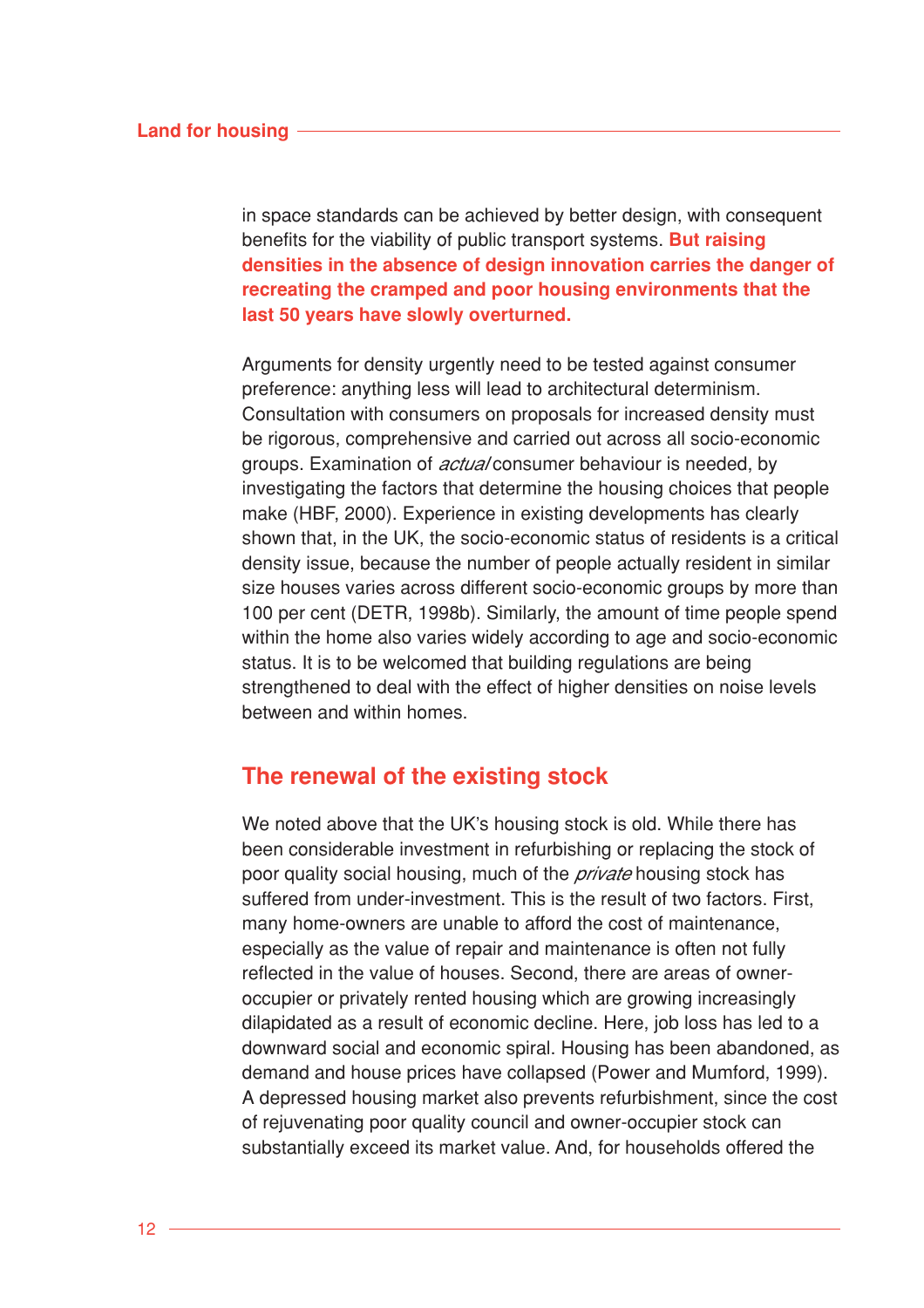in space standards can be achieved by better design, with consequent benefits for the viability of public transport systems. **But raising densities in the absence of design innovation carries the danger of recreating the cramped and poor housing environments that the last 50 years have slowly overturned.**

Arguments for density urgently need to be tested against consumer preference: anything less will lead to architectural determinism. Consultation with consumers on proposals for increased density must be rigorous, comprehensive and carried out across all socio-economic groups. Examination of *actual* consumer behaviour is needed, by investigating the factors that determine the housing choices that people make (HBF, 2000). Experience in existing developments has clearly shown that, in the UK, the socio-economic status of residents is a critical density issue, because the number of people actually resident in similar size houses varies across different socio-economic groups by more than 100 per cent (DETR, 1998b). Similarly, the amount of time people spend within the home also varies widely according to age and socio-economic status. It is to be welcomed that building regulations are being strengthened to deal with the effect of higher densities on noise levels between and within homes.

## **The renewal of the existing stock**

We noted above that the UK's housing stock is old. While there has been considerable investment in refurbishing or replacing the stock of poor quality social housing, much of the *private* housing stock has suffered from under-investment. This is the result of two factors. First, many home-owners are unable to afford the cost of maintenance, especially as the value of repair and maintenance is often not fully reflected in the value of houses. Second, there are areas of owneroccupier or privately rented housing which are growing increasingly dilapidated as a result of economic decline. Here, job loss has led to a downward social and economic spiral. Housing has been abandoned, as demand and house prices have collapsed (Power and Mumford, 1999). A depressed housing market also prevents refurbishment, since the cost of rejuvenating poor quality council and owner-occupier stock can substantially exceed its market value. And, for households offered the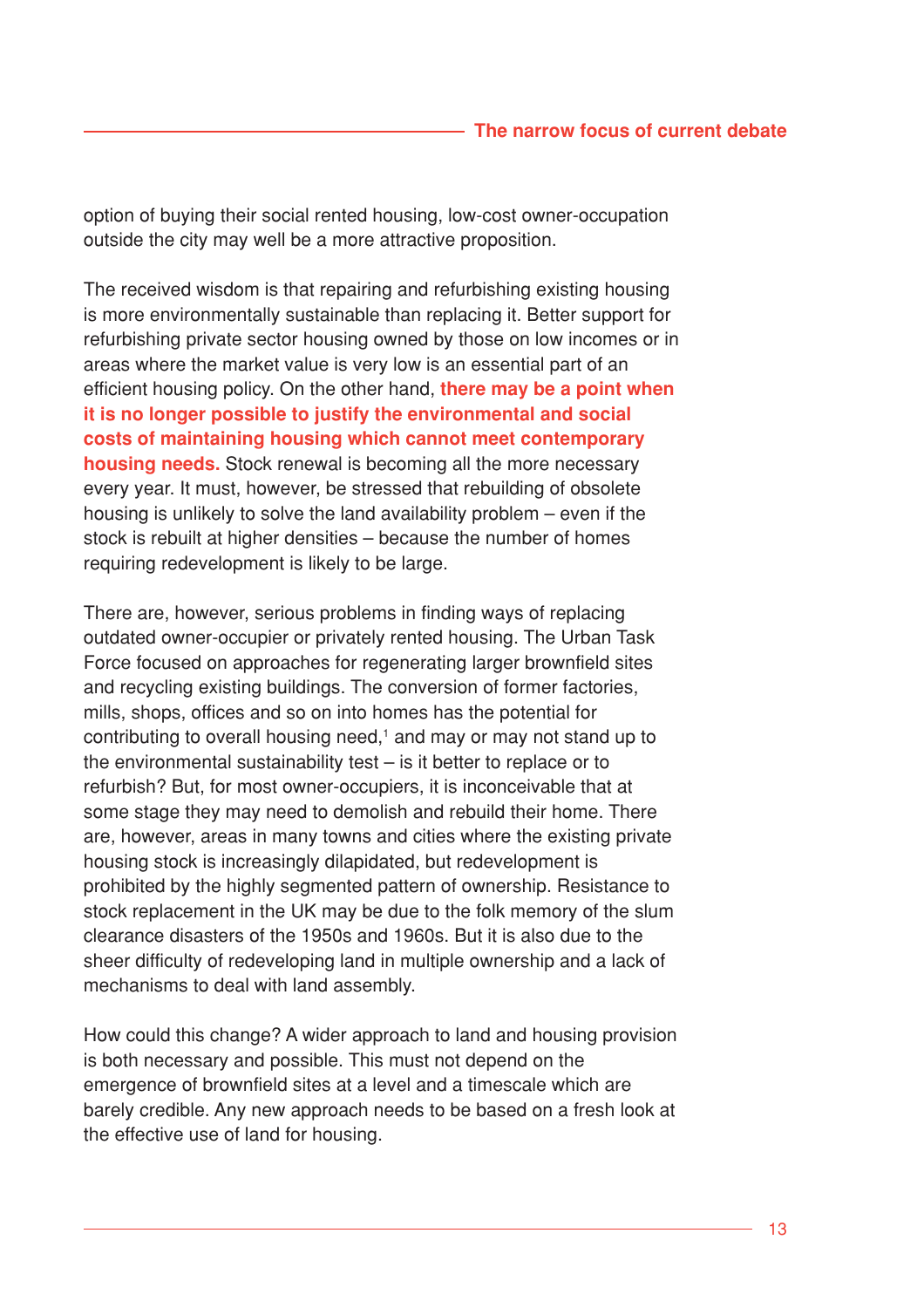option of buying their social rented housing, low-cost owner-occupation outside the city may well be a more attractive proposition.

The received wisdom is that repairing and refurbishing existing housing is more environmentally sustainable than replacing it. Better support for refurbishing private sector housing owned by those on low incomes or in areas where the market value is very low is an essential part of an efficient housing policy. On the other hand, **there may be a point when it is no longer possible to justify the environmental and social costs of maintaining housing which cannot meet contemporary housing needs.** Stock renewal is becoming all the more necessary every year. It must, however, be stressed that rebuilding of obsolete housing is unlikely to solve the land availability problem – even if the stock is rebuilt at higher densities – because the number of homes requiring redevelopment is likely to be large.

There are, however, serious problems in finding ways of replacing outdated owner-occupier or privately rented housing. The Urban Task Force focused on approaches for regenerating larger brownfield sites and recycling existing buildings. The conversion of former factories, mills, shops, offices and so on into homes has the potential for contributing to overall housing need, $<sup>1</sup>$  and may or may not stand up to</sup> the environmental sustainability test – is it better to replace or to refurbish? But, for most owner-occupiers, it is inconceivable that at some stage they may need to demolish and rebuild their home. There are, however, areas in many towns and cities where the existing private housing stock is increasingly dilapidated, but redevelopment is prohibited by the highly segmented pattern of ownership. Resistance to stock replacement in the UK may be due to the folk memory of the slum clearance disasters of the 1950s and 1960s. But it is also due to the sheer difficulty of redeveloping land in multiple ownership and a lack of mechanisms to deal with land assembly.

How could this change? A wider approach to land and housing provision is both necessary and possible. This must not depend on the emergence of brownfield sites at a level and a timescale which are barely credible. Any new approach needs to be based on a fresh look at the effective use of land for housing.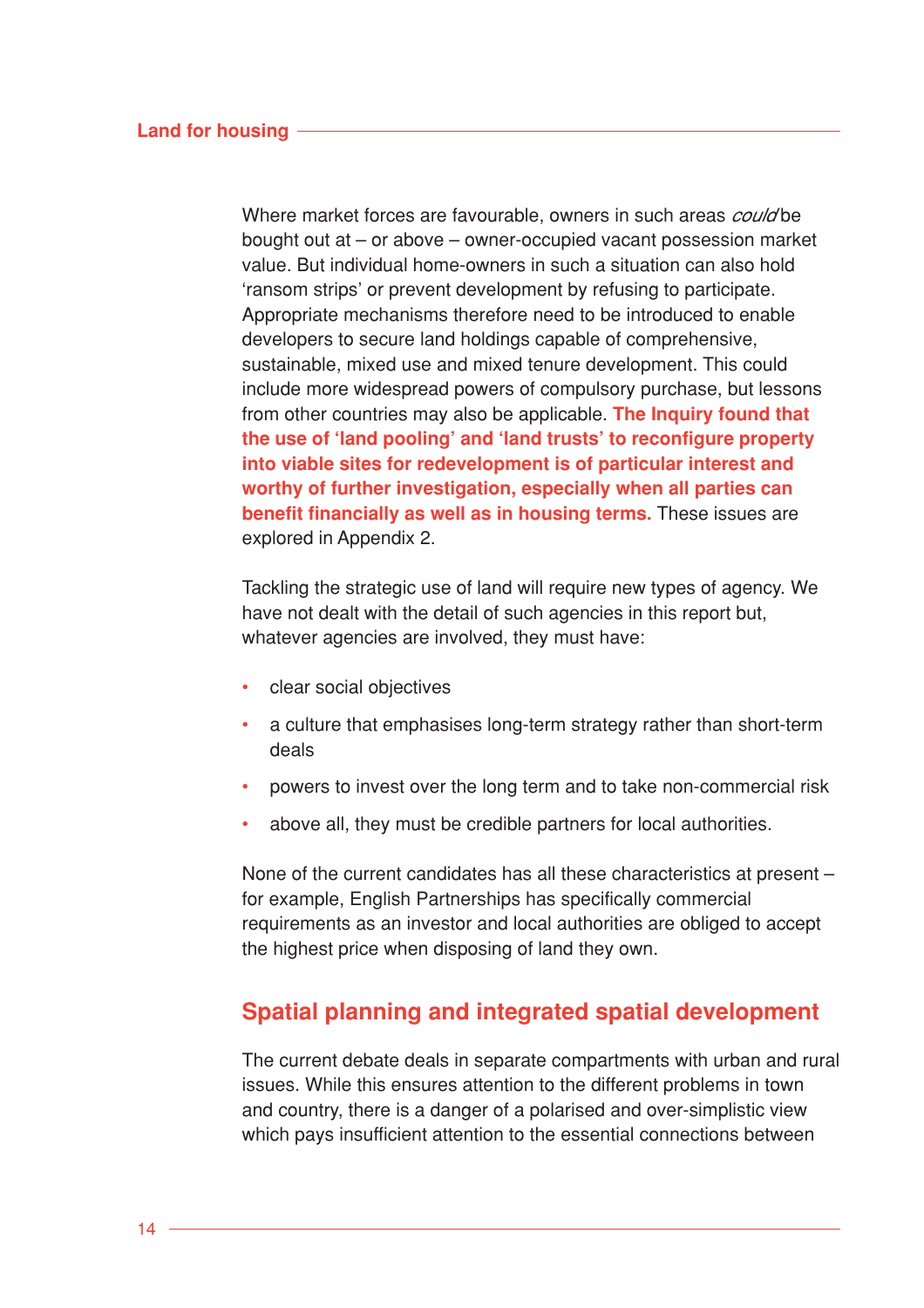Where market forces are favourable, owners in such areas *could* be bought out at – or above – owner-occupied vacant possession market value. But individual home-owners in such a situation can also hold 'ransom strips' or prevent development by refusing to participate. Appropriate mechanisms therefore need to be introduced to enable developers to secure land holdings capable of comprehensive, sustainable, mixed use and mixed tenure development. This could include more widespread powers of compulsory purchase, but lessons from other countries may also be applicable. **The Inquiry found that the use of 'land pooling' and 'land trusts' to reconfigure property into viable sites for redevelopment is of particular interest and worthy of further investigation, especially when all parties can benefit financially as well as in housing terms.** These issues are explored in Appendix 2.

Tackling the strategic use of land will require new types of agency. We have not dealt with the detail of such agencies in this report but, whatever agencies are involved, they must have:

- clear social objectives
- a culture that emphasises long-term strategy rather than short-term deals
- powers to invest over the long term and to take non-commercial risk
- above all, they must be credible partners for local authorities.

None of the current candidates has all these characteristics at present – for example, English Partnerships has specifically commercial requirements as an investor and local authorities are obliged to accept the highest price when disposing of land they own.

# **Spatial planning and integrated spatial development**

The current debate deals in separate compartments with urban and rural issues. While this ensures attention to the different problems in town and country, there is a danger of a polarised and over-simplistic view which pays insufficient attention to the essential connections between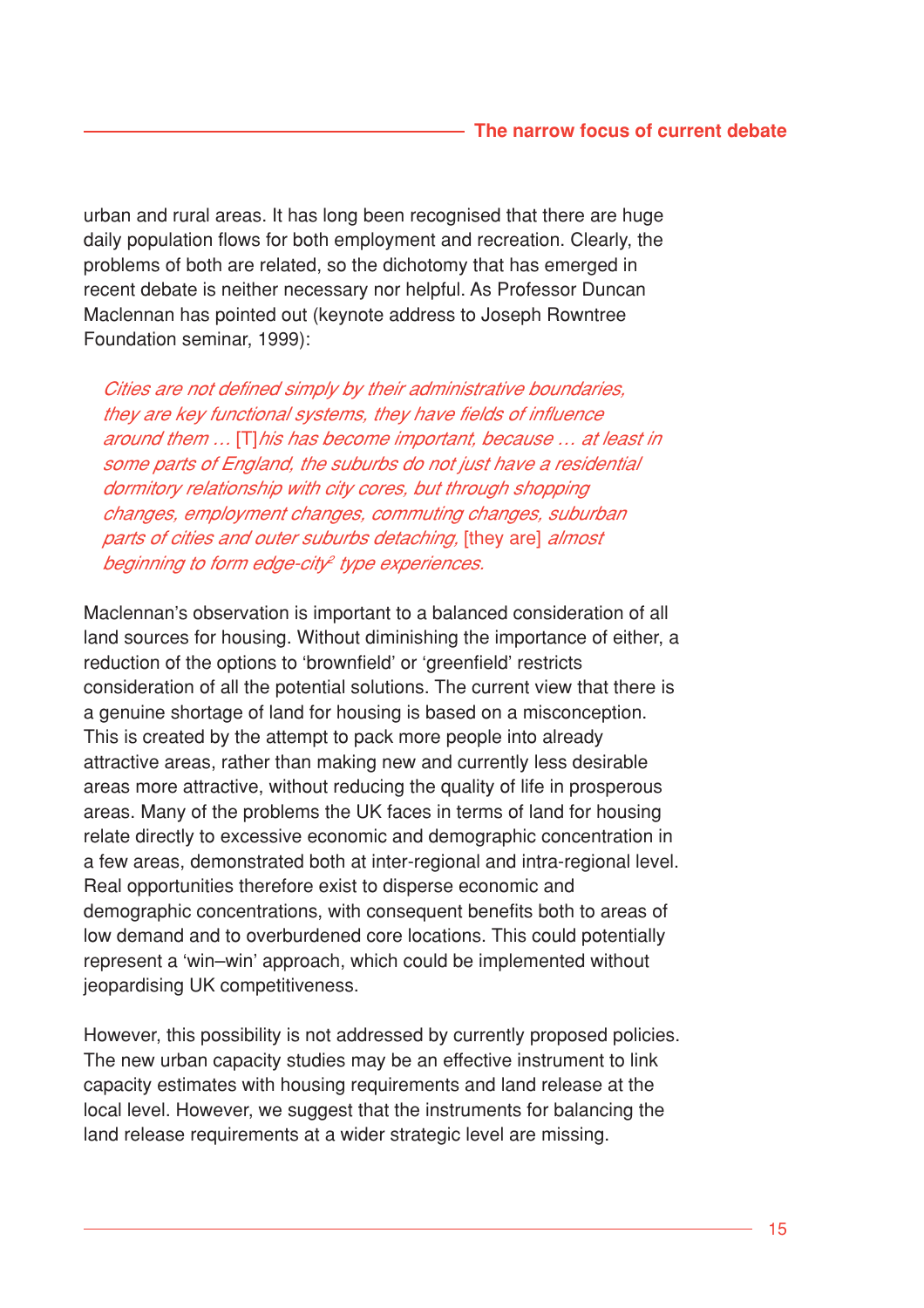urban and rural areas. It has long been recognised that there are huge daily population flows for both employment and recreation. Clearly, the problems of both are related, so the dichotomy that has emerged in recent debate is neither necessary nor helpful. As Professor Duncan Maclennan has pointed out (keynote address to Joseph Rowntree Foundation seminar, 1999):

Cities are not defined simply by their administrative boundaries, they are key functional systems, they have fields of influence around them … [T]his has become important, because … at least in some parts of England, the suburbs do not just have a residential dormitory relationship with city cores, but through shopping changes, employment changes, commuting changes, suburban parts of cities and outer suburbs detaching, [they are] almost beginning to form edge-city<sup>2</sup> type experiences.

Maclennan's observation is important to a balanced consideration of all land sources for housing. Without diminishing the importance of either, a reduction of the options to 'brownfield' or 'greenfield' restricts consideration of all the potential solutions. The current view that there is a genuine shortage of land for housing is based on a misconception. This is created by the attempt to pack more people into already attractive areas, rather than making new and currently less desirable areas more attractive, without reducing the quality of life in prosperous areas. Many of the problems the UK faces in terms of land for housing relate directly to excessive economic and demographic concentration in a few areas, demonstrated both at inter-regional and intra-regional level. Real opportunities therefore exist to disperse economic and demographic concentrations, with consequent benefits both to areas of low demand and to overburdened core locations. This could potentially represent a 'win–win' approach, which could be implemented without jeopardising UK competitiveness.

However, this possibility is not addressed by currently proposed policies. The new urban capacity studies may be an effective instrument to link capacity estimates with housing requirements and land release at the local level. However, we suggest that the instruments for balancing the land release requirements at a wider strategic level are missing.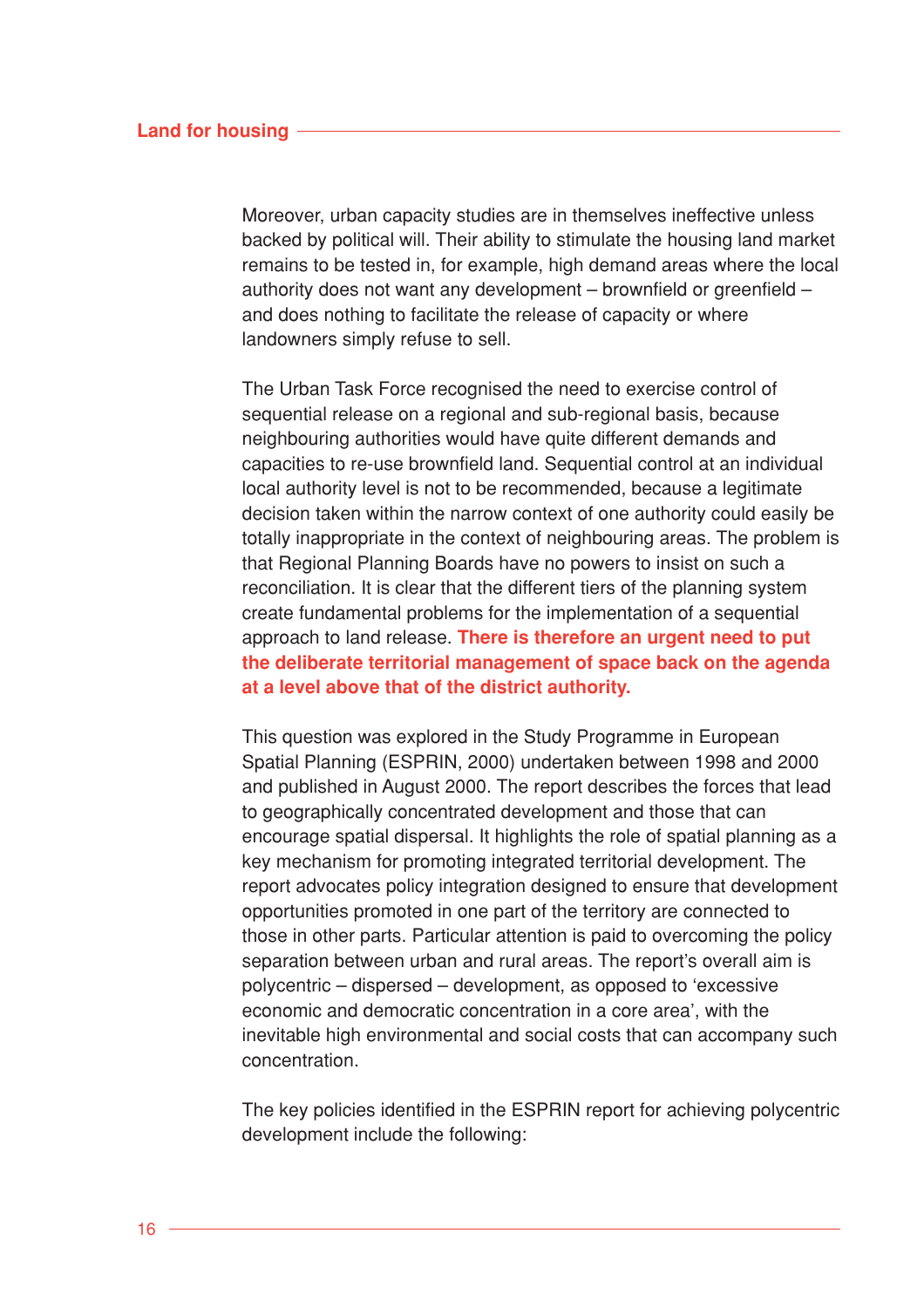#### **Land for housing**

Moreover, urban capacity studies are in themselves ineffective unless backed by political will. Their ability to stimulate the housing land market remains to be tested in, for example, high demand areas where the local authority does not want any development – brownfield or greenfield – and does nothing to facilitate the release of capacity or where landowners simply refuse to sell.

The Urban Task Force recognised the need to exercise control of sequential release on a regional and sub-regional basis, because neighbouring authorities would have quite different demands and capacities to re-use brownfield land. Sequential control at an individual local authority level is not to be recommended, because a legitimate decision taken within the narrow context of one authority could easily be totally inappropriate in the context of neighbouring areas. The problem is that Regional Planning Boards have no powers to insist on such a reconciliation. It is clear that the different tiers of the planning system create fundamental problems for the implementation of a sequential approach to land release. **There is therefore an urgent need to put the deliberate territorial management of space back on the agenda at a level above that of the district authority.**

This question was explored in the Study Programme in European Spatial Planning (ESPRIN, 2000) undertaken between 1998 and 2000 and published in August 2000. The report describes the forces that lead to geographically concentrated development and those that can encourage spatial dispersal. It highlights the role of spatial planning as a key mechanism for promoting integrated territorial development. The report advocates policy integration designed to ensure that development opportunities promoted in one part of the territory are connected to those in other parts. Particular attention is paid to overcoming the policy separation between urban and rural areas. The report's overall aim is polycentric – dispersed – development, as opposed to 'excessive economic and democratic concentration in a core area', with the inevitable high environmental and social costs that can accompany such concentration.

The key policies identified in the ESPRIN report for achieving polycentric development include the following: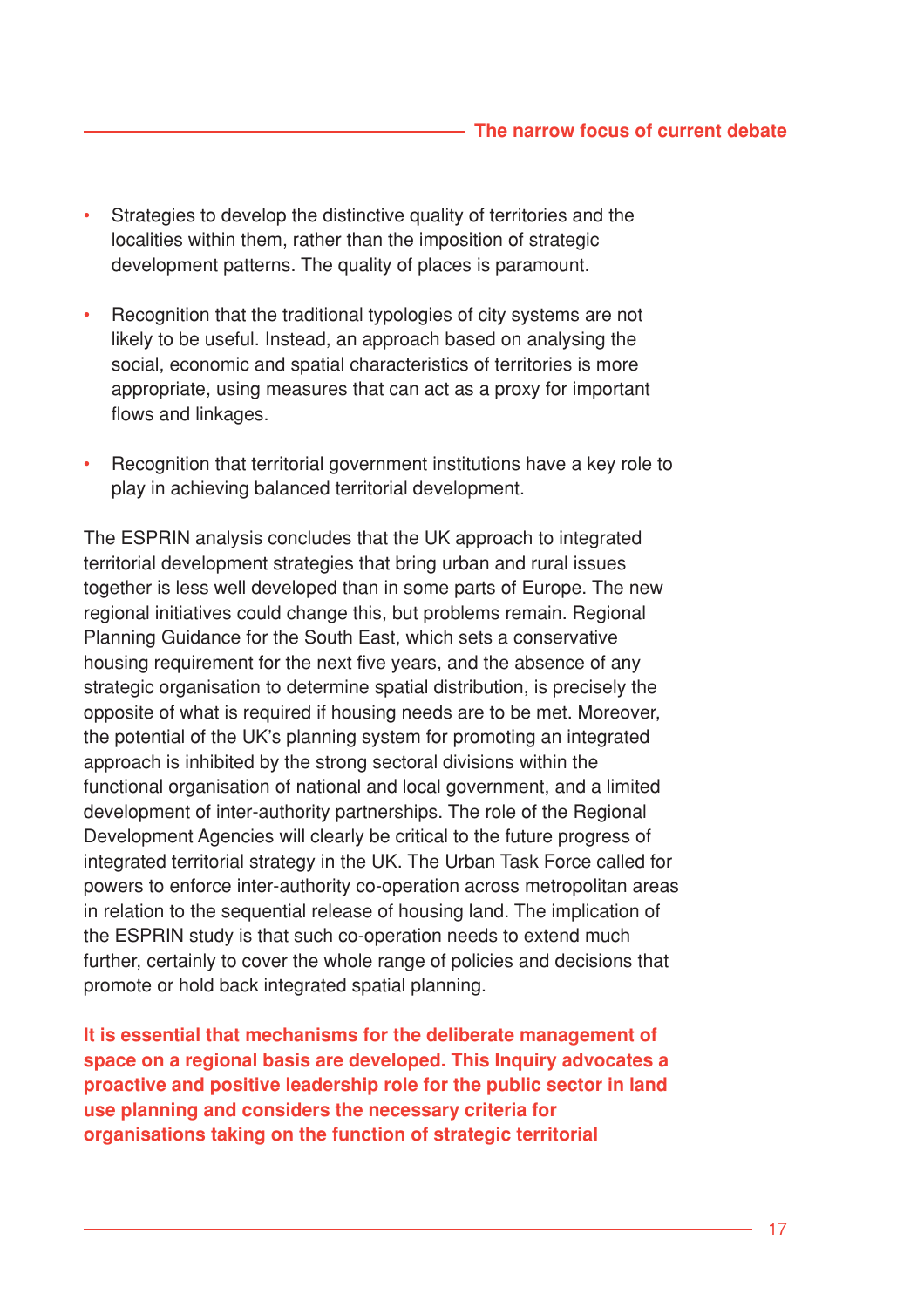- Strategies to develop the distinctive quality of territories and the localities within them, rather than the imposition of strategic development patterns. The quality of places is paramount.
- Recognition that the traditional typologies of city systems are not likely to be useful. Instead, an approach based on analysing the social, economic and spatial characteristics of territories is more appropriate, using measures that can act as a proxy for important flows and linkages.
- Recognition that territorial government institutions have a key role to play in achieving balanced territorial development.

The ESPRIN analysis concludes that the UK approach to integrated territorial development strategies that bring urban and rural issues together is less well developed than in some parts of Europe. The new regional initiatives could change this, but problems remain. Regional Planning Guidance for the South East, which sets a conservative housing requirement for the next five years, and the absence of any strategic organisation to determine spatial distribution, is precisely the opposite of what is required if housing needs are to be met. Moreover, the potential of the UK's planning system for promoting an integrated approach is inhibited by the strong sectoral divisions within the functional organisation of national and local government, and a limited development of inter-authority partnerships. The role of the Regional Development Agencies will clearly be critical to the future progress of integrated territorial strategy in the UK. The Urban Task Force called for powers to enforce inter-authority co-operation across metropolitan areas in relation to the sequential release of housing land. The implication of the ESPRIN study is that such co-operation needs to extend much further, certainly to cover the whole range of policies and decisions that promote or hold back integrated spatial planning.

**It is essential that mechanisms for the deliberate management of space on a regional basis are developed. This Inquiry advocates a proactive and positive leadership role for the public sector in land use planning and considers the necessary criteria for organisations taking on the function of strategic territorial**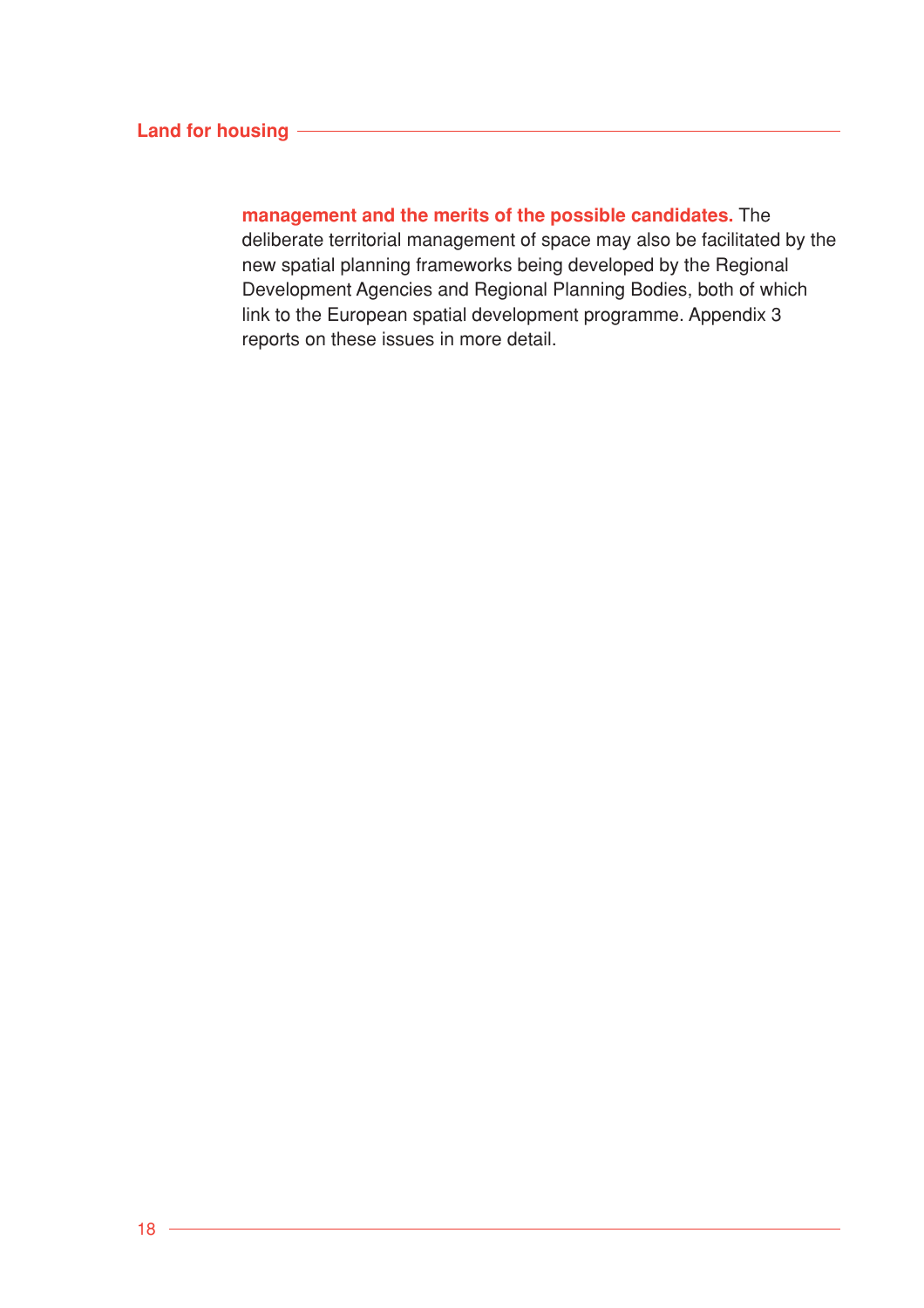## **Land for housing**

**management and the merits of the possible candidates.** The deliberate territorial management of space may also be facilitated by the new spatial planning frameworks being developed by the Regional Development Agencies and Regional Planning Bodies, both of which link to the European spatial development programme. Appendix 3 reports on these issues in more detail.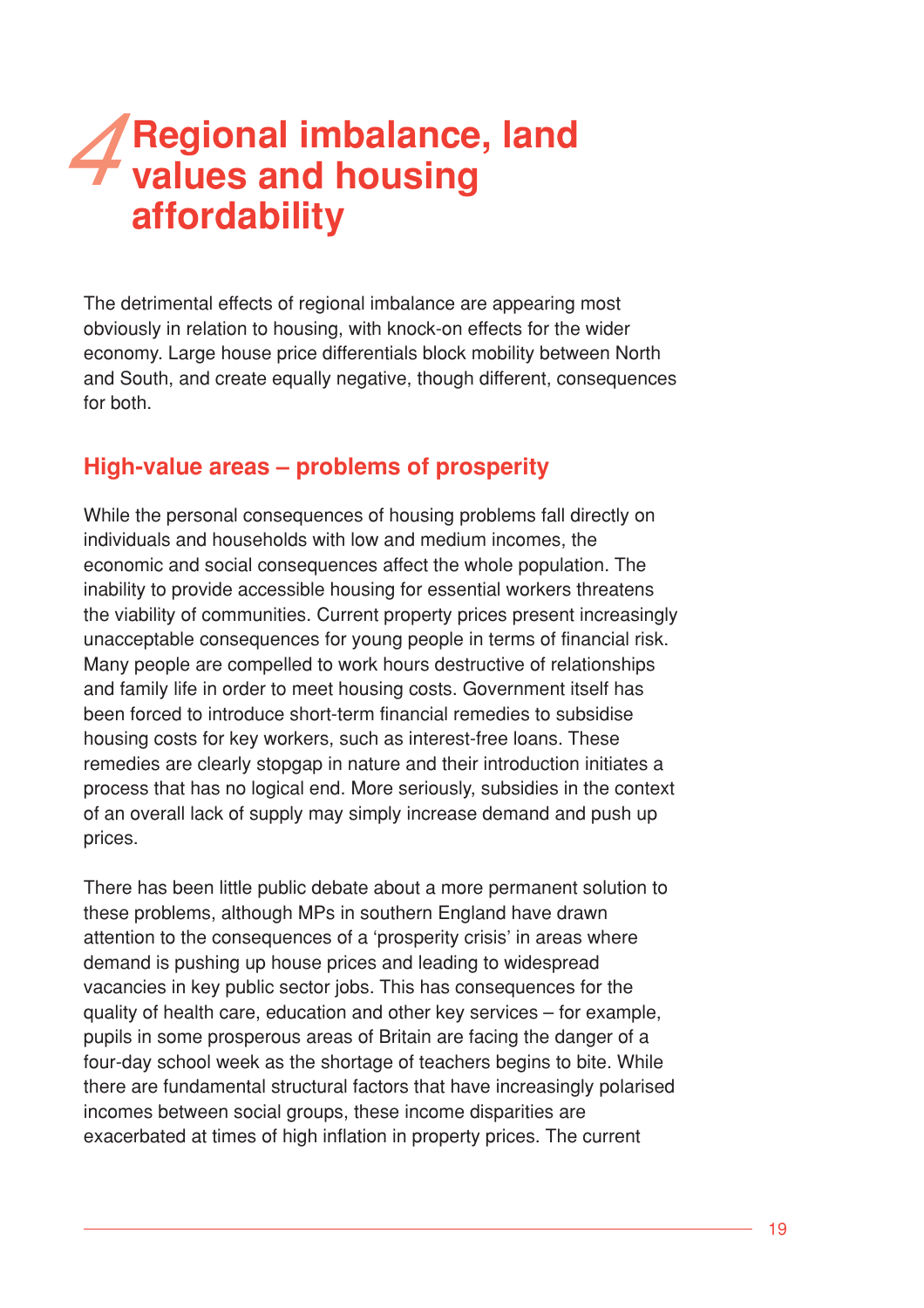# 4**Regional imbalance, land values and housing affordability**

The detrimental effects of regional imbalance are appearing most obviously in relation to housing, with knock-on effects for the wider economy. Large house price differentials block mobility between North and South, and create equally negative, though different, consequences for both.

## **High-value areas – problems of prosperity**

While the personal consequences of housing problems fall directly on individuals and households with low and medium incomes, the economic and social consequences affect the whole population. The inability to provide accessible housing for essential workers threatens the viability of communities. Current property prices present increasingly unacceptable consequences for young people in terms of financial risk. Many people are compelled to work hours destructive of relationships and family life in order to meet housing costs. Government itself has been forced to introduce short-term financial remedies to subsidise housing costs for key workers, such as interest-free loans. These remedies are clearly stopgap in nature and their introduction initiates a process that has no logical end. More seriously, subsidies in the context of an overall lack of supply may simply increase demand and push up prices.

There has been little public debate about a more permanent solution to these problems, although MPs in southern England have drawn attention to the consequences of a 'prosperity crisis' in areas where demand is pushing up house prices and leading to widespread vacancies in key public sector jobs. This has consequences for the quality of health care, education and other key services – for example, pupils in some prosperous areas of Britain are facing the danger of a four-day school week as the shortage of teachers begins to bite. While there are fundamental structural factors that have increasingly polarised incomes between social groups, these income disparities are exacerbated at times of high inflation in property prices. The current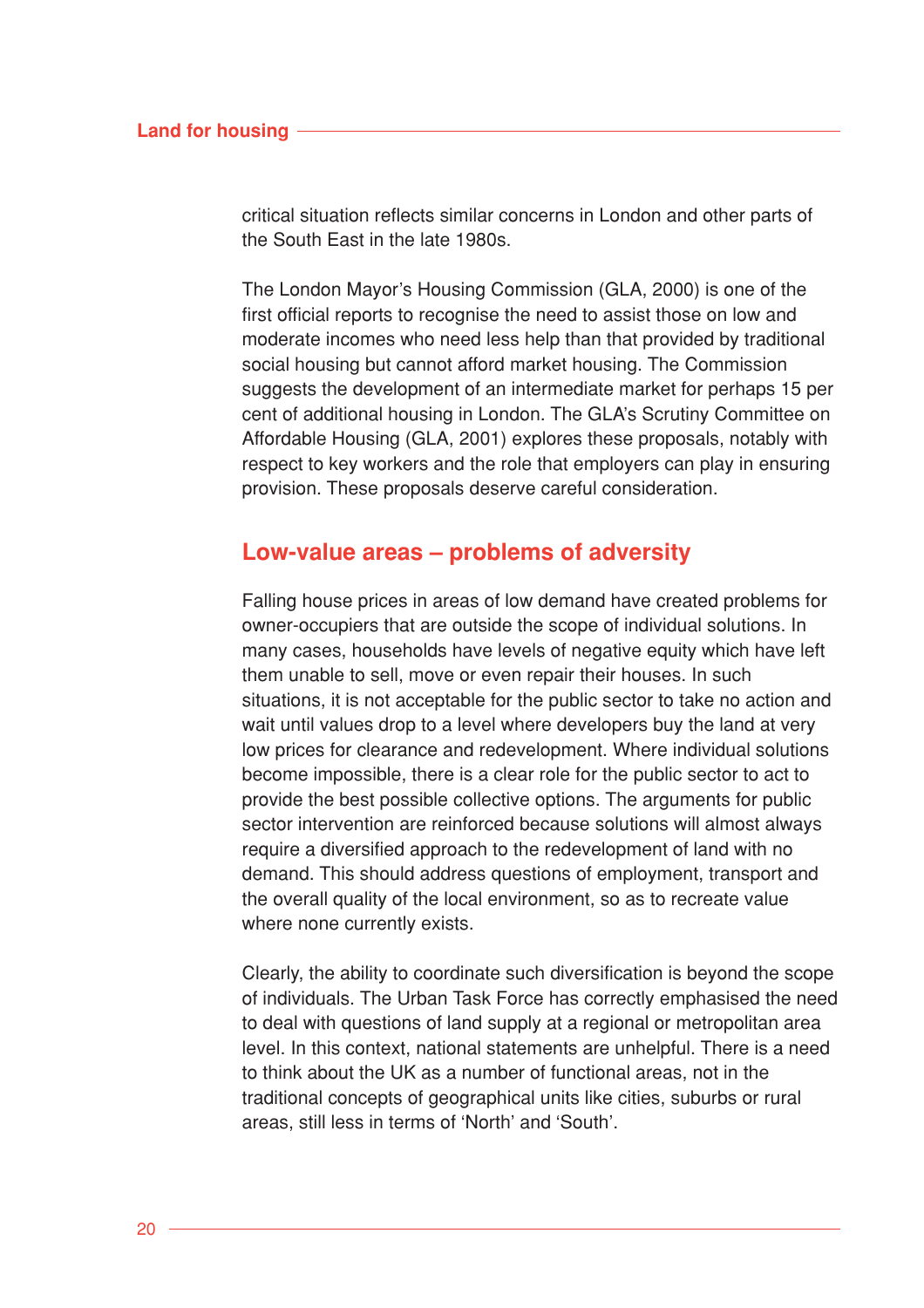#### **Land for housing**

critical situation reflects similar concerns in London and other parts of the South East in the late 1980s.

The London Mayor's Housing Commission (GLA, 2000) is one of the first official reports to recognise the need to assist those on low and moderate incomes who need less help than that provided by traditional social housing but cannot afford market housing. The Commission suggests the development of an intermediate market for perhaps 15 per cent of additional housing in London. The GLA's Scrutiny Committee on Affordable Housing (GLA, 2001) explores these proposals, notably with respect to key workers and the role that employers can play in ensuring provision. These proposals deserve careful consideration.

## **Low-value areas – problems of adversity**

Falling house prices in areas of low demand have created problems for owner-occupiers that are outside the scope of individual solutions. In many cases, households have levels of negative equity which have left them unable to sell, move or even repair their houses. In such situations, it is not acceptable for the public sector to take no action and wait until values drop to a level where developers buy the land at very low prices for clearance and redevelopment. Where individual solutions become impossible, there is a clear role for the public sector to act to provide the best possible collective options. The arguments for public sector intervention are reinforced because solutions will almost always require a diversified approach to the redevelopment of land with no demand. This should address questions of employment, transport and the overall quality of the local environment, so as to recreate value where none currently exists.

Clearly, the ability to coordinate such diversification is beyond the scope of individuals. The Urban Task Force has correctly emphasised the need to deal with questions of land supply at a regional or metropolitan area level. In this context, national statements are unhelpful. There is a need to think about the UK as a number of functional areas, not in the traditional concepts of geographical units like cities, suburbs or rural areas, still less in terms of 'North' and 'South'.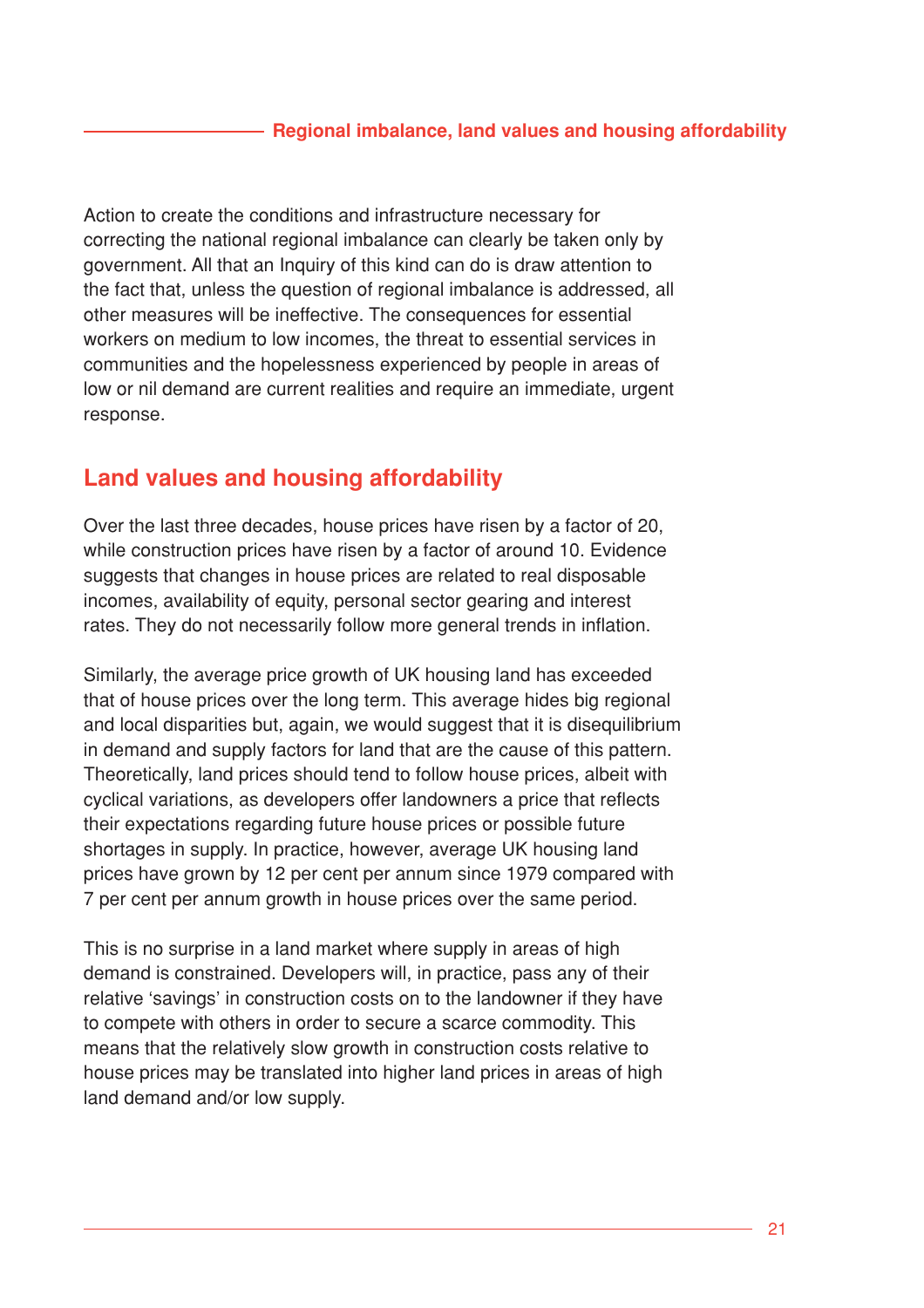Action to create the conditions and infrastructure necessary for correcting the national regional imbalance can clearly be taken only by government. All that an Inquiry of this kind can do is draw attention to the fact that, unless the question of regional imbalance is addressed, all other measures will be ineffective. The consequences for essential workers on medium to low incomes, the threat to essential services in communities and the hopelessness experienced by people in areas of low or nil demand are current realities and require an immediate, urgent response.

# **Land values and housing affordability**

Over the last three decades, house prices have risen by a factor of 20, while construction prices have risen by a factor of around 10. Evidence suggests that changes in house prices are related to real disposable incomes, availability of equity, personal sector gearing and interest rates. They do not necessarily follow more general trends in inflation.

Similarly, the average price growth of UK housing land has exceeded that of house prices over the long term. This average hides big regional and local disparities but, again, we would suggest that it is disequilibrium in demand and supply factors for land that are the cause of this pattern. Theoretically, land prices should tend to follow house prices, albeit with cyclical variations, as developers offer landowners a price that reflects their expectations regarding future house prices or possible future shortages in supply. In practice, however, average UK housing land prices have grown by 12 per cent per annum since 1979 compared with 7 per cent per annum growth in house prices over the same period.

This is no surprise in a land market where supply in areas of high demand is constrained. Developers will, in practice, pass any of their relative 'savings' in construction costs on to the landowner if they have to compete with others in order to secure a scarce commodity. This means that the relatively slow growth in construction costs relative to house prices may be translated into higher land prices in areas of high land demand and/or low supply.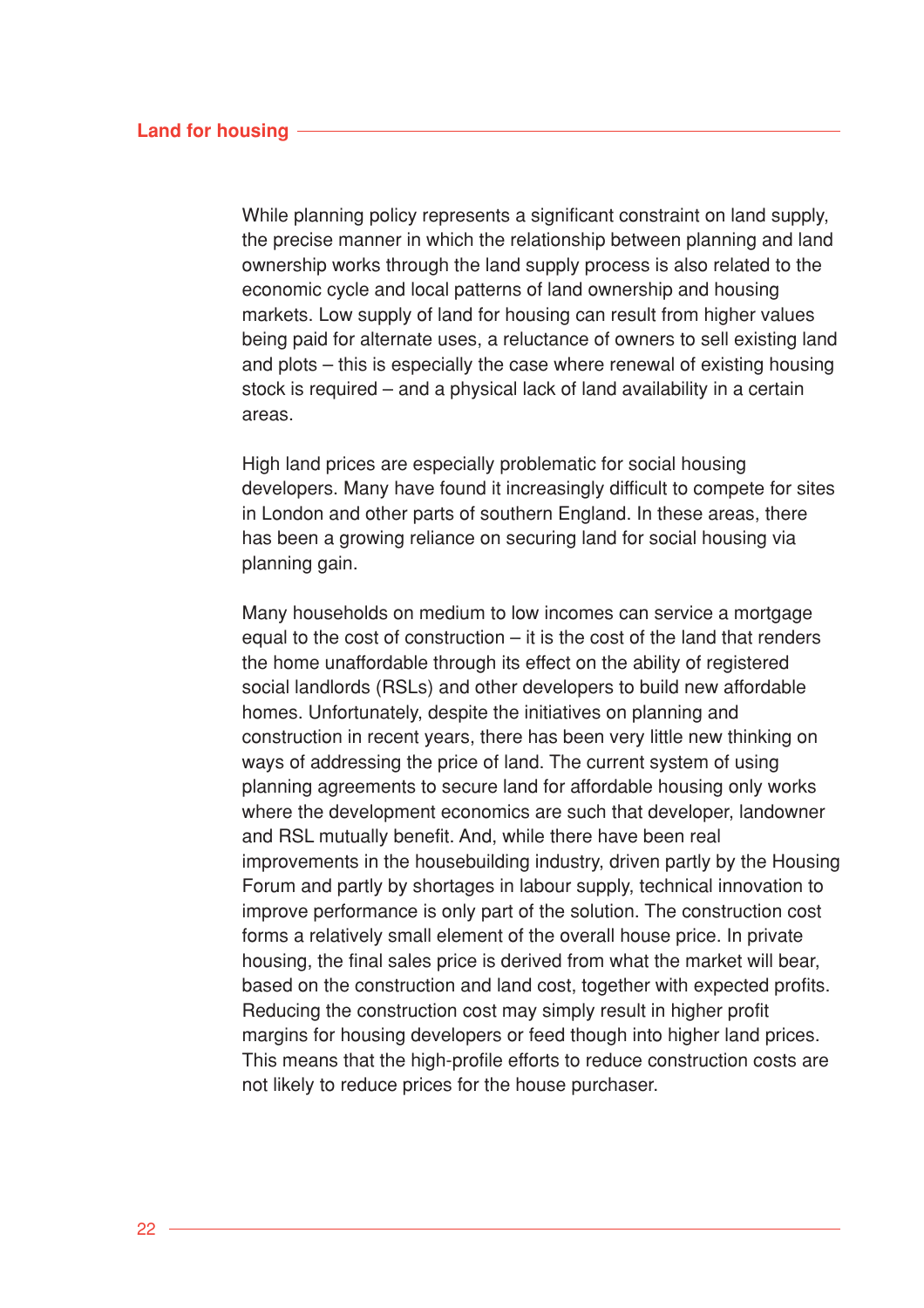While planning policy represents a significant constraint on land supply. the precise manner in which the relationship between planning and land ownership works through the land supply process is also related to the economic cycle and local patterns of land ownership and housing markets. Low supply of land for housing can result from higher values being paid for alternate uses, a reluctance of owners to sell existing land and plots – this is especially the case where renewal of existing housing stock is required – and a physical lack of land availability in a certain areas.

High land prices are especially problematic for social housing developers. Many have found it increasingly difficult to compete for sites in London and other parts of southern England. In these areas, there has been a growing reliance on securing land for social housing via planning gain.

Many households on medium to low incomes can service a mortgage equal to the cost of construction – it is the cost of the land that renders the home unaffordable through its effect on the ability of registered social landlords (RSLs) and other developers to build new affordable homes. Unfortunately, despite the initiatives on planning and construction in recent years, there has been very little new thinking on ways of addressing the price of land. The current system of using planning agreements to secure land for affordable housing only works where the development economics are such that developer, landowner and RSL mutually benefit. And, while there have been real improvements in the housebuilding industry, driven partly by the Housing Forum and partly by shortages in labour supply, technical innovation to improve performance is only part of the solution. The construction cost forms a relatively small element of the overall house price. In private housing, the final sales price is derived from what the market will bear, based on the construction and land cost, together with expected profits. Reducing the construction cost may simply result in higher profit margins for housing developers or feed though into higher land prices. This means that the high-profile efforts to reduce construction costs are not likely to reduce prices for the house purchaser.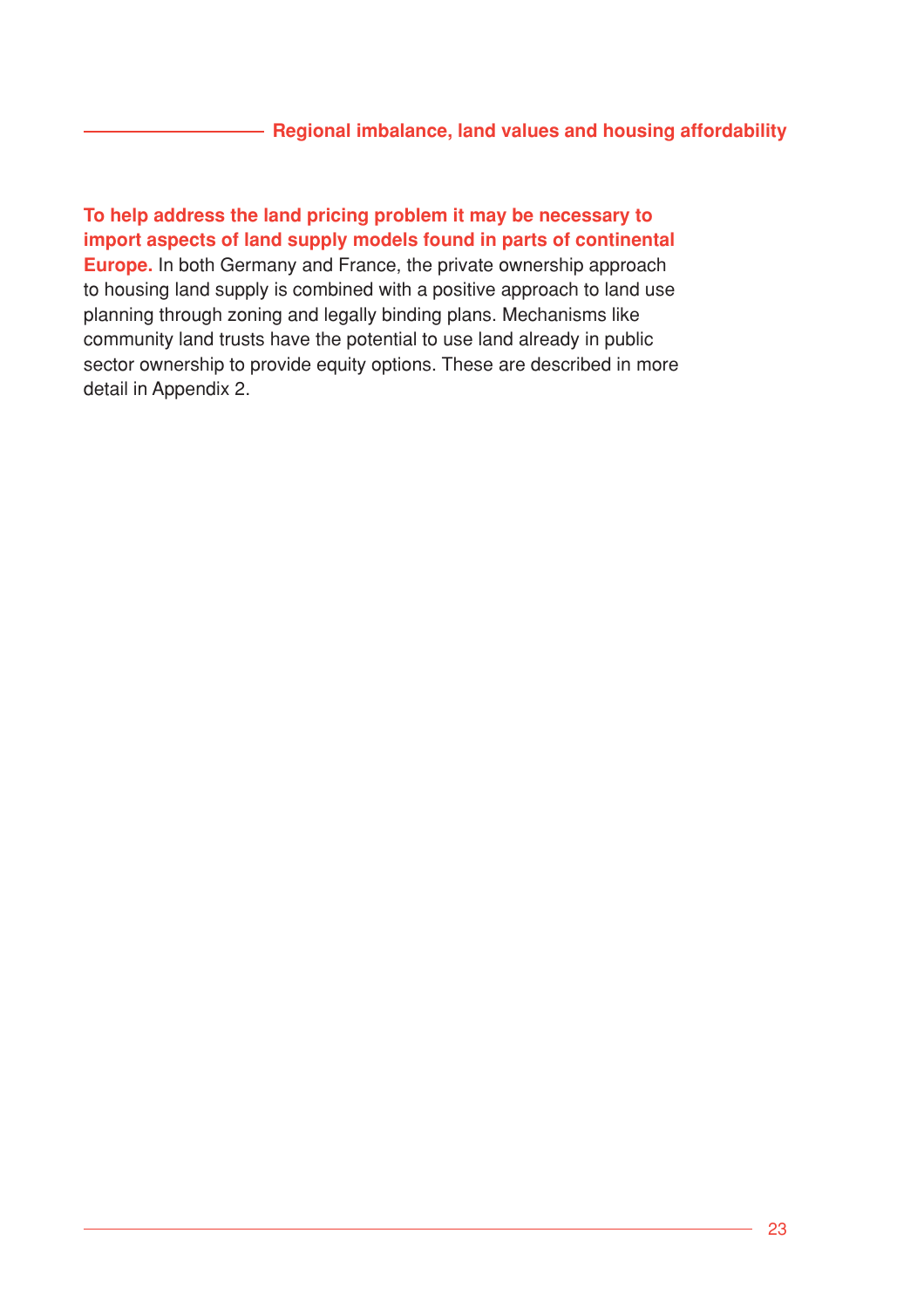## **Regional imbalance, land values and housing affordability**

**To help address the land pricing problem it may be necessary to import aspects of land supply models found in parts of continental Europe.** In both Germany and France, the private ownership approach to housing land supply is combined with a positive approach to land use planning through zoning and legally binding plans. Mechanisms like community land trusts have the potential to use land already in public sector ownership to provide equity options. These are described in more detail in Appendix 2.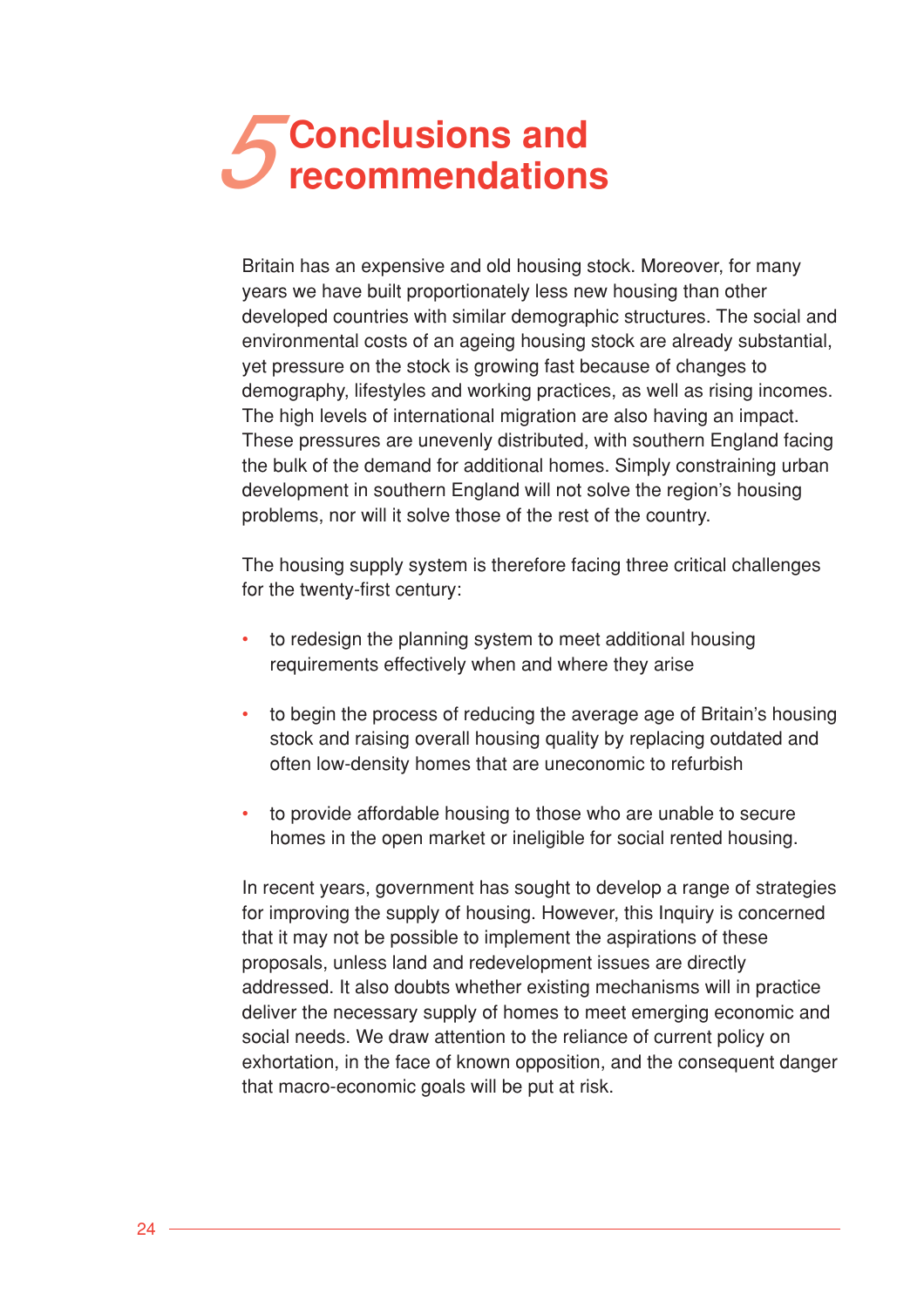# **Conclusions and<br>
Fecommendations**

Britain has an expensive and old housing stock. Moreover, for many years we have built proportionately less new housing than other developed countries with similar demographic structures. The social and environmental costs of an ageing housing stock are already substantial, yet pressure on the stock is growing fast because of changes to demography, lifestyles and working practices, as well as rising incomes. The high levels of international migration are also having an impact. These pressures are unevenly distributed, with southern England facing the bulk of the demand for additional homes. Simply constraining urban development in southern England will not solve the region's housing problems, nor will it solve those of the rest of the country.

The housing supply system is therefore facing three critical challenges for the twenty-first century:

- to redesign the planning system to meet additional housing requirements effectively when and where they arise
- to begin the process of reducing the average age of Britain's housing stock and raising overall housing quality by replacing outdated and often low-density homes that are uneconomic to refurbish
- to provide affordable housing to those who are unable to secure homes in the open market or ineligible for social rented housing.

In recent years, government has sought to develop a range of strategies for improving the supply of housing. However, this Inquiry is concerned that it may not be possible to implement the aspirations of these proposals, unless land and redevelopment issues are directly addressed. It also doubts whether existing mechanisms will in practice deliver the necessary supply of homes to meet emerging economic and social needs. We draw attention to the reliance of current policy on exhortation, in the face of known opposition, and the consequent danger that macro-economic goals will be put at risk.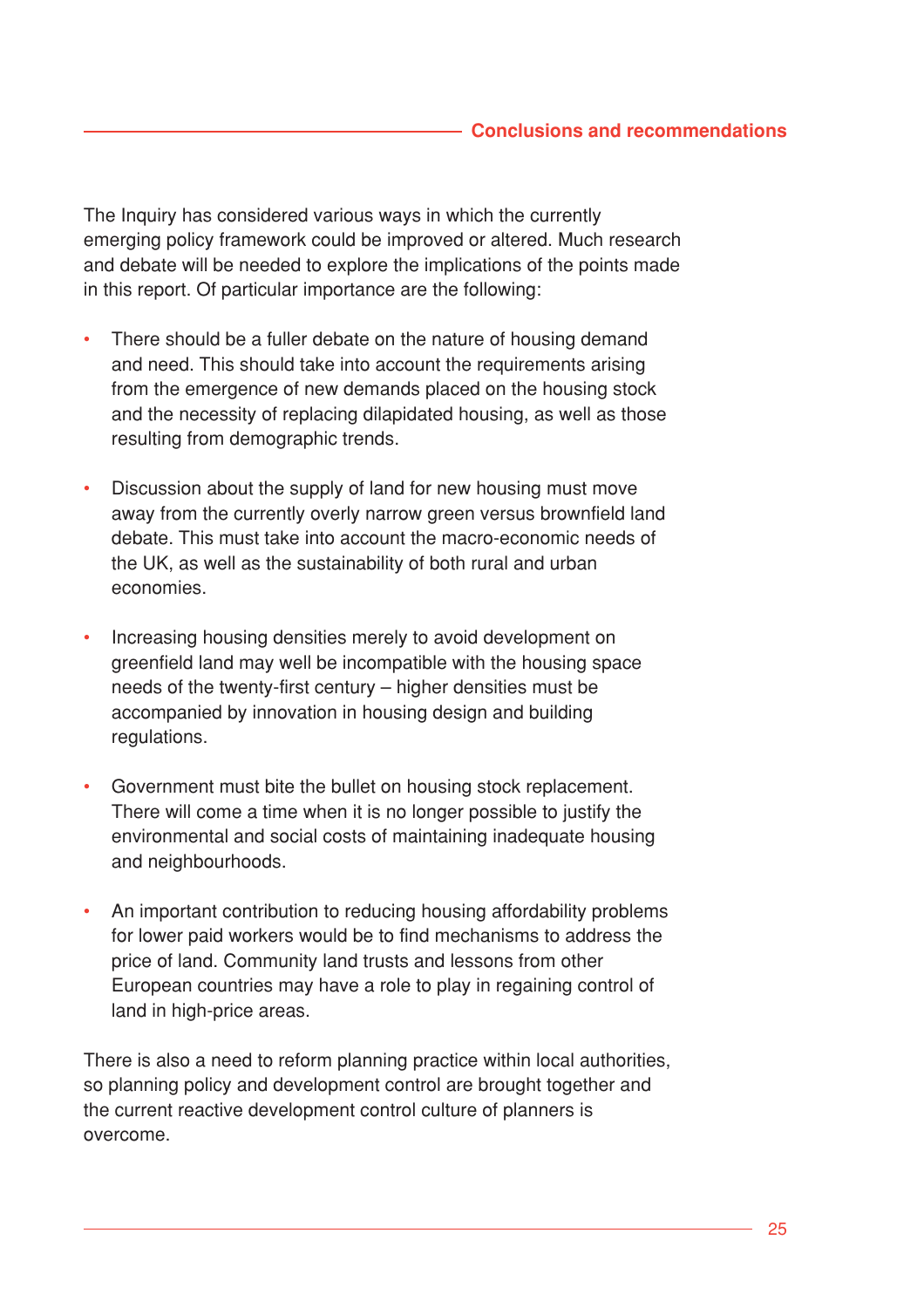The Inquiry has considered various ways in which the currently emerging policy framework could be improved or altered. Much research and debate will be needed to explore the implications of the points made in this report. Of particular importance are the following:

- There should be a fuller debate on the nature of housing demand and need. This should take into account the requirements arising from the emergence of new demands placed on the housing stock and the necessity of replacing dilapidated housing, as well as those resulting from demographic trends.
- Discussion about the supply of land for new housing must move away from the currently overly narrow green versus brownfield land debate. This must take into account the macro-economic needs of the UK, as well as the sustainability of both rural and urban economies.
- Increasing housing densities merely to avoid development on greenfield land may well be incompatible with the housing space needs of the twenty-first century – higher densities must be accompanied by innovation in housing design and building regulations.
- Government must bite the bullet on housing stock replacement. There will come a time when it is no longer possible to justify the environmental and social costs of maintaining inadequate housing and neighbourhoods.
- An important contribution to reducing housing affordability problems for lower paid workers would be to find mechanisms to address the price of land. Community land trusts and lessons from other European countries may have a role to play in regaining control of land in high-price areas.

There is also a need to reform planning practice within local authorities, so planning policy and development control are brought together and the current reactive development control culture of planners is overcome.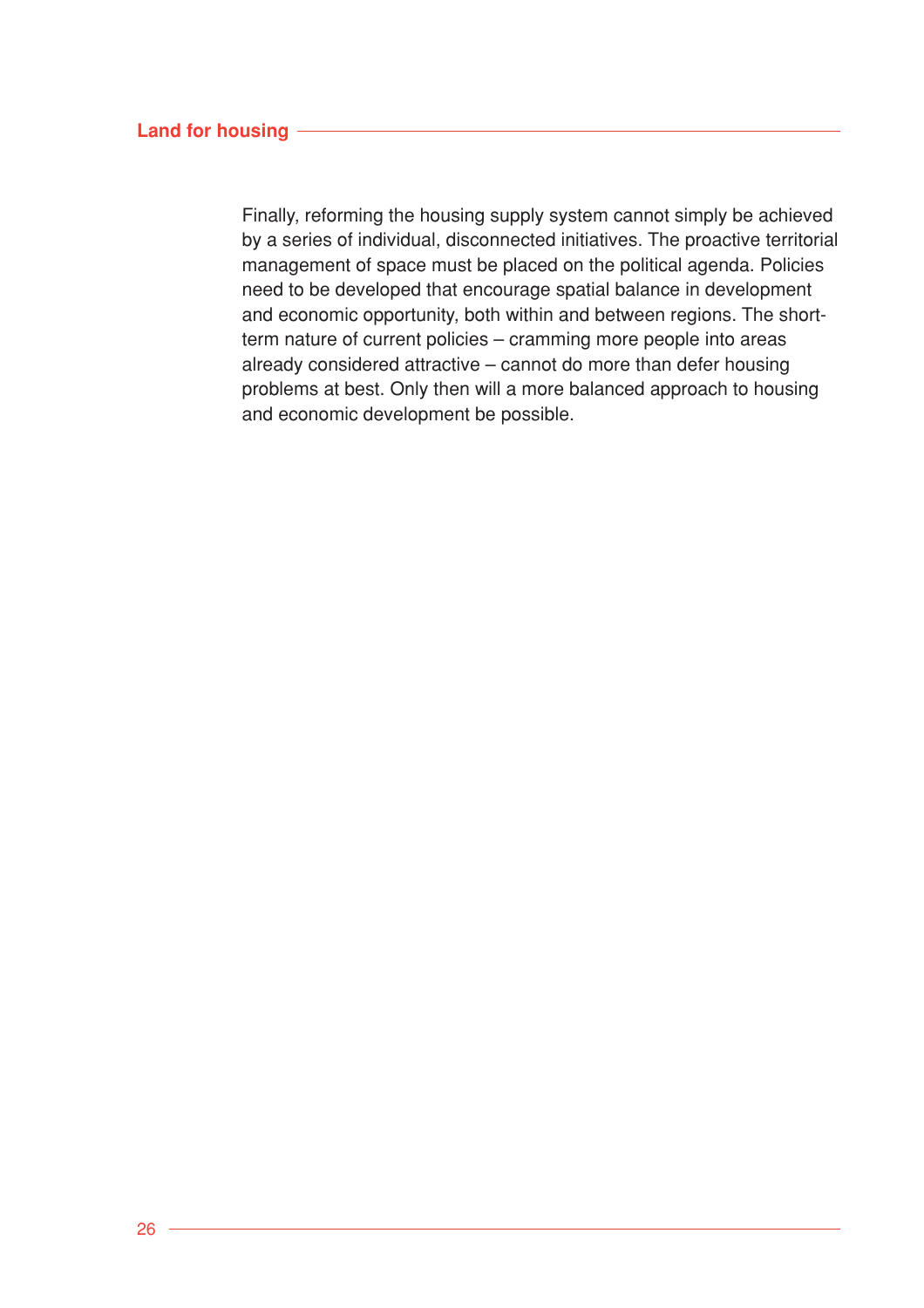#### **Land for housing**

Finally, reforming the housing supply system cannot simply be achieved by a series of individual, disconnected initiatives. The proactive territorial management of space must be placed on the political agenda. Policies need to be developed that encourage spatial balance in development and economic opportunity, both within and between regions. The shortterm nature of current policies – cramming more people into areas already considered attractive – cannot do more than defer housing problems at best. Only then will a more balanced approach to housing and economic development be possible.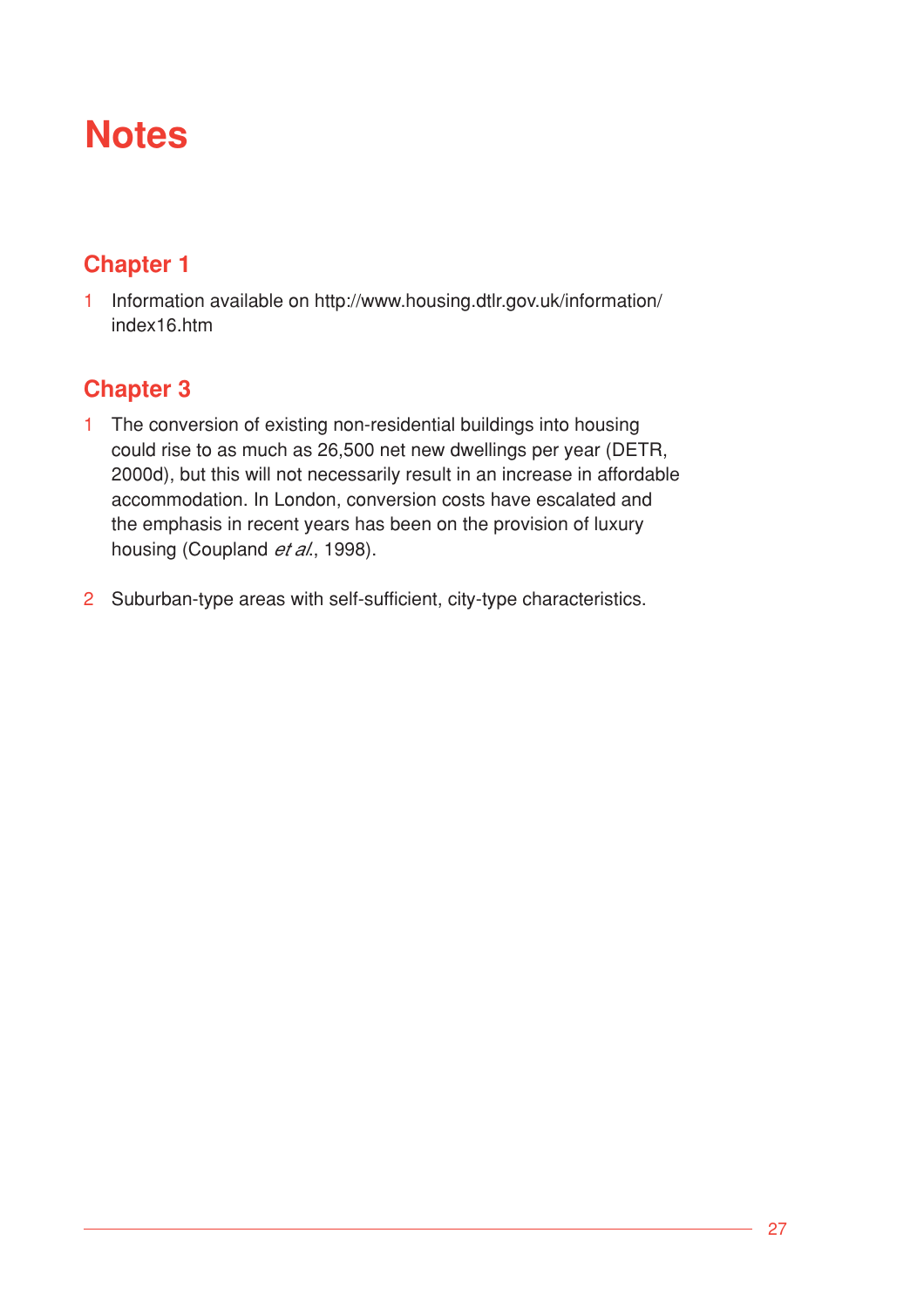# **Notes**

# **Chapter 1**

1 Information available on http://www.housing.dtlr.gov.uk/information/ index16.htm

# **Chapter 3**

- 1 The conversion of existing non-residential buildings into housing could rise to as much as 26,500 net new dwellings per year (DETR, 2000d), but this will not necessarily result in an increase in affordable accommodation. In London, conversion costs have escalated and the emphasis in recent years has been on the provision of luxury housing (Coupland et al., 1998).
- 2 Suburban-type areas with self-sufficient, city-type characteristics.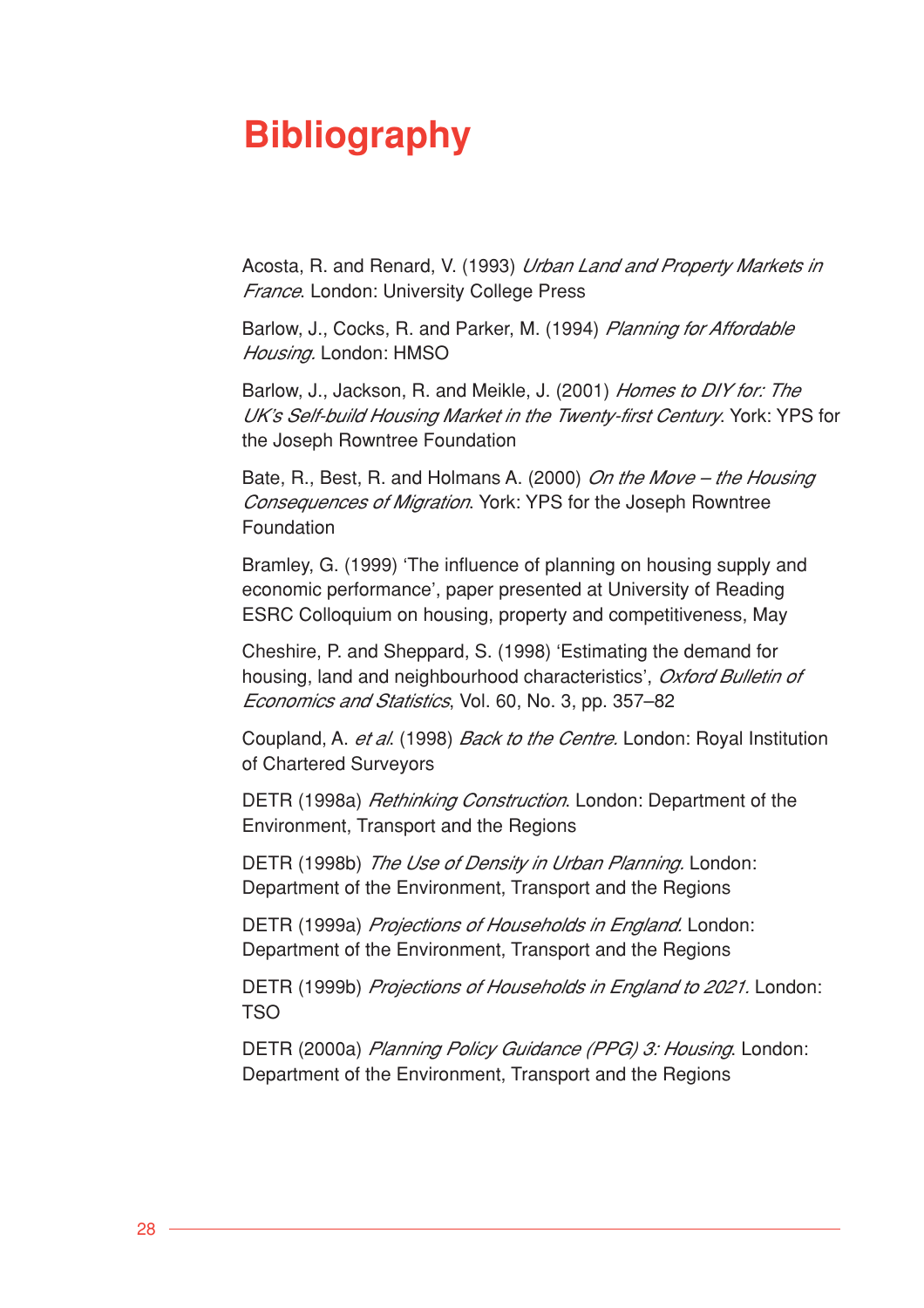# **Bibliography**

Acosta, R. and Renard, V. (1993) Urban Land and Property Markets in France. London: University College Press

Barlow, J., Cocks, R. and Parker, M. (1994) Planning for Affordable Housing. London: HMSO

Barlow, J., Jackson, R. and Meikle, J. (2001) Homes to DIY for: The UK's Self-build Housing Market in the Twenty-first Century. York: YPS for the Joseph Rowntree Foundation

Bate, R., Best, R. and Holmans A. (2000) On the Move – the Housing Consequences of Migration. York: YPS for the Joseph Rowntree Foundation

Bramley, G. (1999) 'The influence of planning on housing supply and economic performance', paper presented at University of Reading ESRC Colloquium on housing, property and competitiveness, May

Cheshire, P. and Sheppard, S. (1998) 'Estimating the demand for housing, land and neighbourhood characteristics', Oxford Bulletin of Economics and Statistics, Vol. 60, No. 3, pp. 357–82

Coupland, A. et al. (1998) *Back to the Centre.* London: Royal Institution of Chartered Surveyors

DETR (1998a) *Rethinking Construction*. London: Department of the Environment, Transport and the Regions

DETR (1998b) The Use of Density in Urban Planning. London: Department of the Environment, Transport and the Regions

DETR (1999a) Projections of Households in England. London: Department of the Environment, Transport and the Regions

DETR (1999b) Projections of Households in England to 2021. London: TSO

DETR (2000a) Planning Policy Guidance (PPG) 3: Housing. London: Department of the Environment, Transport and the Regions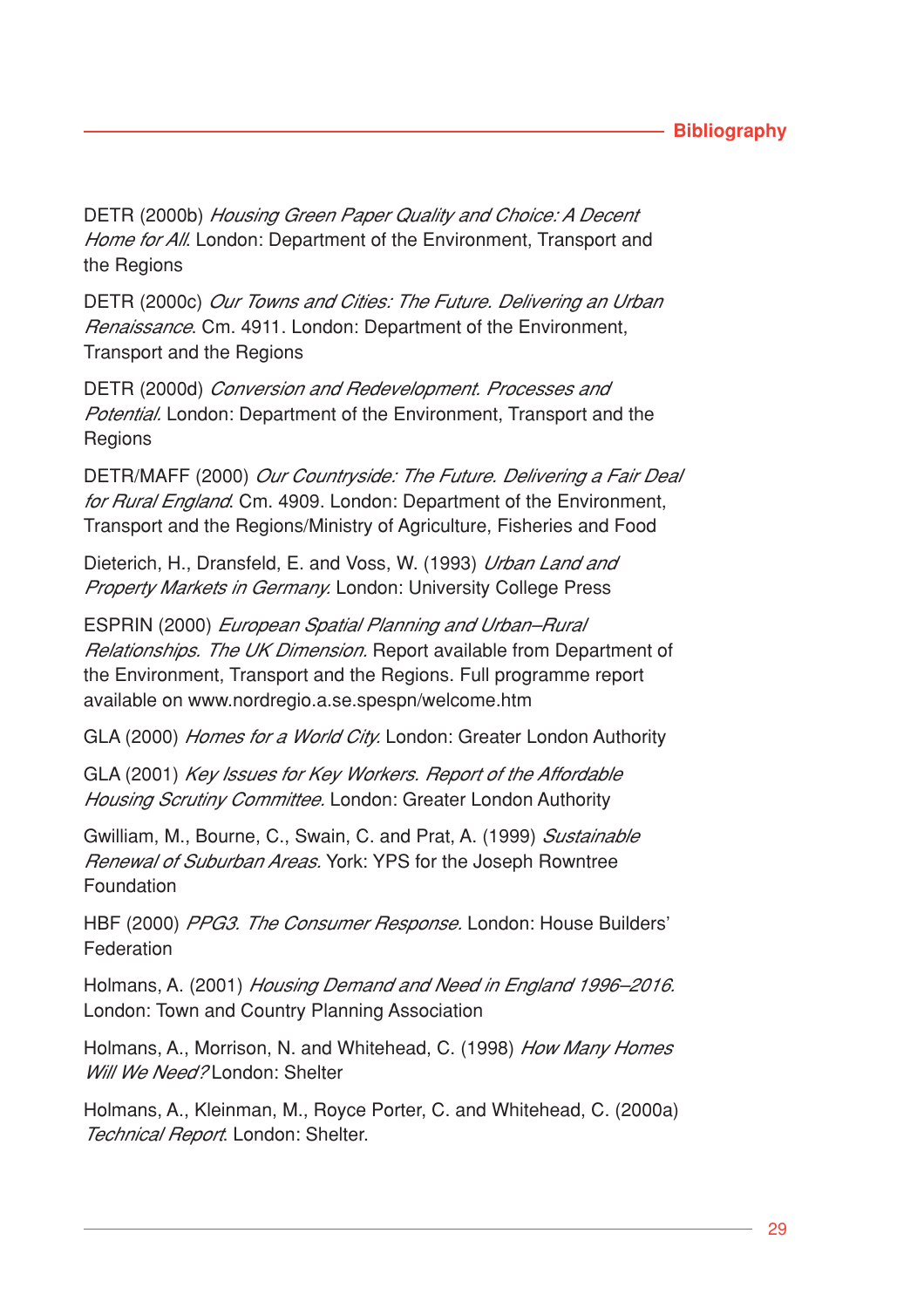## **Bibliography**

DETR (2000b) Housing Green Paper Quality and Choice: A Decent Home for All. London: Department of the Environment, Transport and the Regions

DETR (2000c) Our Towns and Cities: The Future. Delivering an Urban Renaissance. Cm. 4911. London: Department of the Environment, Transport and the Regions

DETR (2000d) Conversion and Redevelopment. Processes and Potential. London: Department of the Environment, Transport and the **Regions** 

DETR/MAFF (2000) Our Countryside: The Future. Delivering a Fair Deal for Rural England. Cm. 4909. London: Department of the Environment, Transport and the Regions/Ministry of Agriculture, Fisheries and Food

Dieterich, H., Dransfeld, E. and Voss, W. (1993) Urban Land and **Property Markets in Germany. London: University College Press** 

ESPRIN (2000) European Spatial Planning and Urban–Rural Relationships. The UK Dimension. Report available from Department of the Environment, Transport and the Regions. Full programme report available on www.nordregio.a.se.spespn/welcome.htm

GLA (2000) Homes for a World City. London: Greater London Authority

GLA (2001) Key Issues for Key Workers. Report of the Affordable Housing Scrutiny Committee. London: Greater London Authority

Gwilliam, M., Bourne, C., Swain, C. and Prat, A. (1999) Sustainable Renewal of Suburban Areas. York: YPS for the Joseph Rowntree Foundation

HBF (2000) PPG3. The Consumer Response. London: House Builders' Federation

Holmans, A. (2001) Housing Demand and Need in England 1996–2016. London: Town and Country Planning Association

Holmans, A., Morrison, N. and Whitehead, C. (1998) How Many Homes Will We Need? London: Shelter

Holmans, A., Kleinman, M., Royce Porter, C. and Whitehead, C. (2000a) Technical Report. London: Shelter.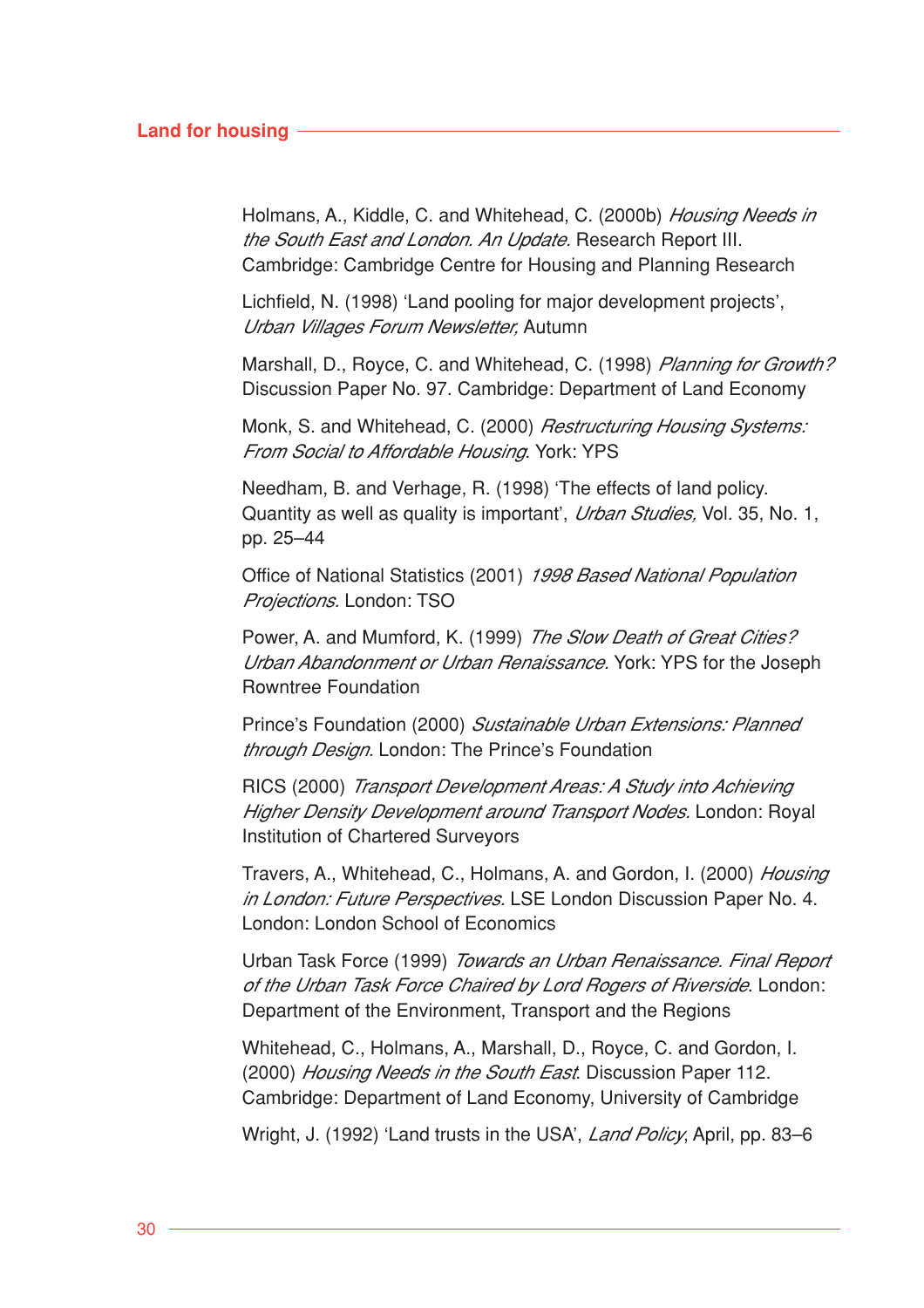#### **Land for housing**

Holmans, A., Kiddle, C. and Whitehead, C. (2000b) Housing Needs in the South East and London. An Update. Research Report III. Cambridge: Cambridge Centre for Housing and Planning Research

Lichfield, N. (1998) 'Land pooling for major development projects', Urban Villages Forum Newsletter, Autumn

Marshall, D., Royce, C. and Whitehead, C. (1998) Planning for Growth? Discussion Paper No. 97. Cambridge: Department of Land Economy

Monk, S. and Whitehead, C. (2000) *Restructuring Housing Systems:* From Social to Affordable Housing. York: YPS

Needham, B. and Verhage, R. (1998) 'The effects of land policy. Quantity as well as quality is important', Urban Studies, Vol. 35, No. 1, pp. 25–44

Office of National Statistics (2001) 1998 Based National Population Projections. London: TSO

Power, A. and Mumford, K. (1999) The Slow Death of Great Cities? Urban Abandonment or Urban Renaissance. York: YPS for the Joseph Rowntree Foundation

Prince's Foundation (2000) Sustainable Urban Extensions: Planned through Design. London: The Prince's Foundation

RICS (2000) Transport Development Areas: A Study into Achieving Higher Density Development around Transport Nodes. London: Royal Institution of Chartered Surveyors

Travers, A., Whitehead, C., Holmans, A. and Gordon, I. (2000) Housing in London: Future Perspectives. LSE London Discussion Paper No. 4. London: London School of Economics

Urban Task Force (1999) Towards an Urban Renaissance. Final Report of the Urban Task Force Chaired by Lord Rogers of Riverside. London: Department of the Environment, Transport and the Regions

Whitehead, C., Holmans, A., Marshall, D., Royce, C. and Gordon, I. (2000) Housing Needs in the South East. Discussion Paper 112. Cambridge: Department of Land Economy, University of Cambridge

Wright, J. (1992) 'Land trusts in the USA', Land Policy, April, pp. 83–6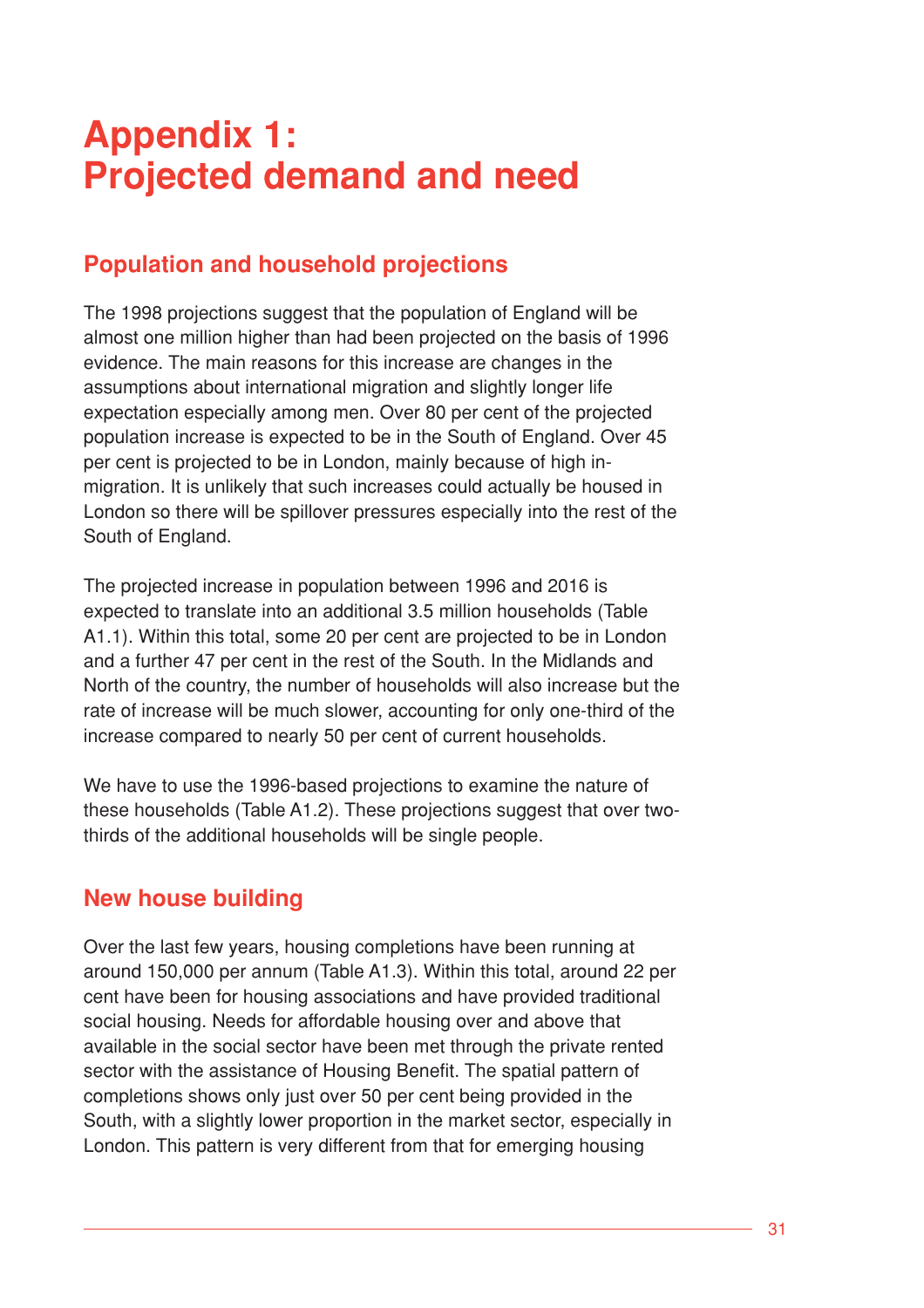# **Appendix 1: Projected demand and need**

# **Population and household projections**

The 1998 projections suggest that the population of England will be almost one million higher than had been projected on the basis of 1996 evidence. The main reasons for this increase are changes in the assumptions about international migration and slightly longer life expectation especially among men. Over 80 per cent of the projected population increase is expected to be in the South of England. Over 45 per cent is projected to be in London, mainly because of high inmigration. It is unlikely that such increases could actually be housed in London so there will be spillover pressures especially into the rest of the South of England.

The projected increase in population between 1996 and 2016 is expected to translate into an additional 3.5 million households (Table A1.1). Within this total, some 20 per cent are projected to be in London and a further 47 per cent in the rest of the South. In the Midlands and North of the country, the number of households will also increase but the rate of increase will be much slower, accounting for only one-third of the increase compared to nearly 50 per cent of current households.

We have to use the 1996-based projections to examine the nature of these households (Table A1.2). These projections suggest that over twothirds of the additional households will be single people.

# **New house building**

Over the last few years, housing completions have been running at around 150,000 per annum (Table A1.3). Within this total, around 22 per cent have been for housing associations and have provided traditional social housing. Needs for affordable housing over and above that available in the social sector have been met through the private rented sector with the assistance of Housing Benefit. The spatial pattern of completions shows only just over 50 per cent being provided in the South, with a slightly lower proportion in the market sector, especially in London. This pattern is very different from that for emerging housing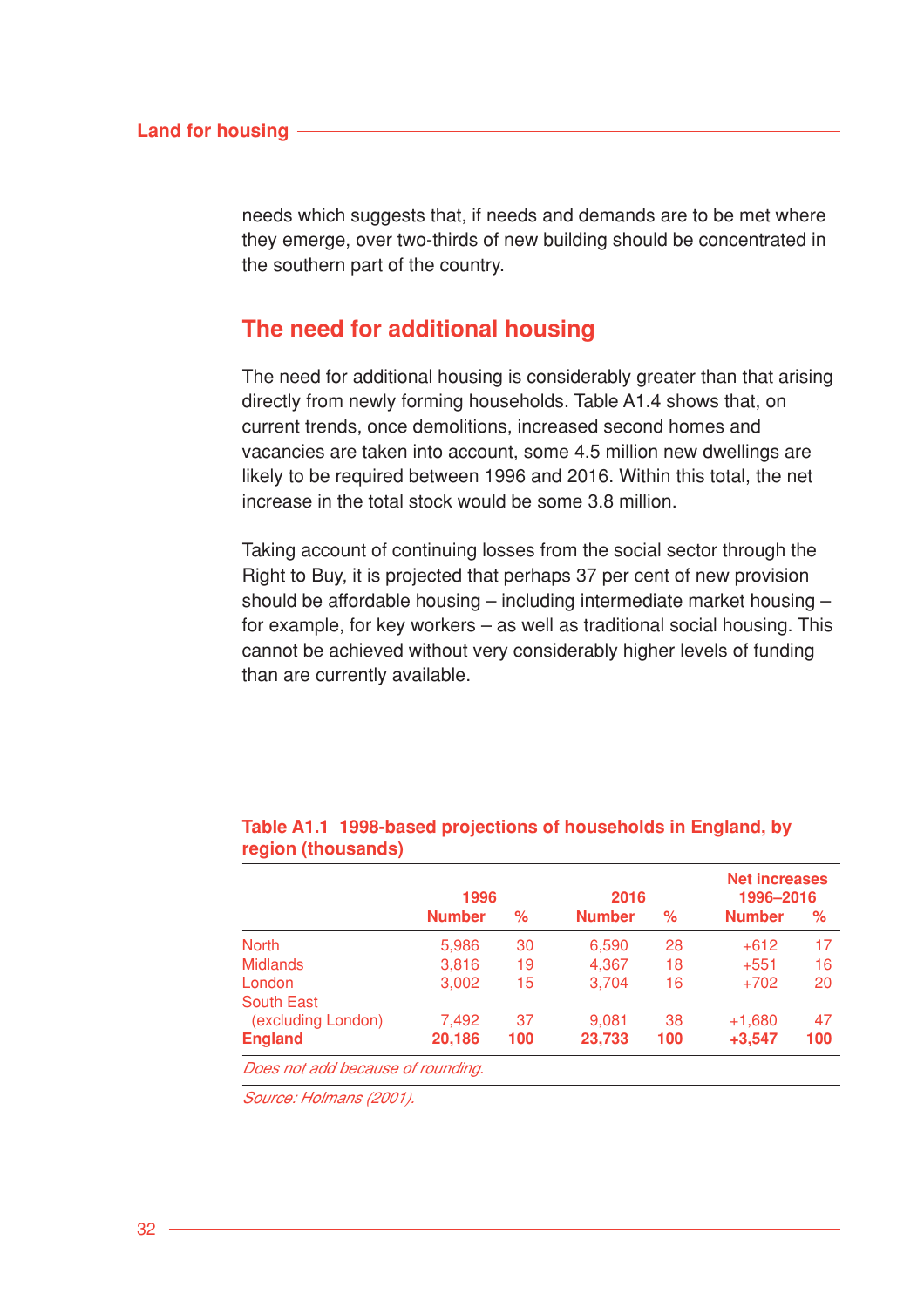needs which suggests that, if needs and demands are to be met where they emerge, over two-thirds of new building should be concentrated in the southern part of the country.

## **The need for additional housing**

The need for additional housing is considerably greater than that arising directly from newly forming households. Table A1.4 shows that, on current trends, once demolitions, increased second homes and vacancies are taken into account, some 4.5 million new dwellings are likely to be required between 1996 and 2016. Within this total, the net increase in the total stock would be some 3.8 million.

Taking account of continuing losses from the social sector through the Right to Buy, it is projected that perhaps 37 per cent of new provision should be affordable housing – including intermediate market housing – for example, for key workers – as well as traditional social housing. This cannot be achieved without very considerably higher levels of funding than are currently available.

|                                   | 1996          |     | 2016          |     | <b>Net increases</b><br>1996-2016 |     |
|-----------------------------------|---------------|-----|---------------|-----|-----------------------------------|-----|
|                                   | <b>Number</b> | ℅   | <b>Number</b> | ℅   | <b>Number</b>                     | ℅   |
| <b>North</b>                      | 5,986         | 30  | 6,590         | 28  | $+612$                            | 17  |
| <b>Midlands</b>                   | 3,816         | 19  | 4,367         | 18  | $+551$                            | 16  |
| London                            | 3,002         | 15  | 3,704         | 16  | $+702$                            | 20  |
| <b>South East</b>                 |               |     |               |     |                                   |     |
| (excluding London)                | 7,492         | 37  | 9.081         | 38  | $+1,680$                          | 47  |
| <b>England</b>                    | 20,186        | 100 | 23,733        | 100 | $+3,547$                          | 100 |
| Does not add because of rounding. |               |     |               |     |                                   |     |

#### **Table A1.1 1998-based projections of households in England, by region (thousands)**

Source: Holmans (2001).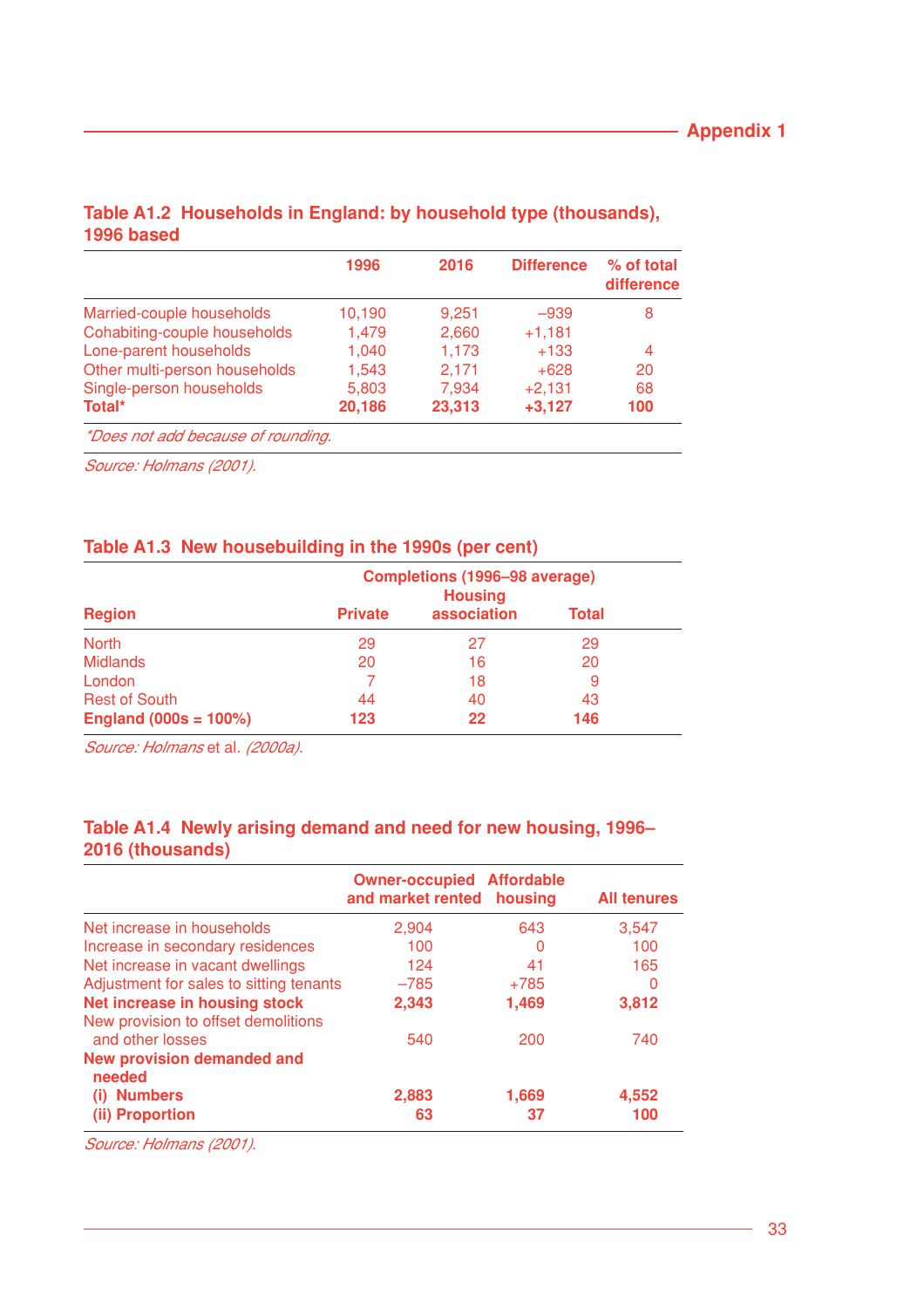|                                    | 1996   | 2016   | <b>Difference</b> | % of total<br>difference |
|------------------------------------|--------|--------|-------------------|--------------------------|
| Married-couple households          | 10,190 | 9,251  | $-939$            | 8                        |
| Cohabiting-couple households       | 1,479  | 2,660  | $+1,181$          |                          |
| Lone-parent households             | 1.040  | 1,173  | $+133$            | 4                        |
| Other multi-person households      | 1,543  | 2,171  | $+628$            | 20                       |
| Single-person households           | 5,803  | 7,934  | $+2,131$          | 68                       |
| Total*                             | 20,186 | 23,313 | $+3,127$          | 100                      |
| *Does not add because of rounding. |        |        |                   |                          |

### **Table A1.2 Households in England: by household type (thousands), 1996 based**

Source: Holmans (2001).

## **Table A1.3 New housebuilding in the 1990s (per cent)**

|                         | Completions (1996-98 average)<br><b>Housing</b> |             |              |  |
|-------------------------|-------------------------------------------------|-------------|--------------|--|
| <b>Region</b>           | <b>Private</b>                                  | association | <b>Total</b> |  |
| <b>North</b>            | 29                                              | 27          | 29           |  |
| <b>Midlands</b>         | 20                                              | 16          | 20           |  |
| London                  |                                                 | 18          | 9            |  |
| <b>Rest of South</b>    | 44                                              | 40          | 43           |  |
| England $(000s = 100%)$ | 123                                             | 22          | 146          |  |

Source: Holmans et al. (2000a).

## **Table A1.4 Newly arising demand and need for new housing, 1996– 2016 (thousands)**

|                                                         | <b>Owner-occupied Affordable</b><br>and market rented housing |        | <b>All tenures</b> |
|---------------------------------------------------------|---------------------------------------------------------------|--------|--------------------|
| Net increase in households                              | 2,904                                                         | 643    | 3,547              |
| Increase in secondary residences                        | 100                                                           | O      | 100                |
| Net increase in vacant dwellings                        | 124                                                           | 41     | 165                |
| Adjustment for sales to sitting tenants                 | $-785$                                                        | $+785$ | 0                  |
| Net increase in housing stock                           | 2,343                                                         | 1,469  | 3,812              |
| New provision to offset demolitions<br>and other losses | 540                                                           | 200    | 740                |
| <b>New provision demanded and</b><br>needed             |                                                               |        |                    |
| <b>Numbers</b><br>(i)                                   | 2,883                                                         | 1,669  | 4,552              |
| (ii) Proportion                                         | 63                                                            | 37     | 100                |

Source: Holmans (2001).

L.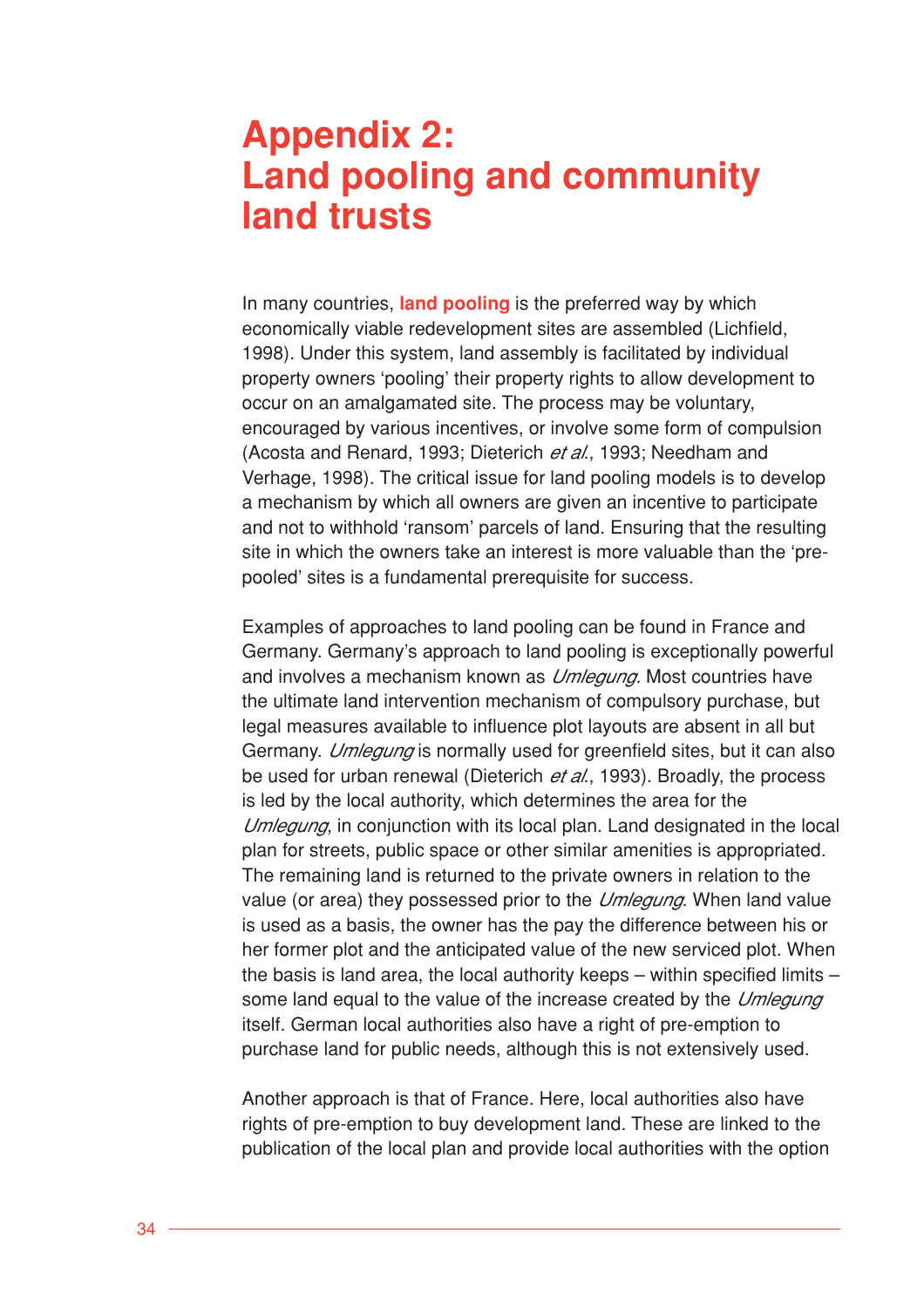# **Appendix 2: Land pooling and community land trusts**

In many countries, **land pooling** is the preferred way by which economically viable redevelopment sites are assembled (Lichfield, 1998). Under this system, land assembly is facilitated by individual property owners 'pooling' their property rights to allow development to occur on an amalgamated site. The process may be voluntary, encouraged by various incentives, or involve some form of compulsion (Acosta and Renard, 1993; Dieterich et al., 1993; Needham and Verhage, 1998). The critical issue for land pooling models is to develop a mechanism by which all owners are given an incentive to participate and not to withhold 'ransom' parcels of land. Ensuring that the resulting site in which the owners take an interest is more valuable than the 'prepooled' sites is a fundamental prerequisite for success.

Examples of approaches to land pooling can be found in France and Germany. Germany's approach to land pooling is exceptionally powerful and involves a mechanism known as *Umlegung*. Most countries have the ultimate land intervention mechanism of compulsory purchase, but legal measures available to influence plot layouts are absent in all but Germany. *Umlegung* is normally used for greenfield sites, but it can also be used for urban renewal (Dieterich et al., 1993). Broadly, the process is led by the local authority, which determines the area for the Umlegung, in conjunction with its local plan. Land designated in the local plan for streets, public space or other similar amenities is appropriated. The remaining land is returned to the private owners in relation to the value (or area) they possessed prior to the Umlegung. When land value is used as a basis, the owner has the pay the difference between his or her former plot and the anticipated value of the new serviced plot. When the basis is land area, the local authority keeps – within specified limits – some land equal to the value of the increase created by the Umlegung itself. German local authorities also have a right of pre-emption to purchase land for public needs, although this is not extensively used.

Another approach is that of France. Here, local authorities also have rights of pre-emption to buy development land. These are linked to the publication of the local plan and provide local authorities with the option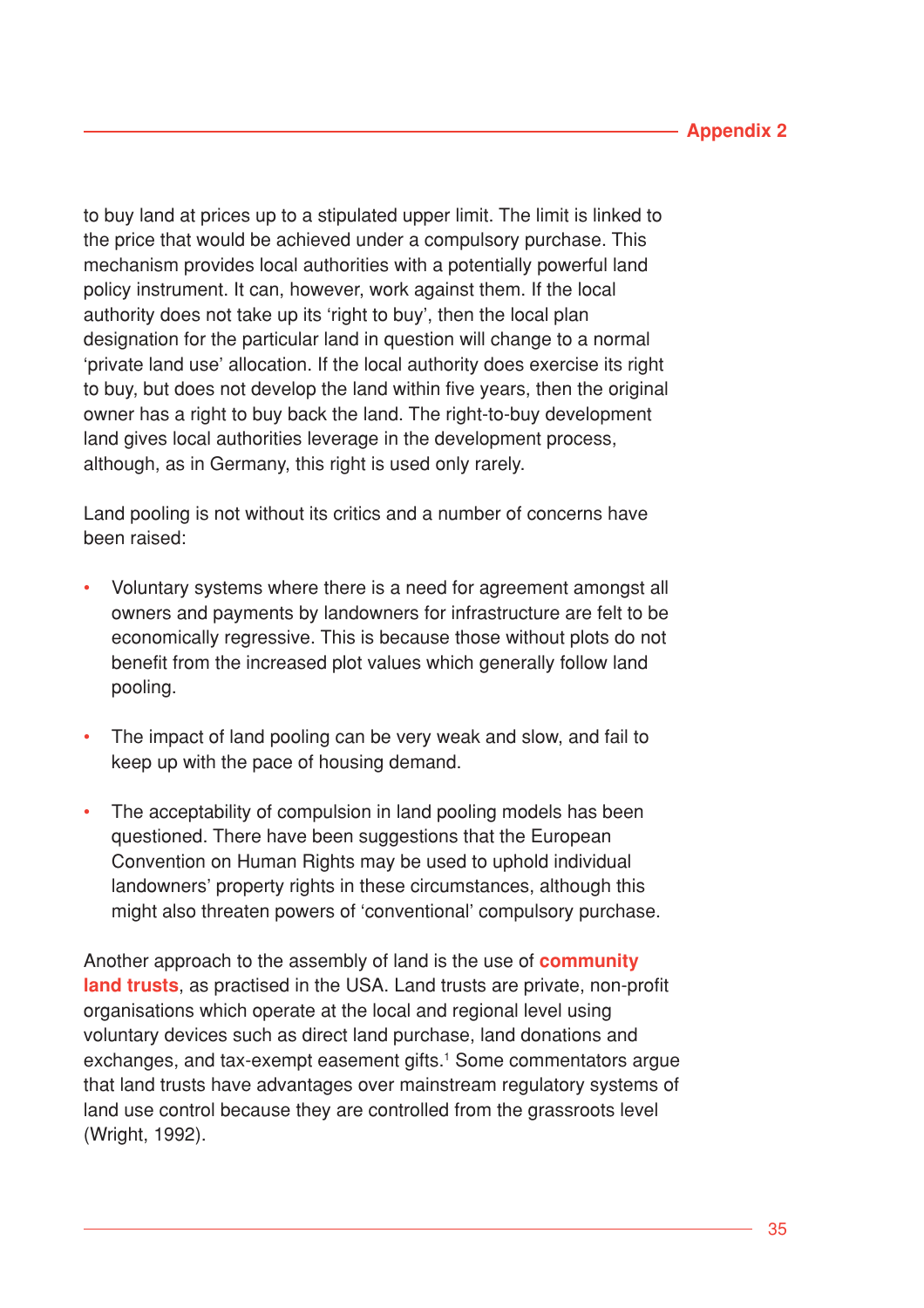to buy land at prices up to a stipulated upper limit. The limit is linked to the price that would be achieved under a compulsory purchase. This mechanism provides local authorities with a potentially powerful land policy instrument. It can, however, work against them. If the local authority does not take up its 'right to buy', then the local plan designation for the particular land in question will change to a normal 'private land use' allocation. If the local authority does exercise its right to buy, but does not develop the land within five years, then the original owner has a right to buy back the land. The right-to-buy development land gives local authorities leverage in the development process, although, as in Germany, this right is used only rarely.

Land pooling is not without its critics and a number of concerns have been raised:

- Voluntary systems where there is a need for agreement amongst all owners and payments by landowners for infrastructure are felt to be economically regressive. This is because those without plots do not benefit from the increased plot values which generally follow land pooling.
- The impact of land pooling can be very weak and slow, and fail to keep up with the pace of housing demand.
- The acceptability of compulsion in land pooling models has been questioned. There have been suggestions that the European Convention on Human Rights may be used to uphold individual landowners' property rights in these circumstances, although this might also threaten powers of 'conventional' compulsory purchase.

Another approach to the assembly of land is the use of **community land trusts**, as practised in the USA. Land trusts are private, non-profit organisations which operate at the local and regional level using voluntary devices such as direct land purchase, land donations and exchanges, and tax-exempt easement gifts.<sup>1</sup> Some commentators argue that land trusts have advantages over mainstream regulatory systems of land use control because they are controlled from the grassroots level (Wright, 1992).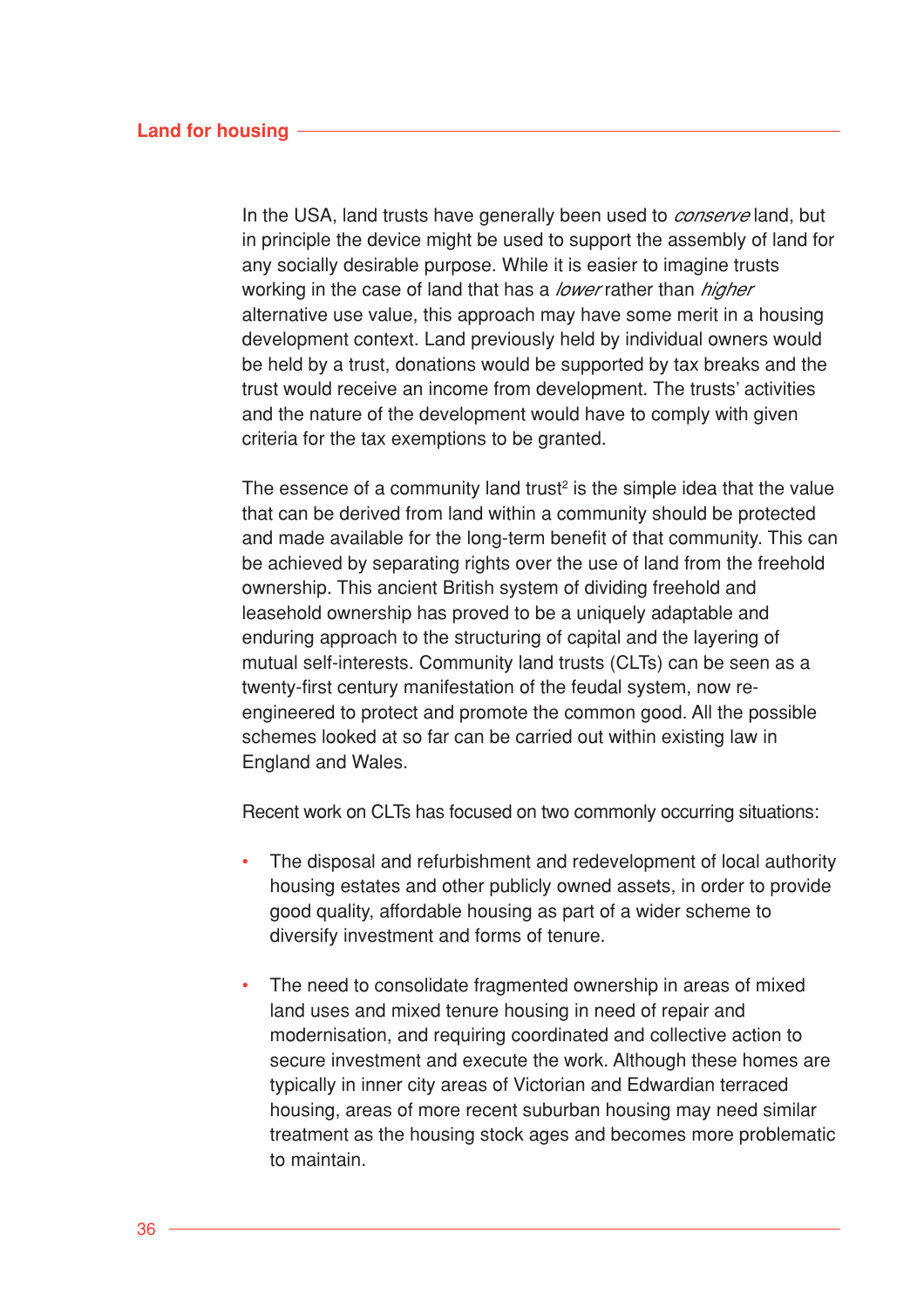In the USA, land trusts have generally been used to *conserve* land, but in principle the device might be used to support the assembly of land for any socially desirable purpose. While it is easier to imagine trusts working in the case of land that has a *lower* rather than *higher* alternative use value, this approach may have some merit in a housing development context. Land previously held by individual owners would be held by a trust, donations would be supported by tax breaks and the trust would receive an income from development. The trusts' activities and the nature of the development would have to comply with given criteria for the tax exemptions to be granted.

The essence of a community land trust<sup>2</sup> is the simple idea that the value that can be derived from land within a community should be protected and made available for the long-term benefit of that community. This can be achieved by separating rights over the use of land from the freehold ownership. This ancient British system of dividing freehold and leasehold ownership has proved to be a uniquely adaptable and enduring approach to the structuring of capital and the layering of mutual self-interests. Community land trusts (CLTs) can be seen as a twenty-first century manifestation of the feudal system, now reengineered to protect and promote the common good. All the possible schemes looked at so far can be carried out within existing law in England and Wales.

Recent work on CLTs has focused on two commonly occurring situations:

- The disposal and refurbishment and redevelopment of local authority housing estates and other publicly owned assets, in order to provide good quality, affordable housing as part of a wider scheme to diversify investment and forms of tenure.
- The need to consolidate fragmented ownership in areas of mixed land uses and mixed tenure housing in need of repair and modernisation, and requiring coordinated and collective action to secure investment and execute the work. Although these homes are typically in inner city areas of Victorian and Edwardian terraced housing, areas of more recent suburban housing may need similar treatment as the housing stock ages and becomes more problematic to maintain.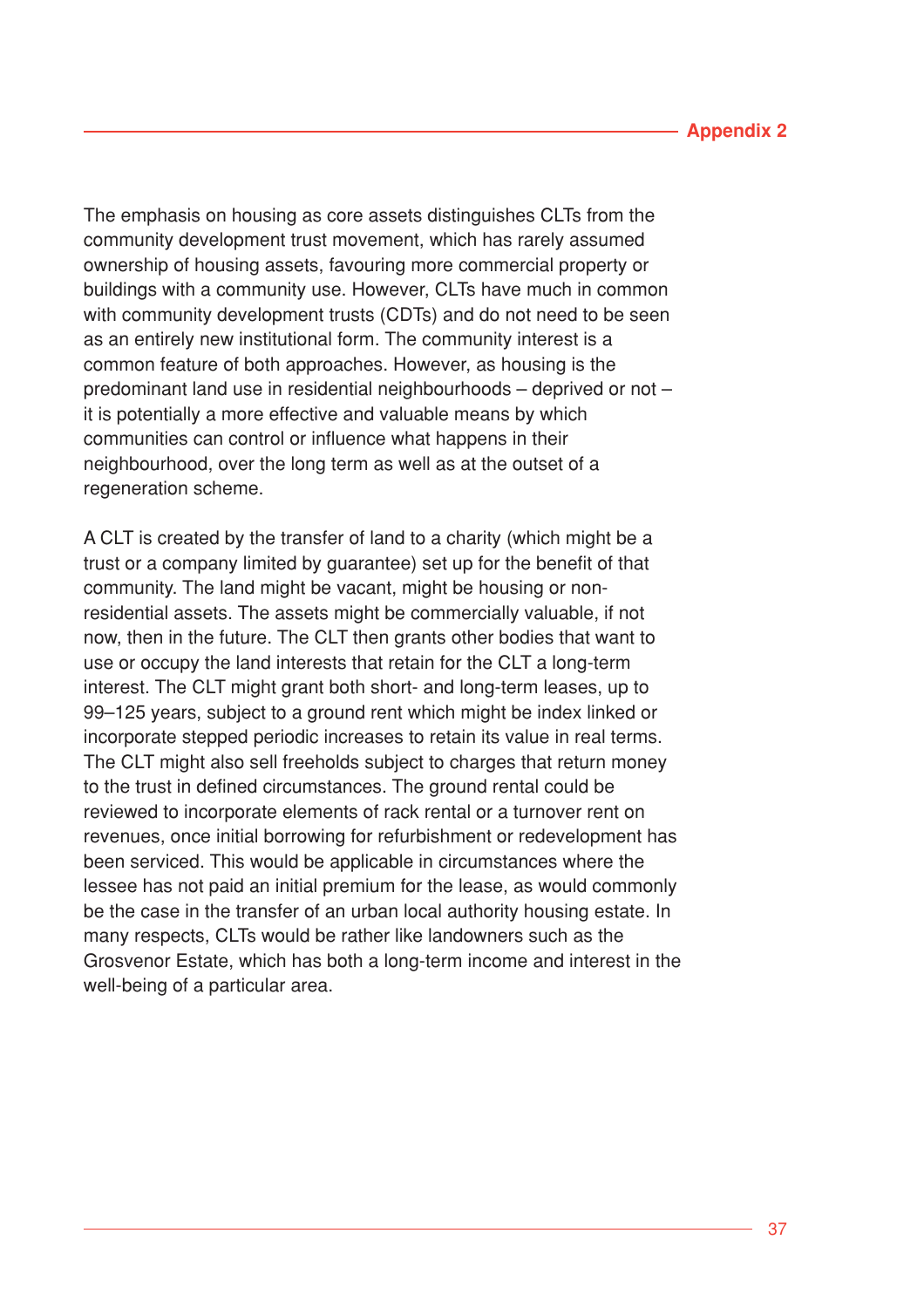#### **Appendix 2**

The emphasis on housing as core assets distinguishes CLTs from the community development trust movement, which has rarely assumed ownership of housing assets, favouring more commercial property or buildings with a community use. However, CLTs have much in common with community development trusts (CDTs) and do not need to be seen as an entirely new institutional form. The community interest is a common feature of both approaches. However, as housing is the predominant land use in residential neighbourhoods – deprived or not – it is potentially a more effective and valuable means by which communities can control or influence what happens in their neighbourhood, over the long term as well as at the outset of a regeneration scheme.

A CLT is created by the transfer of land to a charity (which might be a trust or a company limited by guarantee) set up for the benefit of that community. The land might be vacant, might be housing or nonresidential assets. The assets might be commercially valuable, if not now, then in the future. The CLT then grants other bodies that want to use or occupy the land interests that retain for the CLT a long-term interest. The CLT might grant both short- and long-term leases, up to 99–125 years, subject to a ground rent which might be index linked or incorporate stepped periodic increases to retain its value in real terms. The CLT might also sell freeholds subject to charges that return money to the trust in defined circumstances. The ground rental could be reviewed to incorporate elements of rack rental or a turnover rent on revenues, once initial borrowing for refurbishment or redevelopment has been serviced. This would be applicable in circumstances where the lessee has not paid an initial premium for the lease, as would commonly be the case in the transfer of an urban local authority housing estate. In many respects, CLTs would be rather like landowners such as the Grosvenor Estate, which has both a long-term income and interest in the well-being of a particular area.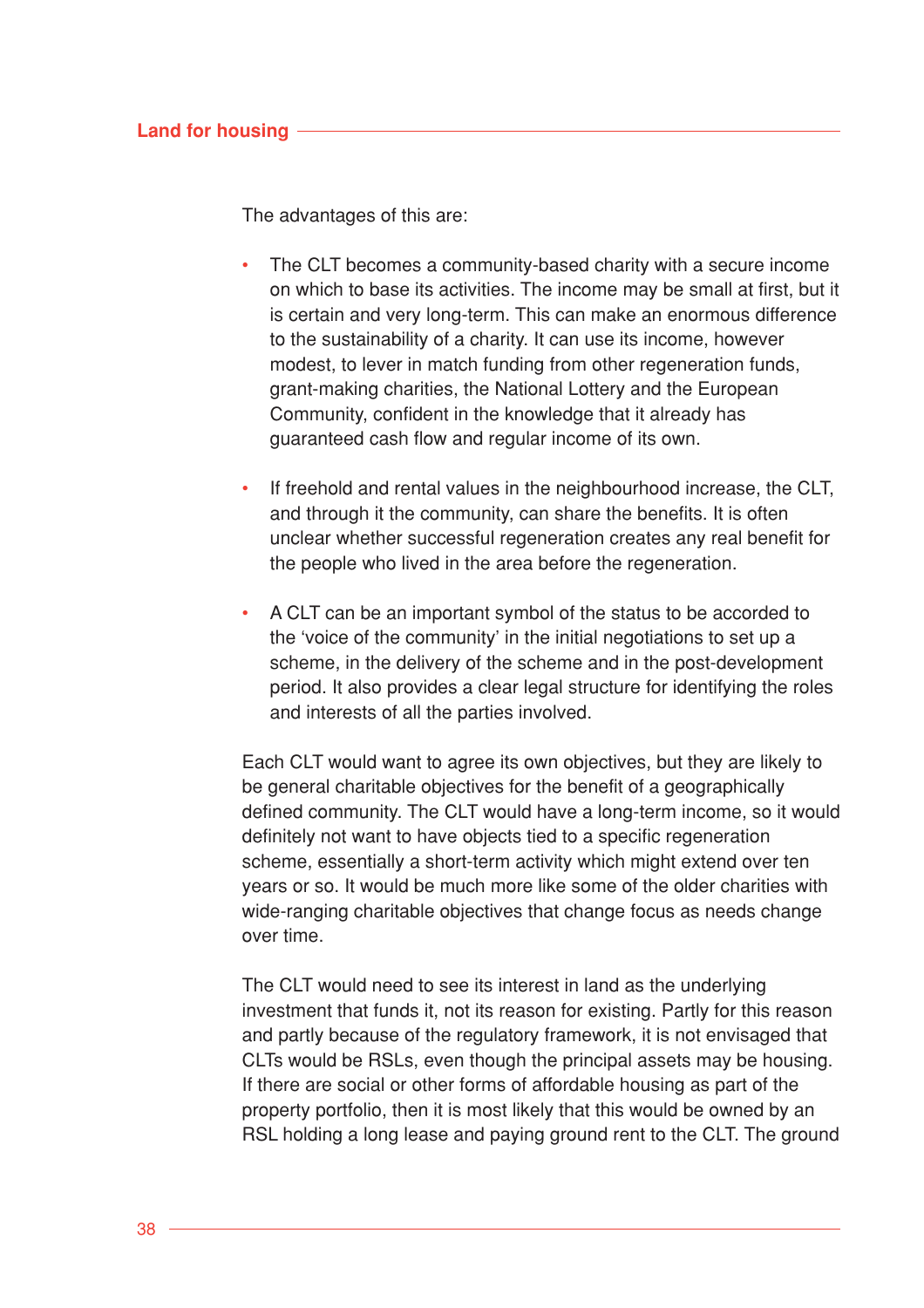The advantages of this are:

- The CLT becomes a community-based charity with a secure income on which to base its activities. The income may be small at first, but it is certain and very long-term. This can make an enormous difference to the sustainability of a charity. It can use its income, however modest, to lever in match funding from other regeneration funds, grant-making charities, the National Lottery and the European Community, confident in the knowledge that it already has guaranteed cash flow and regular income of its own.
- If freehold and rental values in the neighbourhood increase, the CLT, and through it the community, can share the benefits. It is often unclear whether successful regeneration creates any real benefit for the people who lived in the area before the regeneration.
- A CLT can be an important symbol of the status to be accorded to the 'voice of the community' in the initial negotiations to set up a scheme, in the delivery of the scheme and in the post-development period. It also provides a clear legal structure for identifying the roles and interests of all the parties involved.

Each CLT would want to agree its own objectives, but they are likely to be general charitable objectives for the benefit of a geographically defined community. The CLT would have a long-term income, so it would definitely not want to have objects tied to a specific regeneration scheme, essentially a short-term activity which might extend over ten years or so. It would be much more like some of the older charities with wide-ranging charitable objectives that change focus as needs change over time.

The CLT would need to see its interest in land as the underlying investment that funds it, not its reason for existing. Partly for this reason and partly because of the regulatory framework, it is not envisaged that CLTs would be RSLs, even though the principal assets may be housing. If there are social or other forms of affordable housing as part of the property portfolio, then it is most likely that this would be owned by an RSL holding a long lease and paying ground rent to the CLT. The ground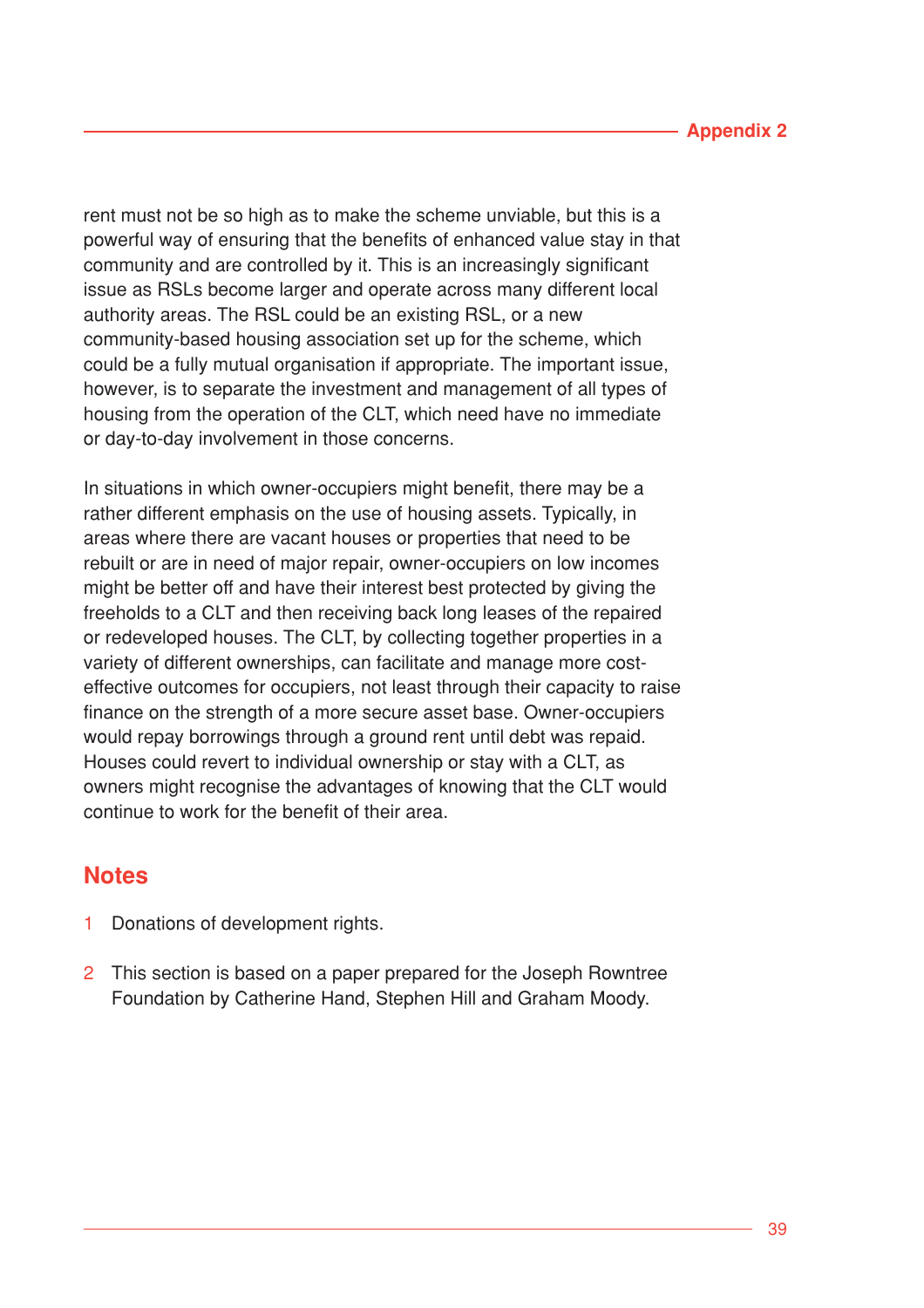rent must not be so high as to make the scheme unviable, but this is a powerful way of ensuring that the benefits of enhanced value stay in that community and are controlled by it. This is an increasingly significant issue as RSLs become larger and operate across many different local authority areas. The RSL could be an existing RSL, or a new community-based housing association set up for the scheme, which could be a fully mutual organisation if appropriate. The important issue, however, is to separate the investment and management of all types of housing from the operation of the CLT, which need have no immediate or day-to-day involvement in those concerns.

In situations in which owner-occupiers might benefit, there may be a rather different emphasis on the use of housing assets. Typically, in areas where there are vacant houses or properties that need to be rebuilt or are in need of major repair, owner-occupiers on low incomes might be better off and have their interest best protected by giving the freeholds to a CLT and then receiving back long leases of the repaired or redeveloped houses. The CLT, by collecting together properties in a variety of different ownerships, can facilitate and manage more costeffective outcomes for occupiers, not least through their capacity to raise finance on the strength of a more secure asset base. Owner-occupiers would repay borrowings through a ground rent until debt was repaid. Houses could revert to individual ownership or stay with a CLT, as owners might recognise the advantages of knowing that the CLT would continue to work for the benefit of their area.

# **Notes**

- 1 Donations of development rights.
- 2 This section is based on a paper prepared for the Joseph Rowntree Foundation by Catherine Hand, Stephen Hill and Graham Moody.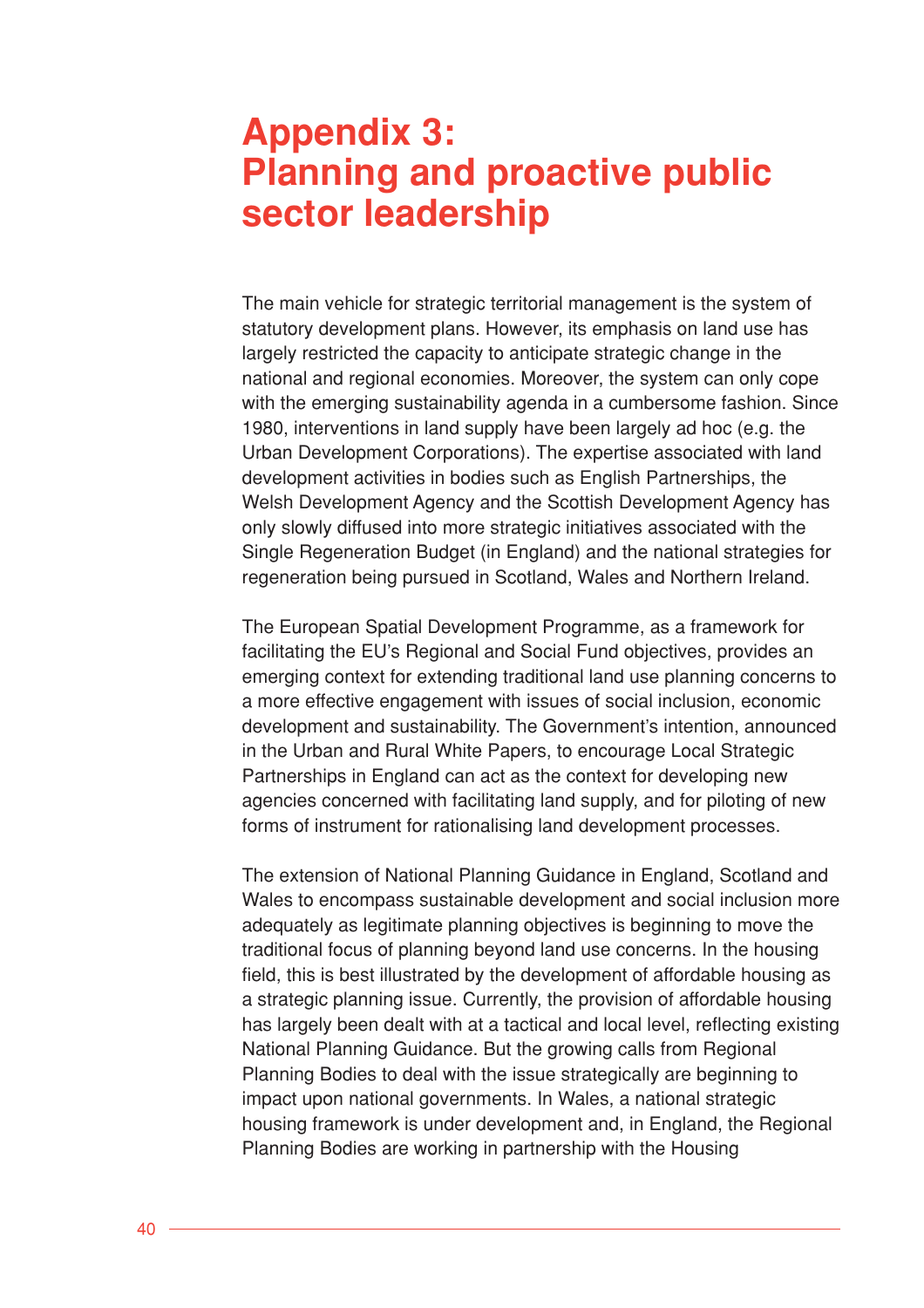# **Appendix 3: Planning and proactive public sector leadership**

The main vehicle for strategic territorial management is the system of statutory development plans. However, its emphasis on land use has largely restricted the capacity to anticipate strategic change in the national and regional economies. Moreover, the system can only cope with the emerging sustainability agenda in a cumbersome fashion. Since 1980, interventions in land supply have been largely ad hoc (e.g. the Urban Development Corporations). The expertise associated with land development activities in bodies such as English Partnerships, the Welsh Development Agency and the Scottish Development Agency has only slowly diffused into more strategic initiatives associated with the Single Regeneration Budget (in England) and the national strategies for regeneration being pursued in Scotland, Wales and Northern Ireland.

The European Spatial Development Programme, as a framework for facilitating the EU's Regional and Social Fund objectives, provides an emerging context for extending traditional land use planning concerns to a more effective engagement with issues of social inclusion, economic development and sustainability. The Government's intention, announced in the Urban and Rural White Papers, to encourage Local Strategic Partnerships in England can act as the context for developing new agencies concerned with facilitating land supply, and for piloting of new forms of instrument for rationalising land development processes.

The extension of National Planning Guidance in England, Scotland and Wales to encompass sustainable development and social inclusion more adequately as legitimate planning objectives is beginning to move the traditional focus of planning beyond land use concerns. In the housing field, this is best illustrated by the development of affordable housing as a strategic planning issue. Currently, the provision of affordable housing has largely been dealt with at a tactical and local level, reflecting existing National Planning Guidance. But the growing calls from Regional Planning Bodies to deal with the issue strategically are beginning to impact upon national governments. In Wales, a national strategic housing framework is under development and, in England, the Regional Planning Bodies are working in partnership with the Housing